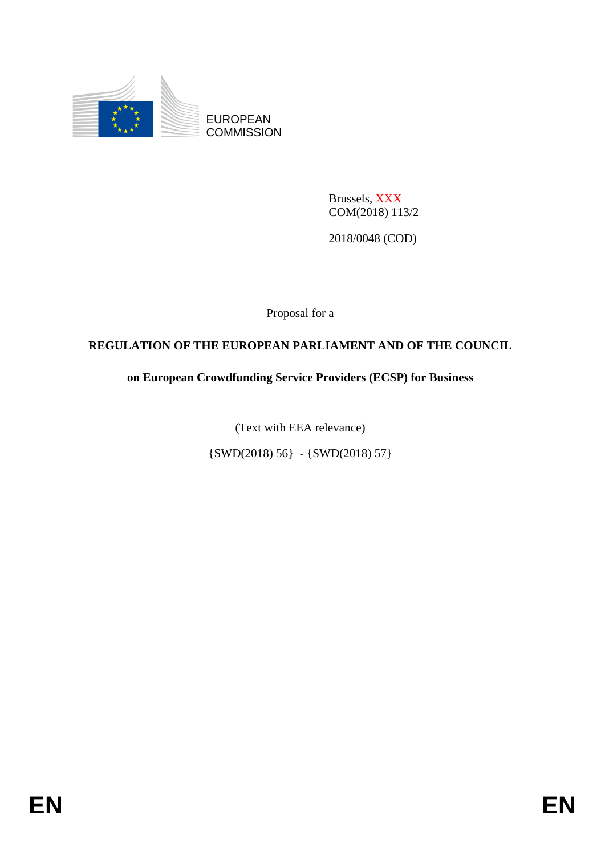

EUROPEAN **COMMISSION** 

> Brussels, XXX COM(2018) 113/2

2018/0048 (COD)

Proposal for a

# **REGULATION OF THE EUROPEAN PARLIAMENT AND OF THE COUNCIL**

# **on European Crowdfunding Service Providers (ECSP) for Business**

(Text with EEA relevance)

{SWD(2018) 56} - {SWD(2018) 57}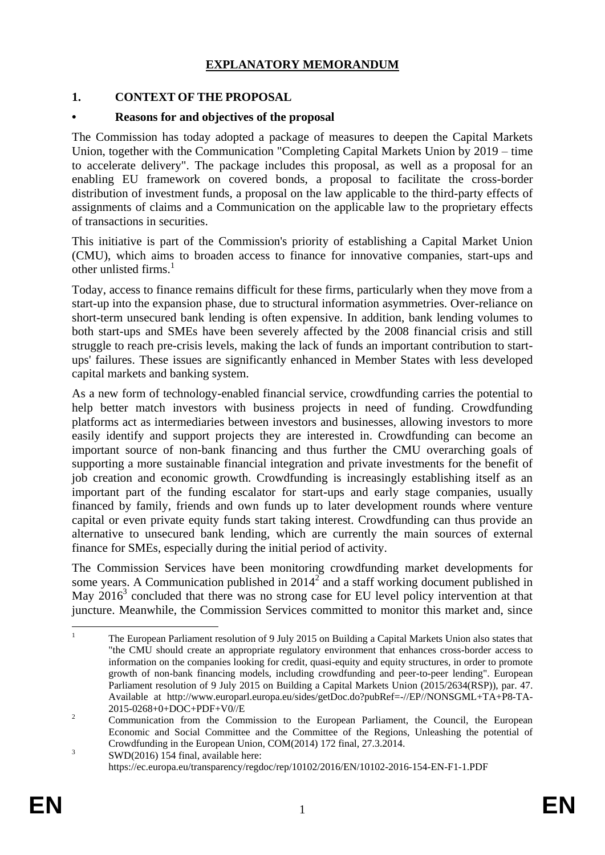# **EXPLANATORY MEMORANDUM**

## **1. CONTEXT OF THE PROPOSAL**

#### **• Reasons for and objectives of the proposal**

The Commission has today adopted a package of measures to deepen the Capital Markets Union, together with the Communication "Completing Capital Markets Union by 2019 – time to accelerate delivery". The package includes this proposal, as well as a proposal for an enabling EU framework on covered bonds, a proposal to facilitate the cross-border distribution of investment funds, a proposal on the law applicable to the third-party effects of assignments of claims and a Communication on the applicable law to the proprietary effects of transactions in securities.

This initiative is part of the Commission's priority of establishing a Capital Market Union (CMU), which aims to broaden access to finance for innovative companies, start-ups and other unlisted firms.<sup>1</sup>

Today, access to finance remains difficult for these firms, particularly when they move from a start-up into the expansion phase, due to structural information asymmetries. Over-reliance on short-term unsecured bank lending is often expensive. In addition, bank lending volumes to both start-ups and SMEs have been severely affected by the 2008 financial crisis and still struggle to reach pre-crisis levels, making the lack of funds an important contribution to startups' failures. These issues are significantly enhanced in Member States with less developed capital markets and banking system.

As a new form of technology-enabled financial service, crowdfunding carries the potential to help better match investors with business projects in need of funding. Crowdfunding platforms act as intermediaries between investors and businesses, allowing investors to more easily identify and support projects they are interested in. Crowdfunding can become an important source of non-bank financing and thus further the CMU overarching goals of supporting a more sustainable financial integration and private investments for the benefit of job creation and economic growth. Crowdfunding is increasingly establishing itself as an important part of the funding escalator for start-ups and early stage companies, usually financed by family, friends and own funds up to later development rounds where venture capital or even private equity funds start taking interest. Crowdfunding can thus provide an alternative to unsecured bank lending, which are currently the main sources of external finance for SMEs, especially during the initial period of activity.

The Commission Services have been monitoring crowdfunding market developments for some years. A Communication published in  $2014^2$  and a staff working document published in May  $2016<sup>3</sup>$  concluded that there was no strong case for EU level policy intervention at that juncture. Meanwhile, the Commission Services committed to monitor this market and, since

<sup>1</sup> <sup>1</sup> The European Parliament resolution of 9 July 2015 on Building a Capital Markets Union also states that "the CMU should create an appropriate regulatory environment that enhances cross-border access to information on the companies looking for credit, quasi-equity and equity structures, in order to promote growth of non-bank financing models, including crowdfunding and peer-to-peer lending". European Parliament resolution of 9 July 2015 on Building a Capital Markets Union (2015/2634(RSP)), par. 47. Available at http://www.europarl.europa.eu/sides/getDoc.do?pubRef=-//EP//NONSGML+TA+P8-TA-2015-0268+0+DOC+PDF+V0//E

<sup>&</sup>lt;sup>2</sup> Communication from the Commission to the European Parliament, the Council, the European Economic and Social Committee and the Committee of the Regions, Unleashing the potential of Crowdfunding in the European Union, COM(2014) 172 final, 27.3.2014.

<sup>3</sup> SWD(2016) 154 final, available here: https://ec.europa.eu/transparency/regdoc/rep/10102/2016/EN/10102-2016-154-EN-F1-1.PDF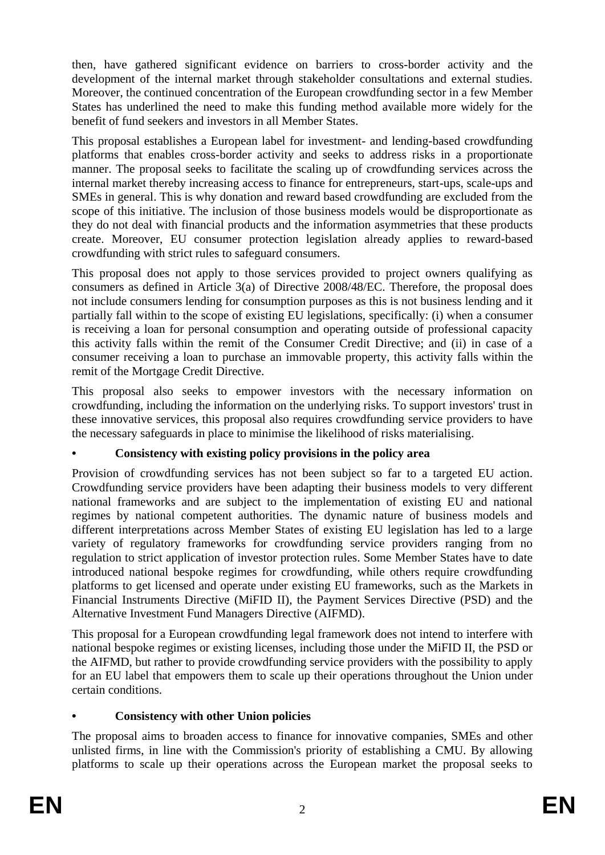then, have gathered significant evidence on barriers to cross-border activity and the development of the internal market through stakeholder consultations and external studies. Moreover, the continued concentration of the European crowdfunding sector in a few Member States has underlined the need to make this funding method available more widely for the benefit of fund seekers and investors in all Member States.

This proposal establishes a European label for investment- and lending-based crowdfunding platforms that enables cross-border activity and seeks to address risks in a proportionate manner. The proposal seeks to facilitate the scaling up of crowdfunding services across the internal market thereby increasing access to finance for entrepreneurs, start-ups, scale-ups and SMEs in general. This is why donation and reward based crowdfunding are excluded from the scope of this initiative. The inclusion of those business models would be disproportionate as they do not deal with financial products and the information asymmetries that these products create. Moreover, EU consumer protection legislation already applies to reward-based crowdfunding with strict rules to safeguard consumers.

This proposal does not apply to those services provided to project owners qualifying as consumers as defined in Article 3(a) of Directive 2008/48/EC. Therefore, the proposal does not include consumers lending for consumption purposes as this is not business lending and it partially fall within to the scope of existing EU legislations, specifically: (i) when a consumer is receiving a loan for personal consumption and operating outside of professional capacity this activity falls within the remit of the Consumer Credit Directive; and (ii) in case of a consumer receiving a loan to purchase an immovable property, this activity falls within the remit of the Mortgage Credit Directive.

This proposal also seeks to empower investors with the necessary information on crowdfunding, including the information on the underlying risks. To support investors' trust in these innovative services, this proposal also requires crowdfunding service providers to have the necessary safeguards in place to minimise the likelihood of risks materialising.

# **• Consistency with existing policy provisions in the policy area**

Provision of crowdfunding services has not been subject so far to a targeted EU action. Crowdfunding service providers have been adapting their business models to very different national frameworks and are subject to the implementation of existing EU and national regimes by national competent authorities. The dynamic nature of business models and different interpretations across Member States of existing EU legislation has led to a large variety of regulatory frameworks for crowdfunding service providers ranging from no regulation to strict application of investor protection rules. Some Member States have to date introduced national bespoke regimes for crowdfunding, while others require crowdfunding platforms to get licensed and operate under existing EU frameworks, such as the Markets in Financial Instruments Directive (MiFID II), the Payment Services Directive (PSD) and the Alternative Investment Fund Managers Directive (AIFMD).

This proposal for a European crowdfunding legal framework does not intend to interfere with national bespoke regimes or existing licenses, including those under the MiFID II, the PSD or the AIFMD, but rather to provide crowdfunding service providers with the possibility to apply for an EU label that empowers them to scale up their operations throughout the Union under certain conditions.

# **• Consistency with other Union policies**

The proposal aims to broaden access to finance for innovative companies, SMEs and other unlisted firms, in line with the Commission's priority of establishing a CMU. By allowing platforms to scale up their operations across the European market the proposal seeks to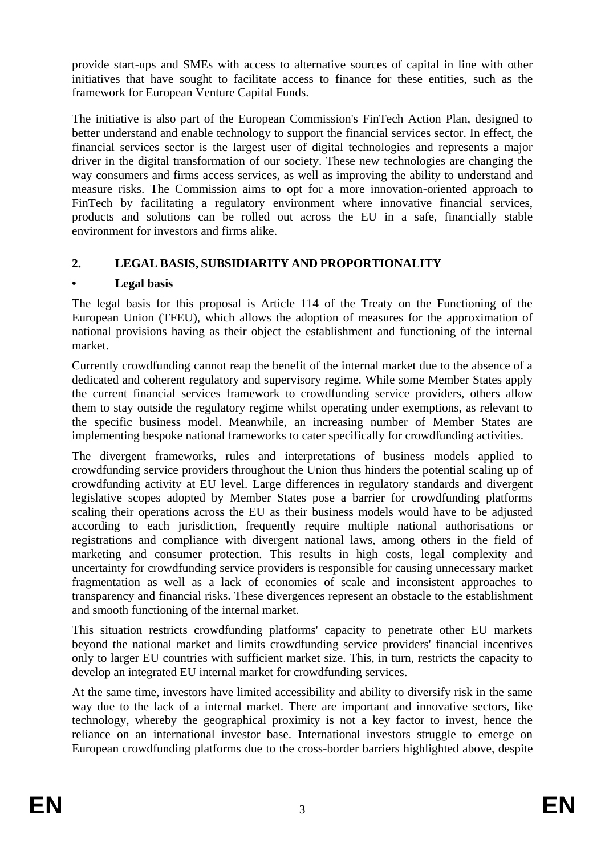provide start-ups and SMEs with access to alternative sources of capital in line with other initiatives that have sought to facilitate access to finance for these entities, such as the framework for European Venture Capital Funds.

The initiative is also part of the European Commission's FinTech Action Plan, designed to better understand and enable technology to support the financial services sector. In effect, the financial services sector is the largest user of digital technologies and represents a major driver in the digital transformation of our society. These new technologies are changing the way consumers and firms access services, as well as improving the ability to understand and measure risks. The Commission aims to opt for a more innovation-oriented approach to FinTech by facilitating a regulatory environment where innovative financial services, products and solutions can be rolled out across the EU in a safe, financially stable environment for investors and firms alike.

# **2. LEGAL BASIS, SUBSIDIARITY AND PROPORTIONALITY**

# **• Legal basis**

The legal basis for this proposal is Article 114 of the Treaty on the Functioning of the European Union (TFEU), which allows the adoption of measures for the approximation of national provisions having as their object the establishment and functioning of the internal market.

Currently crowdfunding cannot reap the benefit of the internal market due to the absence of a dedicated and coherent regulatory and supervisory regime. While some Member States apply the current financial services framework to crowdfunding service providers, others allow them to stay outside the regulatory regime whilst operating under exemptions, as relevant to the specific business model. Meanwhile, an increasing number of Member States are implementing bespoke national frameworks to cater specifically for crowdfunding activities.

The divergent frameworks, rules and interpretations of business models applied to crowdfunding service providers throughout the Union thus hinders the potential scaling up of crowdfunding activity at EU level. Large differences in regulatory standards and divergent legislative scopes adopted by Member States pose a barrier for crowdfunding platforms scaling their operations across the EU as their business models would have to be adjusted according to each jurisdiction, frequently require multiple national authorisations or registrations and compliance with divergent national laws, among others in the field of marketing and consumer protection. This results in high costs, legal complexity and uncertainty for crowdfunding service providers is responsible for causing unnecessary market fragmentation as well as a lack of economies of scale and inconsistent approaches to transparency and financial risks. These divergences represent an obstacle to the establishment and smooth functioning of the internal market.

This situation restricts crowdfunding platforms' capacity to penetrate other EU markets beyond the national market and limits crowdfunding service providers' financial incentives only to larger EU countries with sufficient market size. This, in turn, restricts the capacity to develop an integrated EU internal market for crowdfunding services.

At the same time, investors have limited accessibility and ability to diversify risk in the same way due to the lack of a internal market. There are important and innovative sectors, like technology, whereby the geographical proximity is not a key factor to invest, hence the reliance on an international investor base. International investors struggle to emerge on European crowdfunding platforms due to the cross-border barriers highlighted above, despite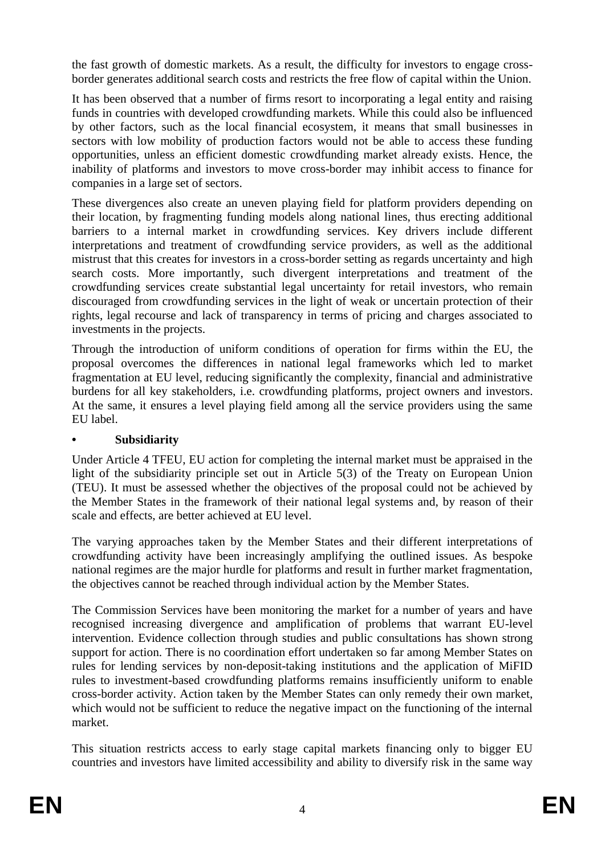the fast growth of domestic markets. As a result, the difficulty for investors to engage crossborder generates additional search costs and restricts the free flow of capital within the Union.

It has been observed that a number of firms resort to incorporating a legal entity and raising funds in countries with developed crowdfunding markets. While this could also be influenced by other factors, such as the local financial ecosystem, it means that small businesses in sectors with low mobility of production factors would not be able to access these funding opportunities, unless an efficient domestic crowdfunding market already exists. Hence, the inability of platforms and investors to move cross-border may inhibit access to finance for companies in a large set of sectors.

These divergences also create an uneven playing field for platform providers depending on their location, by fragmenting funding models along national lines, thus erecting additional barriers to a internal market in crowdfunding services. Key drivers include different interpretations and treatment of crowdfunding service providers, as well as the additional mistrust that this creates for investors in a cross-border setting as regards uncertainty and high search costs. More importantly, such divergent interpretations and treatment of the crowdfunding services create substantial legal uncertainty for retail investors, who remain discouraged from crowdfunding services in the light of weak or uncertain protection of their rights, legal recourse and lack of transparency in terms of pricing and charges associated to investments in the projects.

Through the introduction of uniform conditions of operation for firms within the EU, the proposal overcomes the differences in national legal frameworks which led to market fragmentation at EU level, reducing significantly the complexity, financial and administrative burdens for all key stakeholders, i.e. crowdfunding platforms, project owners and investors. At the same, it ensures a level playing field among all the service providers using the same EU label.

# **• Subsidiarity**

Under Article 4 TFEU, EU action for completing the internal market must be appraised in the light of the subsidiarity principle set out in Article 5(3) of the Treaty on European Union (TEU). It must be assessed whether the objectives of the proposal could not be achieved by the Member States in the framework of their national legal systems and, by reason of their scale and effects, are better achieved at EU level.

The varying approaches taken by the Member States and their different interpretations of crowdfunding activity have been increasingly amplifying the outlined issues. As bespoke national regimes are the major hurdle for platforms and result in further market fragmentation, the objectives cannot be reached through individual action by the Member States.

The Commission Services have been monitoring the market for a number of years and have recognised increasing divergence and amplification of problems that warrant EU-level intervention. Evidence collection through studies and public consultations has shown strong support for action. There is no coordination effort undertaken so far among Member States on rules for lending services by non-deposit-taking institutions and the application of MiFID rules to investment-based crowdfunding platforms remains insufficiently uniform to enable cross-border activity. Action taken by the Member States can only remedy their own market, which would not be sufficient to reduce the negative impact on the functioning of the internal market.

This situation restricts access to early stage capital markets financing only to bigger EU countries and investors have limited accessibility and ability to diversify risk in the same way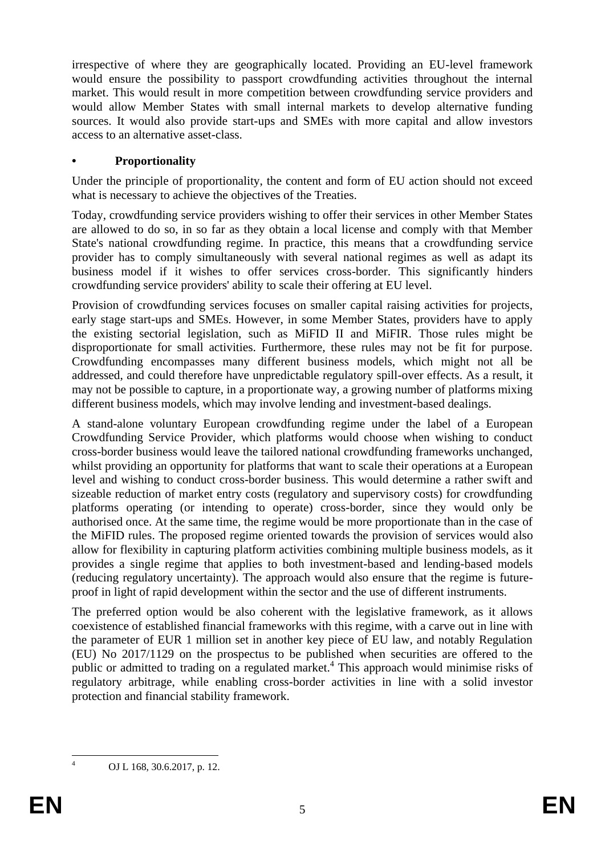irrespective of where they are geographically located. Providing an EU-level framework would ensure the possibility to passport crowdfunding activities throughout the internal market. This would result in more competition between crowdfunding service providers and would allow Member States with small internal markets to develop alternative funding sources. It would also provide start-ups and SMEs with more capital and allow investors access to an alternative asset-class.

# **• Proportionality**

Under the principle of proportionality, the content and form of EU action should not exceed what is necessary to achieve the objectives of the Treaties.

Today, crowdfunding service providers wishing to offer their services in other Member States are allowed to do so, in so far as they obtain a local license and comply with that Member State's national crowdfunding regime. In practice, this means that a crowdfunding service provider has to comply simultaneously with several national regimes as well as adapt its business model if it wishes to offer services cross-border. This significantly hinders crowdfunding service providers' ability to scale their offering at EU level.

Provision of crowdfunding services focuses on smaller capital raising activities for projects, early stage start-ups and SMEs. However, in some Member States, providers have to apply the existing sectorial legislation, such as MiFID II and MiFIR. Those rules might be disproportionate for small activities. Furthermore, these rules may not be fit for purpose. Crowdfunding encompasses many different business models, which might not all be addressed, and could therefore have unpredictable regulatory spill-over effects. As a result, it may not be possible to capture, in a proportionate way, a growing number of platforms mixing different business models, which may involve lending and investment-based dealings.

A stand-alone voluntary European crowdfunding regime under the label of a European Crowdfunding Service Provider, which platforms would choose when wishing to conduct cross-border business would leave the tailored national crowdfunding frameworks unchanged, whilst providing an opportunity for platforms that want to scale their operations at a European level and wishing to conduct cross-border business. This would determine a rather swift and sizeable reduction of market entry costs (regulatory and supervisory costs) for crowdfunding platforms operating (or intending to operate) cross-border, since they would only be authorised once. At the same time, the regime would be more proportionate than in the case of the MiFID rules. The proposed regime oriented towards the provision of services would also allow for flexibility in capturing platform activities combining multiple business models, as it provides a single regime that applies to both investment-based and lending-based models (reducing regulatory uncertainty). The approach would also ensure that the regime is futureproof in light of rapid development within the sector and the use of different instruments.

The preferred option would be also coherent with the legislative framework, as it allows coexistence of established financial frameworks with this regime, with a carve out in line with the parameter of EUR 1 million set in another key piece of EU law, and notably Regulation (EU) No 2017/1129 on the prospectus to be published when securities are offered to the public or admitted to trading on a regulated market.<sup>4</sup> This approach would minimise risks of regulatory arbitrage, while enabling cross-border activities in line with a solid investor protection and financial stability framework.

<u>.</u>

OJ L 168, 30.6.2017, p. 12.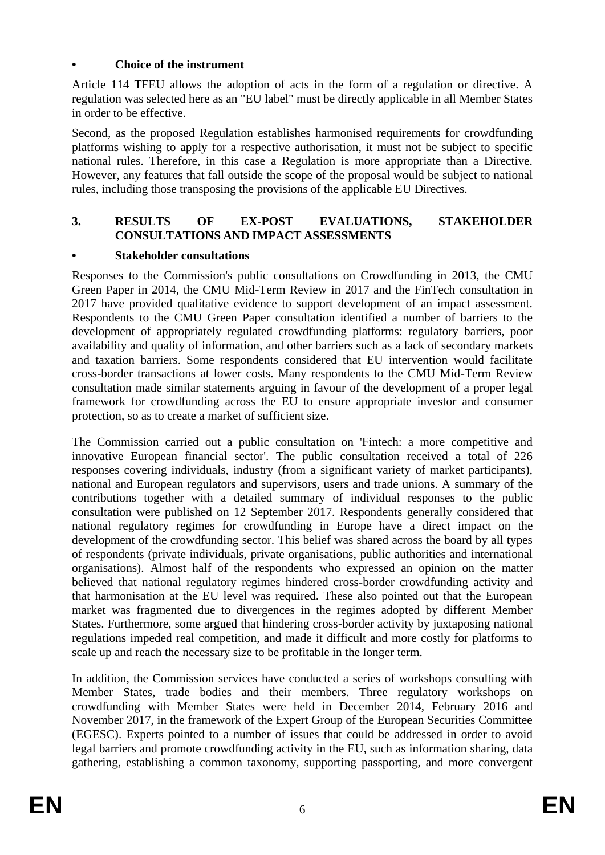# **• Choice of the instrument**

Article 114 TFEU allows the adoption of acts in the form of a regulation or directive. A regulation was selected here as an "EU label" must be directly applicable in all Member States in order to be effective.

Second, as the proposed Regulation establishes harmonised requirements for crowdfunding platforms wishing to apply for a respective authorisation, it must not be subject to specific national rules. Therefore, in this case a Regulation is more appropriate than a Directive. However, any features that fall outside the scope of the proposal would be subject to national rules, including those transposing the provisions of the applicable EU Directives.

# **3. RESULTS OF EX-POST EVALUATIONS, STAKEHOLDER CONSULTATIONS AND IMPACT ASSESSMENTS**

# **• Stakeholder consultations**

Responses to the Commission's public consultations on Crowdfunding in 2013, the CMU Green Paper in 2014, the CMU Mid-Term Review in 2017 and the FinTech consultation in 2017 have provided qualitative evidence to support development of an impact assessment. Respondents to the CMU Green Paper consultation identified a number of barriers to the development of appropriately regulated crowdfunding platforms: regulatory barriers, poor availability and quality of information, and other barriers such as a lack of secondary markets and taxation barriers. Some respondents considered that EU intervention would facilitate cross-border transactions at lower costs. Many respondents to the CMU Mid-Term Review consultation made similar statements arguing in favour of the development of a proper legal framework for crowdfunding across the EU to ensure appropriate investor and consumer protection, so as to create a market of sufficient size.

The Commission carried out a public consultation on 'Fintech: a more competitive and innovative European financial sector'. The public consultation received a total of 226 responses covering individuals, industry (from a significant variety of market participants), national and European regulators and supervisors, users and trade unions. A summary of the contributions together with a detailed summary of individual responses to the public consultation were published on 12 September 2017. Respondents generally considered that national regulatory regimes for crowdfunding in Europe have a direct impact on the development of the crowdfunding sector. This belief was shared across the board by all types of respondents (private individuals, private organisations, public authorities and international organisations). Almost half of the respondents who expressed an opinion on the matter believed that national regulatory regimes hindered cross-border crowdfunding activity and that harmonisation at the EU level was required. These also pointed out that the European market was fragmented due to divergences in the regimes adopted by different Member States. Furthermore, some argued that hindering cross-border activity by juxtaposing national regulations impeded real competition, and made it difficult and more costly for platforms to scale up and reach the necessary size to be profitable in the longer term.

In addition, the Commission services have conducted a series of workshops consulting with Member States, trade bodies and their members. Three regulatory workshops on crowdfunding with Member States were held in December 2014, February 2016 and November 2017, in the framework of the Expert Group of the European Securities Committee (EGESC). Experts pointed to a number of issues that could be addressed in order to avoid legal barriers and promote crowdfunding activity in the EU, such as information sharing, data gathering, establishing a common taxonomy, supporting passporting, and more convergent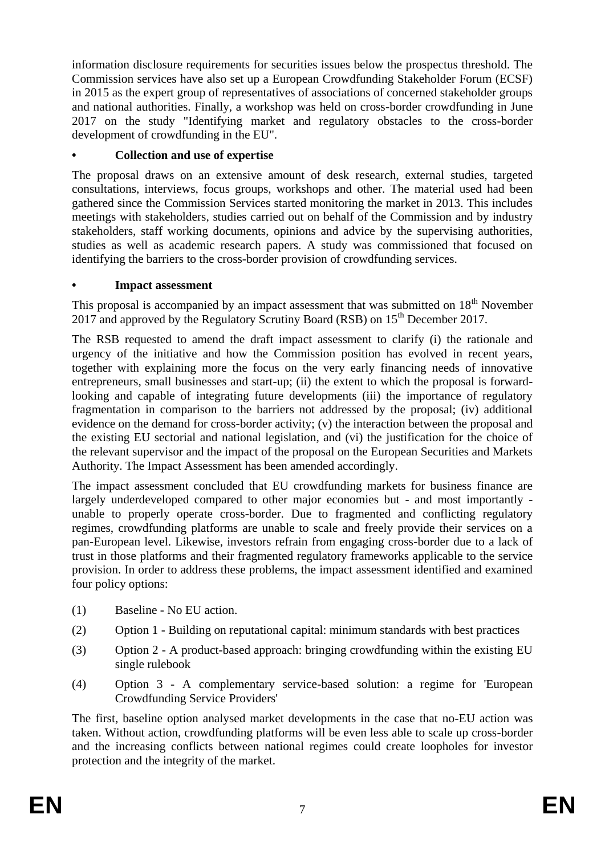information disclosure requirements for securities issues below the prospectus threshold. The Commission services have also set up a European Crowdfunding Stakeholder Forum (ECSF) in 2015 as the expert group of representatives of associations of concerned stakeholder groups and national authorities. Finally, a workshop was held on cross-border crowdfunding in June 2017 on the study "Identifying market and regulatory obstacles to the cross-border development of crowdfunding in the EU".

# **• Collection and use of expertise**

The proposal draws on an extensive amount of desk research, external studies, targeted consultations, interviews, focus groups, workshops and other. The material used had been gathered since the Commission Services started monitoring the market in 2013. This includes meetings with stakeholders, studies carried out on behalf of the Commission and by industry stakeholders, staff working documents, opinions and advice by the supervising authorities, studies as well as academic research papers. A study was commissioned that focused on identifying the barriers to the cross-border provision of crowdfunding services.

# **• Impact assessment**

This proposal is accompanied by an impact assessment that was submitted on  $18<sup>th</sup>$  November 2017 and approved by the Regulatory Scrutiny Board (RSB) on 15<sup>th</sup> December 2017.

The RSB requested to amend the draft impact assessment to clarify (i) the rationale and urgency of the initiative and how the Commission position has evolved in recent years, together with explaining more the focus on the very early financing needs of innovative entrepreneurs, small businesses and start-up; (ii) the extent to which the proposal is forwardlooking and capable of integrating future developments (iii) the importance of regulatory fragmentation in comparison to the barriers not addressed by the proposal; (iv) additional evidence on the demand for cross-border activity; (v) the interaction between the proposal and the existing EU sectorial and national legislation, and (vi) the justification for the choice of the relevant supervisor and the impact of the proposal on the European Securities and Markets Authority. The Impact Assessment has been amended accordingly.

The impact assessment concluded that EU crowdfunding markets for business finance are largely underdeveloped compared to other major economies but - and most importantly unable to properly operate cross-border. Due to fragmented and conflicting regulatory regimes, crowdfunding platforms are unable to scale and freely provide their services on a pan-European level. Likewise, investors refrain from engaging cross-border due to a lack of trust in those platforms and their fragmented regulatory frameworks applicable to the service provision. In order to address these problems, the impact assessment identified and examined four policy options:

- (1) Baseline No EU action.
- (2) Option 1 Building on reputational capital: minimum standards with best practices
- (3) Option 2 A product-based approach: bringing crowdfunding within the existing EU single rulebook
- (4) Option 3 A complementary service-based solution: a regime for 'European Crowdfunding Service Providers'

The first, baseline option analysed market developments in the case that no-EU action was taken. Without action, crowdfunding platforms will be even less able to scale up cross-border and the increasing conflicts between national regimes could create loopholes for investor protection and the integrity of the market.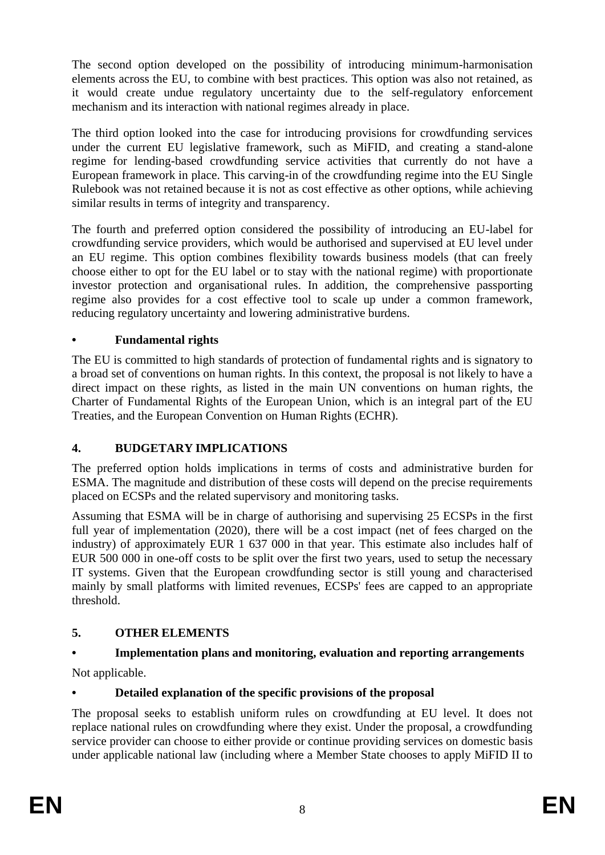The second option developed on the possibility of introducing minimum-harmonisation elements across the EU, to combine with best practices. This option was also not retained, as it would create undue regulatory uncertainty due to the self-regulatory enforcement mechanism and its interaction with national regimes already in place.

The third option looked into the case for introducing provisions for crowdfunding services under the current EU legislative framework, such as MiFID, and creating a stand-alone regime for lending-based crowdfunding service activities that currently do not have a European framework in place. This carving-in of the crowdfunding regime into the EU Single Rulebook was not retained because it is not as cost effective as other options, while achieving similar results in terms of integrity and transparency.

The fourth and preferred option considered the possibility of introducing an EU-label for crowdfunding service providers, which would be authorised and supervised at EU level under an EU regime. This option combines flexibility towards business models (that can freely choose either to opt for the EU label or to stay with the national regime) with proportionate investor protection and organisational rules. In addition, the comprehensive passporting regime also provides for a cost effective tool to scale up under a common framework, reducing regulatory uncertainty and lowering administrative burdens.

# **• Fundamental rights**

The EU is committed to high standards of protection of fundamental rights and is signatory to a broad set of conventions on human rights. In this context, the proposal is not likely to have a direct impact on these rights, as listed in the main UN conventions on human rights, the Charter of Fundamental Rights of the European Union, which is an integral part of the EU Treaties, and the European Convention on Human Rights (ECHR).

# **4. BUDGETARY IMPLICATIONS**

The preferred option holds implications in terms of costs and administrative burden for ESMA. The magnitude and distribution of these costs will depend on the precise requirements placed on ECSPs and the related supervisory and monitoring tasks.

Assuming that ESMA will be in charge of authorising and supervising 25 ECSPs in the first full year of implementation (2020), there will be a cost impact (net of fees charged on the industry) of approximately EUR 1 637 000 in that year. This estimate also includes half of EUR 500 000 in one-off costs to be split over the first two years, used to setup the necessary IT systems. Given that the European crowdfunding sector is still young and characterised mainly by small platforms with limited revenues, ECSPs' fees are capped to an appropriate threshold.

# **5. OTHER ELEMENTS**

# **• Implementation plans and monitoring, evaluation and reporting arrangements**

Not applicable.

# **• Detailed explanation of the specific provisions of the proposal**

The proposal seeks to establish uniform rules on crowdfunding at EU level. It does not replace national rules on crowdfunding where they exist. Under the proposal, a crowdfunding service provider can choose to either provide or continue providing services on domestic basis under applicable national law (including where a Member State chooses to apply MiFID II to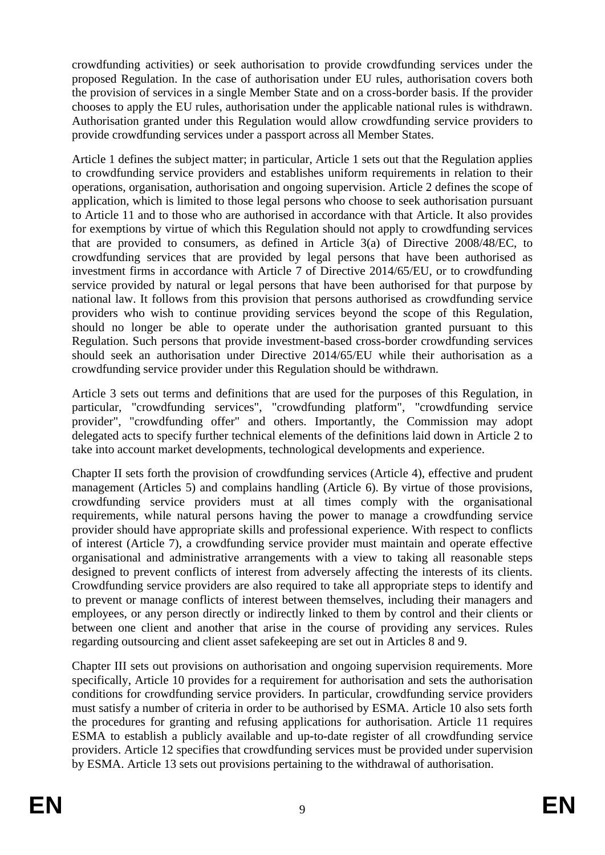crowdfunding activities) or seek authorisation to provide crowdfunding services under the proposed Regulation. In the case of authorisation under EU rules, authorisation covers both the provision of services in a single Member State and on a cross-border basis. If the provider chooses to apply the EU rules, authorisation under the applicable national rules is withdrawn. Authorisation granted under this Regulation would allow crowdfunding service providers to provide crowdfunding services under a passport across all Member States.

Article 1 defines the subject matter; in particular, Article 1 sets out that the Regulation applies to crowdfunding service providers and establishes uniform requirements in relation to their operations, organisation, authorisation and ongoing supervision. Article 2 defines the scope of application, which is limited to those legal persons who choose to seek authorisation pursuant to Article 11 and to those who are authorised in accordance with that Article. It also provides for exemptions by virtue of which this Regulation should not apply to crowdfunding services that are provided to consumers, as defined in Article 3(a) of Directive 2008/48/EC, to crowdfunding services that are provided by legal persons that have been authorised as investment firms in accordance with Article 7 of Directive 2014/65/EU, or to crowdfunding service provided by natural or legal persons that have been authorised for that purpose by national law. It follows from this provision that persons authorised as crowdfunding service providers who wish to continue providing services beyond the scope of this Regulation, should no longer be able to operate under the authorisation granted pursuant to this Regulation. Such persons that provide investment-based cross-border crowdfunding services should seek an authorisation under Directive 2014/65/EU while their authorisation as a crowdfunding service provider under this Regulation should be withdrawn.

Article 3 sets out terms and definitions that are used for the purposes of this Regulation, in particular, "crowdfunding services", "crowdfunding platform", "crowdfunding service provider", "crowdfunding offer" and others. Importantly, the Commission may adopt delegated acts to specify further technical elements of the definitions laid down in Article 2 to take into account market developments, technological developments and experience.

Chapter II sets forth the provision of crowdfunding services (Article 4), effective and prudent management (Articles 5) and complains handling (Article 6). By virtue of those provisions, crowdfunding service providers must at all times comply with the organisational requirements, while natural persons having the power to manage a crowdfunding service provider should have appropriate skills and professional experience. With respect to conflicts of interest (Article 7), a crowdfunding service provider must maintain and operate effective organisational and administrative arrangements with a view to taking all reasonable steps designed to prevent conflicts of interest from adversely affecting the interests of its clients. Crowdfunding service providers are also required to take all appropriate steps to identify and to prevent or manage conflicts of interest between themselves, including their managers and employees, or any person directly or indirectly linked to them by control and their clients or between one client and another that arise in the course of providing any services. Rules regarding outsourcing and client asset safekeeping are set out in Articles 8 and 9.

Chapter III sets out provisions on authorisation and ongoing supervision requirements. More specifically, Article 10 provides for a requirement for authorisation and sets the authorisation conditions for crowdfunding service providers. In particular, crowdfunding service providers must satisfy a number of criteria in order to be authorised by ESMA. Article 10 also sets forth the procedures for granting and refusing applications for authorisation. Article 11 requires ESMA to establish a publicly available and up-to-date register of all crowdfunding service providers. Article 12 specifies that crowdfunding services must be provided under supervision by ESMA. Article 13 sets out provisions pertaining to the withdrawal of authorisation.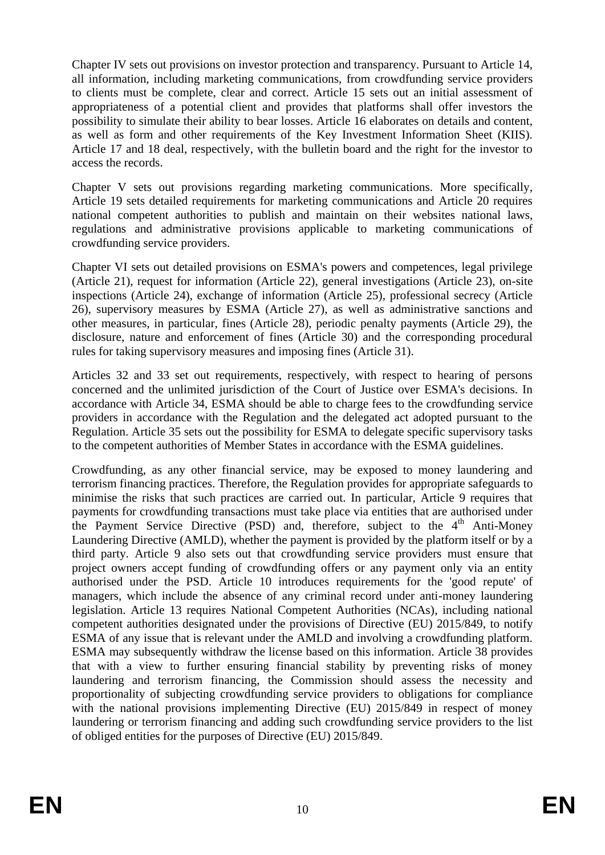Chapter IV sets out provisions on investor protection and transparency. Pursuant to Article 14, all information, including marketing communications, from crowdfunding service providers to clients must be complete, clear and correct. Article 15 sets out an initial assessment of appropriateness of a potential client and provides that platforms shall offer investors the possibility to simulate their ability to bear losses. Article 16 elaborates on details and content, as well as form and other requirements of the Key Investment Information Sheet (KIIS). Article 17 and 18 deal, respectively, with the bulletin board and the right for the investor to access the records.

Chapter V sets out provisions regarding marketing communications. More specifically, Article 19 sets detailed requirements for marketing communications and Article 20 requires national competent authorities to publish and maintain on their websites national laws, regulations and administrative provisions applicable to marketing communications of crowdfunding service providers.

Chapter VI sets out detailed provisions on ESMA's powers and competences, legal privilege (Article 21), request for information (Article 22), general investigations (Article 23), on-site inspections (Article 24), exchange of information (Article 25), professional secrecy (Article 26), supervisory measures by ESMA (Article 27), as well as administrative sanctions and other measures, in particular, fines (Article 28), periodic penalty payments (Article 29), the disclosure, nature and enforcement of fines (Article 30) and the corresponding procedural rules for taking supervisory measures and imposing fines (Article 31).

Articles 32 and 33 set out requirements, respectively, with respect to hearing of persons concerned and the unlimited jurisdiction of the Court of Justice over ESMA's decisions. In accordance with Article 34, ESMA should be able to charge fees to the crowdfunding service providers in accordance with the Regulation and the delegated act adopted pursuant to the Regulation. Article 35 sets out the possibility for ESMA to delegate specific supervisory tasks to the competent authorities of Member States in accordance with the ESMA guidelines.

Crowdfunding, as any other financial service, may be exposed to money laundering and terrorism financing practices. Therefore, the Regulation provides for appropriate safeguards to minimise the risks that such practices are carried out. In particular, Article 9 requires that payments for crowdfunding transactions must take place via entities that are authorised under the Payment Service Directive (PSD) and, therefore, subject to the  $4<sup>th</sup>$  Anti-Money Laundering Directive (AMLD), whether the payment is provided by the platform itself or by a third party. Article 9 also sets out that crowdfunding service providers must ensure that project owners accept funding of crowdfunding offers or any payment only via an entity authorised under the PSD. Article 10 introduces requirements for the 'good repute' of managers, which include the absence of any criminal record under anti-money laundering legislation. Article 13 requires National Competent Authorities (NCAs), including national competent authorities designated under the provisions of Directive (EU) 2015/849, to notify ESMA of any issue that is relevant under the AMLD and involving a crowdfunding platform. ESMA may subsequently withdraw the license based on this information. Article 38 provides that with a view to further ensuring financial stability by preventing risks of money laundering and terrorism financing, the Commission should assess the necessity and proportionality of subjecting crowdfunding service providers to obligations for compliance with the national provisions implementing Directive (EU) 2015/849 in respect of money laundering or terrorism financing and adding such crowdfunding service providers to the list of obliged entities for the purposes of Directive (EU) 2015/849.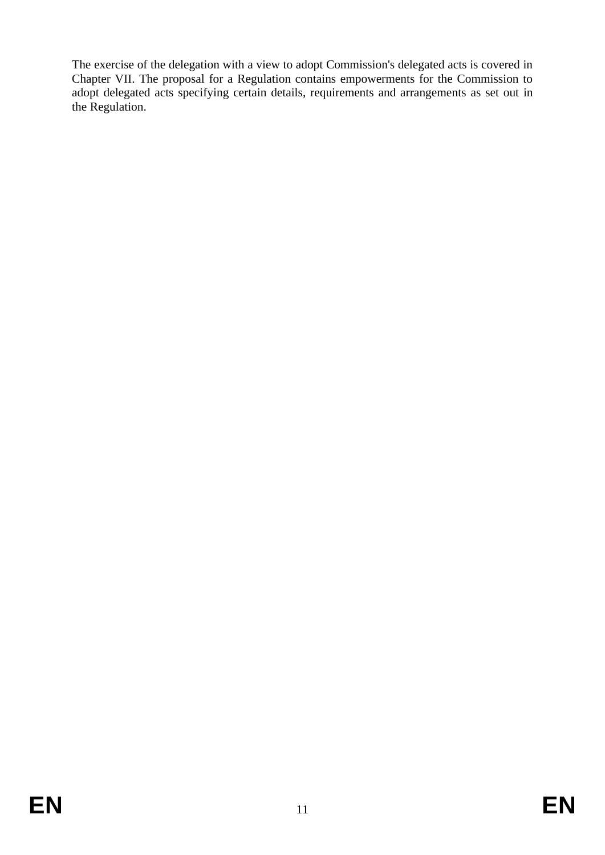The exercise of the delegation with a view to adopt Commission's delegated acts is covered in Chapter VII. The proposal for a Regulation contains empowerments for the Commission to adopt delegated acts specifying certain details, requirements and arrangements as set out in the Regulation.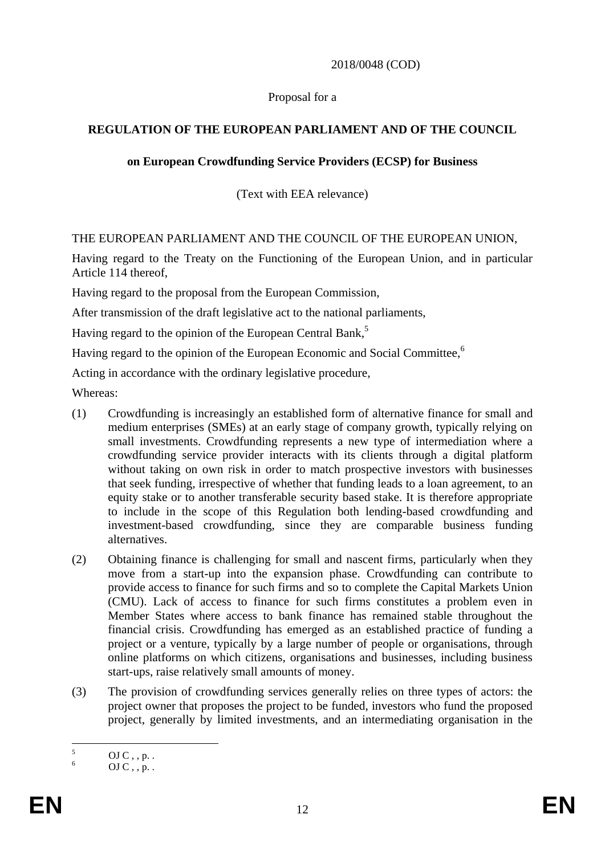## 2018/0048 (COD)

## Proposal for a

# **REGULATION OF THE EUROPEAN PARLIAMENT AND OF THE COUNCIL**

## **on European Crowdfunding Service Providers (ECSP) for Business**

(Text with EEA relevance)

## THE EUROPEAN PARLIAMENT AND THE COUNCIL OF THE EUROPEAN UNION,

Having regard to the Treaty on the Functioning of the European Union, and in particular Article 114 thereof,

Having regard to the proposal from the European Commission,

After transmission of the draft legislative act to the national parliaments,

Having regard to the opinion of the European Central Bank,<sup>5</sup>

Having regard to the opinion of the European Economic and Social Committee,<sup>6</sup>

Acting in accordance with the ordinary legislative procedure,

Whereas:

- (1) Crowdfunding is increasingly an established form of [alternative finance](https://en.wikipedia.org/wiki/Alternative_Finance) for small and medium enterprises (SMEs) at an early stage of company growth, typically relying on small investments. Crowdfunding represents a new type of intermediation where a crowdfunding service provider interacts with its clients through a digital platform without taking on own risk in order to match prospective investors with businesses that seek funding, irrespective of whether that funding leads to a loan agreement, to an equity stake or to another transferable security based stake. It is therefore appropriate to include in the scope of this Regulation both lending-based crowdfunding and investment-based crowdfunding, since they are comparable business funding alternatives.
- (2) Obtaining finance is challenging for small and nascent firms, particularly when they move from a start-up into the expansion phase. Crowdfunding can contribute to provide access to finance for such firms and so to complete the Capital Markets Union (CMU). Lack of access to finance for such firms constitutes a problem even in Member States where access to bank finance has remained stable throughout the financial crisis. Crowdfunding has emerged as an established practice of funding a project or a venture, typically by a large number of people or organisations, through online platforms on which citizens, organisations and businesses, including business start-ups, raise relatively small amounts of money.
- (3) The provision of crowdfunding services generally relies on three types of actors: the project owner that proposes the project to be funded, investors who fund the proposed project, generally by limited investments, and an intermediating organisation in the

 $\overline{5}$  $\frac{5}{6}$  OJ C, , p. .

 $OJ C$ , , p. .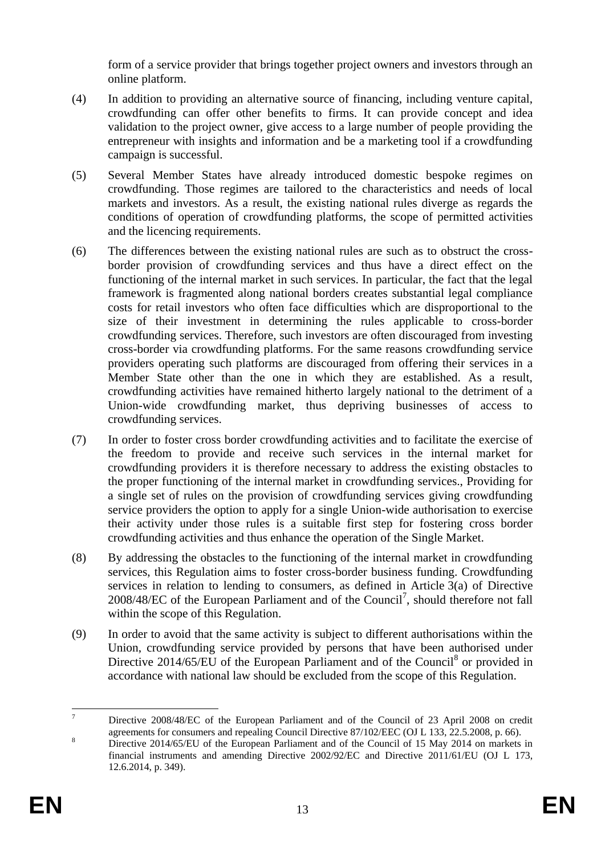form of a service provider that brings together project owners and investors through an online platform.

- (4) In addition to providing an alternative source of financing, including venture capital, crowdfunding can offer other benefits to firms. It can provide concept and idea validation to the project owner, give access to a large number of people providing the entrepreneur with insights and information and be a marketing tool if a crowdfunding campaign is successful.
- (5) Several Member States have already introduced domestic bespoke regimes on crowdfunding. Those regimes are tailored to the characteristics and needs of local markets and investors. As a result, the existing national rules diverge as regards the conditions of operation of crowdfunding platforms, the scope of permitted activities and the licencing requirements.
- (6) The differences between the existing national rules are such as to obstruct the crossborder provision of crowdfunding services and thus have a direct effect on the functioning of the internal market in such services. In particular, the fact that the legal framework is fragmented along national borders creates substantial legal compliance costs for retail investors who often face difficulties which are disproportional to the size of their investment in determining the rules applicable to cross-border crowdfunding services. Therefore, such investors are often discouraged from investing cross-border via crowdfunding platforms. For the same reasons crowdfunding service providers operating such platforms are discouraged from offering their services in a Member State other than the one in which they are established. As a result, crowdfunding activities have remained hitherto largely national to the detriment of a Union-wide crowdfunding market, thus depriving businesses of access to crowdfunding services.
- (7) In order to foster cross border crowdfunding activities and to facilitate the exercise of the freedom to provide and receive such services in the internal market for crowdfunding providers it is therefore necessary to address the existing obstacles to the proper functioning of the internal market in crowdfunding services., Providing for a single set of rules on the provision of crowdfunding services giving crowdfunding service providers the option to apply for a single Union-wide authorisation to exercise their activity under those rules is a suitable first step for fostering cross border crowdfunding activities and thus enhance the operation of the Single Market.
- (8) By addressing the obstacles to the functioning of the internal market in crowdfunding services, this Regulation aims to foster cross-border business funding. Crowdfunding services in relation to lending to consumers, as defined in Article 3(a) of Directive 2008/48/EC of the European Parliament and of the Council<sup>7</sup>, should therefore not fall within the scope of this Regulation.
- (9) In order to avoid that the same activity is subject to different authorisations within the Union, crowdfunding service provided by persons that have been authorised under Directive  $2014/65/EU$  of the European Parliament and of the Council<sup>8</sup> or provided in accordance with national law should be excluded from the scope of this Regulation.

 $\overline{7}$ <sup>7</sup> Directive 2008/48/EC of the European Parliament and of the Council of 23 April 2008 on credit agreements for consumers and repealing Council Directive 87/102/EEC (OJ L 133, 22.5.2008, p. 66).

<sup>8</sup> Directive 2014/65/EU of the European Parliament and of the Council of 15 May 2014 on markets in financial instruments and amending Directive 2002/92/EC and Directive 2011/61/EU (OJ L 173, 12.6.2014, p. 349).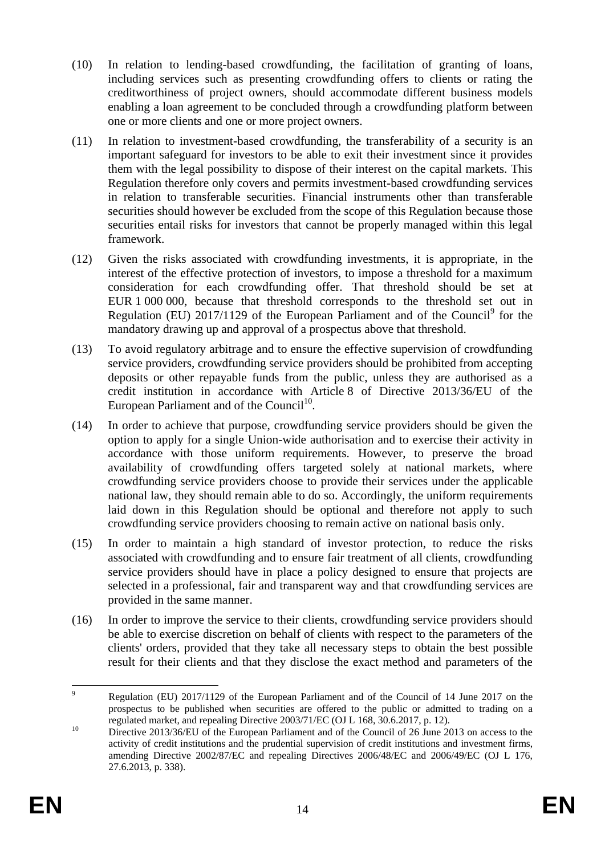- (10) In relation to lending-based crowdfunding, the facilitation of granting of loans, including services such as presenting crowdfunding offers to clients or rating the creditworthiness of project owners, should accommodate different business models enabling a loan agreement to be concluded through a crowdfunding platform between one or more clients and one or more project owners.
- (11) In relation to investment-based crowdfunding, the transferability of a security is an important safeguard for investors to be able to exit their investment since it provides them with the legal possibility to dispose of their interest on the capital markets. This Regulation therefore only covers and permits investment-based crowdfunding services in relation to transferable securities. Financial instruments other than transferable securities should however be excluded from the scope of this Regulation because those securities entail risks for investors that cannot be properly managed within this legal framework.
- (12) Given the risks associated with crowdfunding investments, it is appropriate, in the interest of the effective protection of investors, to impose a threshold for a maximum consideration for each crowdfunding offer. That threshold should be set at EUR 1 000 000, because that threshold corresponds to the threshold set out in Regulation (EU)  $2017/1129$  of the European Parliament and of the Council<sup>9</sup> for the mandatory drawing up and approval of a prospectus above that threshold.
- (13) To avoid regulatory arbitrage and to ensure the effective supervision of crowdfunding service providers, crowdfunding service providers should be prohibited from accepting deposits or other repayable funds from the public, unless they are authorised as a credit institution in accordance with Article 8 of Directive 2013/36/EU of the European Parliament and of the Council<sup>10</sup>.
- (14) In order to achieve that purpose, crowdfunding service providers should be given the option to apply for a single Union-wide authorisation and to exercise their activity in accordance with those uniform requirements. However, to preserve the broad availability of crowdfunding offers targeted solely at national markets, where crowdfunding service providers choose to provide their services under the applicable national law, they should remain able to do so. Accordingly, the uniform requirements laid down in this Regulation should be optional and therefore not apply to such crowdfunding service providers choosing to remain active on national basis only.
- (15) In order to maintain a high standard of investor protection, to reduce the risks associated with crowdfunding and to ensure fair treatment of all clients, crowdfunding service providers should have in place a policy designed to ensure that projects are selected in a professional, fair and transparent way and that crowdfunding services are provided in the same manner.
- (16) In order to improve the service to their clients, crowdfunding service providers should be able to exercise discretion on behalf of clients with respect to the parameters of the clients' orders, provided that they take all necessary steps to obtain the best possible result for their clients and that they disclose the exact method and parameters of the

 $\overline{9}$ <sup>9</sup> Regulation (EU) 2017/1129 of the European Parliament and of the Council of 14 June 2017 on the prospectus to be published when securities are offered to the public or admitted to trading on a regulated market, and repealing Directive 2003/71/EC (OJ L 168, 30.6.2017, p. 12).

<sup>&</sup>lt;sup>10</sup> Directive 2013/36/EU of the European Parliament and of the Council of 26 June 2013 on access to the activity of credit institutions and the prudential supervision of credit institutions and investment firms, amending Directive 2002/87/EC and repealing Directives 2006/48/EC and 2006/49/EC (OJ L 176, 27.6.2013, p. 338).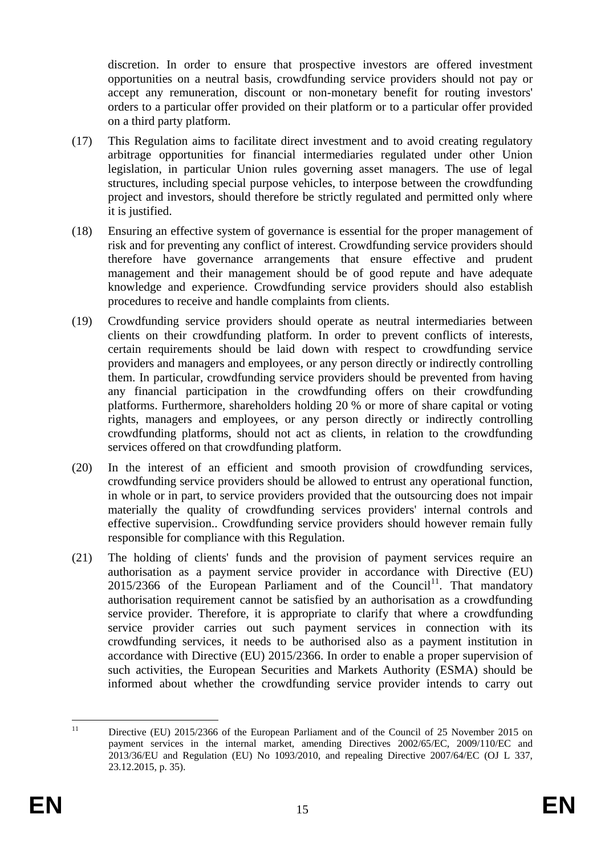discretion. In order to ensure that prospective investors are offered investment opportunities on a neutral basis, crowdfunding service providers should not pay or accept any remuneration, discount or non-monetary benefit for routing investors' orders to a particular offer provided on their platform or to a particular offer provided on a third party platform.

- (17) This Regulation aims to facilitate direct investment and to avoid creating regulatory arbitrage opportunities for financial intermediaries regulated under other Union legislation, in particular Union rules governing asset managers. The use of legal structures, including special purpose vehicles, to interpose between the crowdfunding project and investors, should therefore be strictly regulated and permitted only where it is justified.
- (18) Ensuring an effective system of governance is essential for the proper management of risk and for preventing any conflict of interest. Crowdfunding service providers should therefore have governance arrangements that ensure effective and prudent management and their management should be of good repute and have adequate knowledge and experience. Crowdfunding service providers should also establish procedures to receive and handle complaints from clients.
- (19) Crowdfunding service providers should operate as neutral intermediaries between clients on their crowdfunding platform. In order to prevent conflicts of interests, certain requirements should be laid down with respect to crowdfunding service providers and managers and employees, or any person directly or indirectly controlling them. In particular, crowdfunding service providers should be prevented from having any financial participation in the crowdfunding offers on their crowdfunding platforms. Furthermore, shareholders holding 20 % or more of share capital or voting rights, managers and employees, or any person directly or indirectly controlling crowdfunding platforms, should not act as clients, in relation to the crowdfunding services offered on that crowdfunding platform.
- (20) In the interest of an efficient and smooth provision of crowdfunding services, crowdfunding service providers should be allowed to entrust any operational function, in whole or in part, to service providers provided that the outsourcing does not impair materially the quality of crowdfunding services providers' internal controls and effective supervision.. Crowdfunding service providers should however remain fully responsible for compliance with this Regulation.
- (21) The holding of clients' funds and the provision of payment services require an authorisation as a payment service provider in accordance with Directive (EU)  $2015/2366$  of the European Parliament and of the Council<sup>11</sup>. That mandatory authorisation requirement cannot be satisfied by an authorisation as a crowdfunding service provider. Therefore, it is appropriate to clarify that where a crowdfunding service provider carries out such payment services in connection with its crowdfunding services, it needs to be authorised also as a payment institution in accordance with Directive (EU) 2015/2366. In order to enable a proper supervision of such activities, the European Securities and Markets Authority (ESMA) should be informed about whether the crowdfunding service provider intends to carry out

 $\overline{11}$ Directive (EU) 2015/2366 of the European Parliament and of the Council of 25 November 2015 on payment services in the internal market, amending Directives 2002/65/EC, 2009/110/EC and 2013/36/EU and Regulation (EU) No 1093/2010, and repealing Directive 2007/64/EC (OJ L 337, 23.12.2015, p. 35).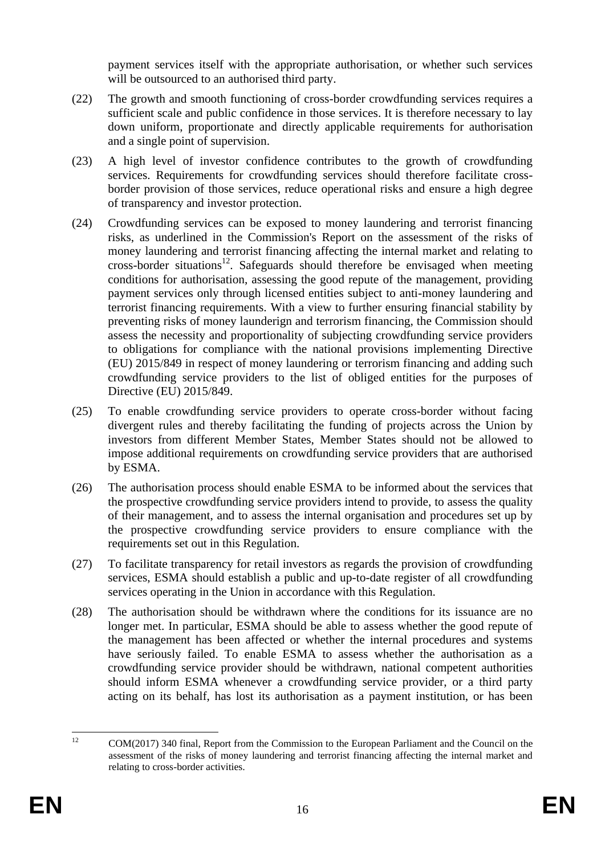payment services itself with the appropriate authorisation, or whether such services will be outsourced to an authorised third party.

- (22) The growth and smooth functioning of cross-border crowdfunding services requires a sufficient scale and public confidence in those services. It is therefore necessary to lay down uniform, proportionate and directly applicable requirements for authorisation and a single point of supervision.
- (23) A high level of investor confidence contributes to the growth of crowdfunding services. Requirements for crowdfunding services should therefore facilitate crossborder provision of those services, reduce operational risks and ensure a high degree of transparency and investor protection.
- (24) Crowdfunding services can be exposed to money laundering and terrorist financing risks, as underlined in the Commission's Report on the assessment of the risks of money laundering and terrorist financing affecting the internal market and relating to cross-border situations<sup>12</sup>. Safeguards should therefore be envisaged when meeting conditions for authorisation, assessing the good repute of the management, providing payment services only through licensed entities subject to anti-money laundering and terrorist financing requirements. With a view to further ensuring financial stability by preventing risks of money launderign and terrorism financing, the Commission should assess the necessity and proportionality of subjecting crowdfunding service providers to obligations for compliance with the national provisions implementing Directive (EU) 2015/849 in respect of money laundering or terrorism financing and adding such crowdfunding service providers to the list of obliged entities for the purposes of Directive (EU) 2015/849.
- (25) To enable crowdfunding service providers to operate cross-border without facing divergent rules and thereby facilitating the funding of projects across the Union by investors from different Member States, Member States should not be allowed to impose additional requirements on crowdfunding service providers that are authorised by ESMA.
- (26) The authorisation process should enable ESMA to be informed about the services that the prospective crowdfunding service providers intend to provide, to assess the quality of their management, and to assess the internal organisation and procedures set up by the prospective crowdfunding service providers to ensure compliance with the requirements set out in this Regulation.
- (27) To facilitate transparency for retail investors as regards the provision of crowdfunding services, ESMA should establish a public and up-to-date register of all crowdfunding services operating in the Union in accordance with this Regulation.
- (28) The authorisation should be withdrawn where the conditions for its issuance are no longer met. In particular, ESMA should be able to assess whether the good repute of the management has been affected or whether the internal procedures and systems have seriously failed. To enable ESMA to assess whether the authorisation as a crowdfunding service provider should be withdrawn, national competent authorities should inform ESMA whenever a crowdfunding service provider, or a third party acting on its behalf, has lost its authorisation as a payment institution, or has been

 $12<sup>12</sup>$ <sup>12</sup> COM(2017) 340 final, Report from the Commission to the European Parliament and the Council on the assessment of the risks of money laundering and terrorist financing affecting the internal market and relating to cross-border activities.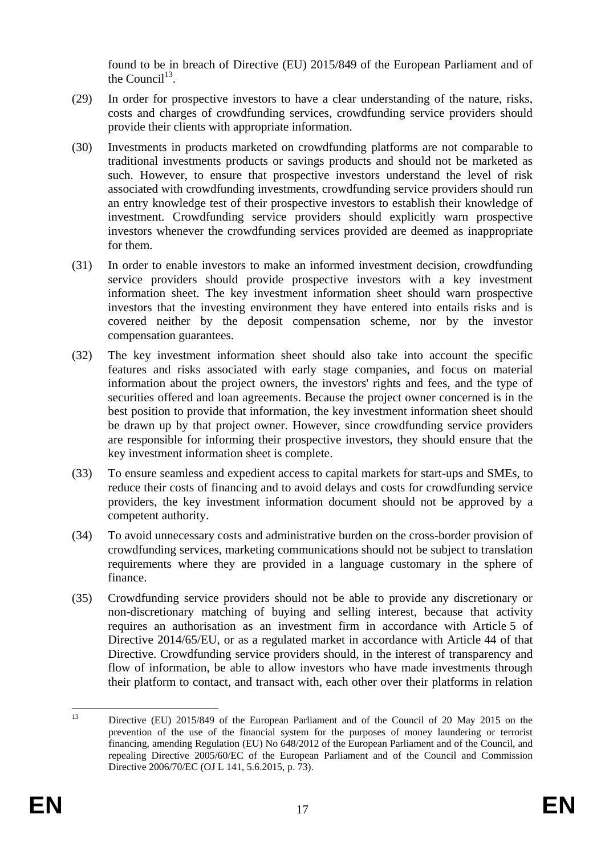found to be in breach of Directive (EU) 2015/849 of the European Parliament and of the Council<sup>13</sup>.

- (29) In order for prospective investors to have a clear understanding of the nature, risks, costs and charges of crowdfunding services, crowdfunding service providers should provide their clients with appropriate information.
- (30) Investments in products marketed on crowdfunding platforms are not comparable to traditional investments products or savings products and should not be marketed as such. However, to ensure that prospective investors understand the level of risk associated with crowdfunding investments, crowdfunding service providers should run an entry knowledge test of their prospective investors to establish their knowledge of investment. Crowdfunding service providers should explicitly warn prospective investors whenever the crowdfunding services provided are deemed as inappropriate for them.
- (31) In order to enable investors to make an informed investment decision, crowdfunding service providers should provide prospective investors with a key investment information sheet. The key investment information sheet should warn prospective investors that the investing environment they have entered into entails risks and is covered neither by the deposit compensation scheme, nor by the investor compensation guarantees.
- (32) The key investment information sheet should also take into account the specific features and risks associated with early stage companies, and focus on material information about the project owners, the investors' rights and fees, and the type of securities offered and loan agreements. Because the project owner concerned is in the best position to provide that information, the key investment information sheet should be drawn up by that project owner. However, since crowdfunding service providers are responsible for informing their prospective investors, they should ensure that the key investment information sheet is complete.
- (33) To ensure seamless and expedient access to capital markets for start-ups and SMEs, to reduce their costs of financing and to avoid delays and costs for crowdfunding service providers, the key investment information document should not be approved by a competent authority.
- (34) To avoid unnecessary costs and administrative burden on the cross-border provision of crowdfunding services, marketing communications should not be subject to translation requirements where they are provided in a language customary in the sphere of finance.
- (35) Crowdfunding service providers should not be able to provide any discretionary or non-discretionary matching of buying and selling interest, because that activity requires an authorisation as an investment firm in accordance with Article 5 of Directive 2014/65/EU, or as a regulated market in accordance with Article 44 of that Directive. Crowdfunding service providers should, in the interest of transparency and flow of information, be able to allow investors who have made investments through their platform to contact, and transact with, each other over their platforms in relation

 $13$ Directive (EU) 2015/849 of the European Parliament and of the Council of 20 May 2015 on the prevention of the use of the financial system for the purposes of money laundering or terrorist financing, amending Regulation (EU) No 648/2012 of the European Parliament and of the Council, and repealing Directive 2005/60/EC of the European Parliament and of the Council and Commission Directive 2006/70/EC (OJ L 141, 5.6.2015, p. 73).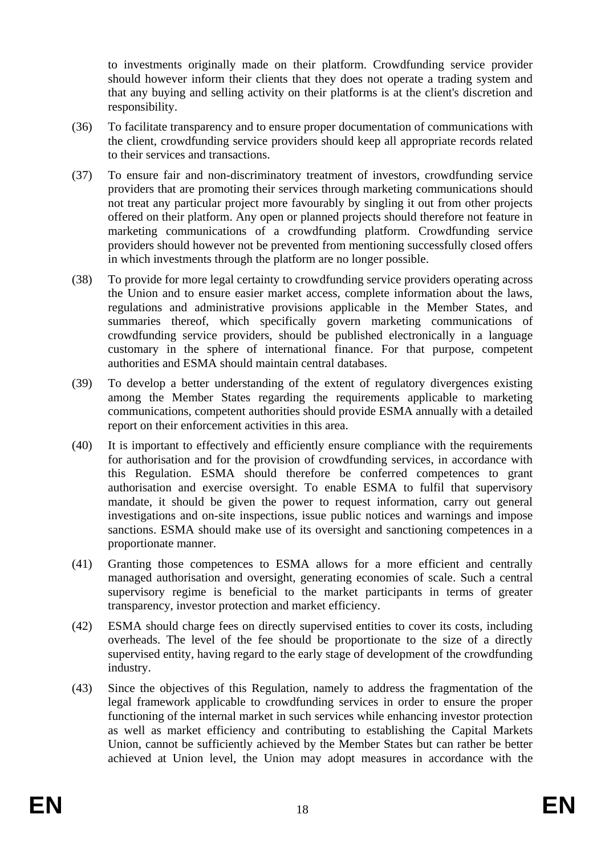to investments originally made on their platform. Crowdfunding service provider should however inform their clients that they does not operate a trading system and that any buying and selling activity on their platforms is at the client's discretion and responsibility.

- (36) To facilitate transparency and to ensure proper documentation of communications with the client, crowdfunding service providers should keep all appropriate records related to their services and transactions.
- (37) To ensure fair and non-discriminatory treatment of investors, crowdfunding service providers that are promoting their services through marketing communications should not treat any particular project more favourably by singling it out from other projects offered on their platform. Any open or planned projects should therefore not feature in marketing communications of a crowdfunding platform. Crowdfunding service providers should however not be prevented from mentioning successfully closed offers in which investments through the platform are no longer possible.
- (38) To provide for more legal certainty to crowdfunding service providers operating across the Union and to ensure easier market access, complete information about the laws, regulations and administrative provisions applicable in the Member States, and summaries thereof, which specifically govern marketing communications of crowdfunding service providers, should be published electronically in a language customary in the sphere of international finance. For that purpose, competent authorities and ESMA should maintain central databases.
- (39) To develop a better understanding of the extent of regulatory divergences existing among the Member States regarding the requirements applicable to marketing communications, competent authorities should provide ESMA annually with a detailed report on their enforcement activities in this area.
- (40) It is important to effectively and efficiently ensure compliance with the requirements for authorisation and for the provision of crowdfunding services, in accordance with this Regulation. ESMA should therefore be conferred competences to grant authorisation and exercise oversight. To enable ESMA to fulfil that supervisory mandate, it should be given the power to request information, carry out general investigations and on-site inspections, issue public notices and warnings and impose sanctions. ESMA should make use of its oversight and sanctioning competences in a proportionate manner.
- (41) Granting those competences to ESMA allows for a more efficient and centrally managed authorisation and oversight, generating economies of scale. Such a central supervisory regime is beneficial to the market participants in terms of greater transparency, investor protection and market efficiency.
- (42) ESMA should charge fees on directly supervised entities to cover its costs, including overheads. The level of the fee should be proportionate to the size of a directly supervised entity, having regard to the early stage of development of the crowdfunding industry.
- (43) Since the objectives of this Regulation, namely to address the fragmentation of the legal framework applicable to crowdfunding services in order to ensure the proper functioning of the internal market in such services while enhancing investor protection as well as market efficiency and contributing to establishing the Capital Markets Union, cannot be sufficiently achieved by the Member States but can rather be better achieved at Union level, the Union may adopt measures in accordance with the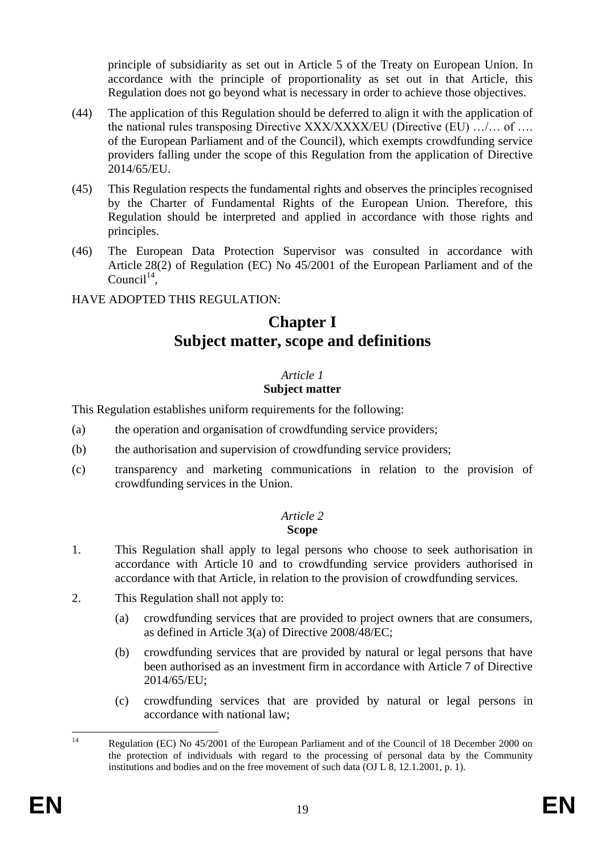principle of subsidiarity as set out in Article 5 of the Treaty on European Union. In accordance with the principle of proportionality as set out in that Article, this Regulation does not go beyond what is necessary in order to achieve those objectives.

- (44) The application of this Regulation should be deferred to align it with the application of the national rules transposing Directive XXX/XXXX/EU (Directive (EU) …/… of …. of the European Parliament and of the Council), which exempts crowdfunding service providers falling under the scope of this Regulation from the application of Directive 2014/65/EU.
- (45) This Regulation respects the fundamental rights and observes the principles recognised by the Charter of Fundamental Rights of the European Union. Therefore, this Regulation should be interpreted and applied in accordance with those rights and principles.
- (46) The European Data Protection Supervisor was consulted in accordance with Article 28(2) of Regulation (EC) No 45/2001 of the European Parliament and of the  $Count^{14}$ ,

# HAVE ADOPTED THIS REGULATION:

# **Chapter I Subject matter, scope and definitions**

# *Article 1*

# **Subject matter**

This Regulation establishes uniform requirements for the following:

- (a) the operation and organisation of crowdfunding service providers;
- (b) the authorisation and supervision of crowdfunding service providers;
- (c) transparency and marketing communications in relation to the provision of crowdfunding services in the Union.

#### *Article 2* **Scope**

- 1. This Regulation shall apply to legal persons who choose to seek authorisation in accordance with Article 10 and to crowdfunding service providers authorised in accordance with that Article, in relation to the provision of crowdfunding services.
- 2. This Regulation shall not apply to:
	- (a) crowdfunding services that are provided to project owners that are consumers, as defined in Article 3(a) of Directive 2008/48/EC;
	- (b) crowdfunding services that are provided by natural or legal persons that have been authorised as an investment firm in accordance with Article 7 of Directive 2014/65/EU;
	- (c) crowdfunding services that are provided by natural or legal persons in accordance with national law;

 $\overline{14}$ Regulation (EC) No 45/2001 of the European Parliament and of the Council of 18 December 2000 on the protection of individuals with regard to the processing of personal data by the Community institutions and bodies and on the free movement of such data (OJ L 8, 12.1.2001, p. 1).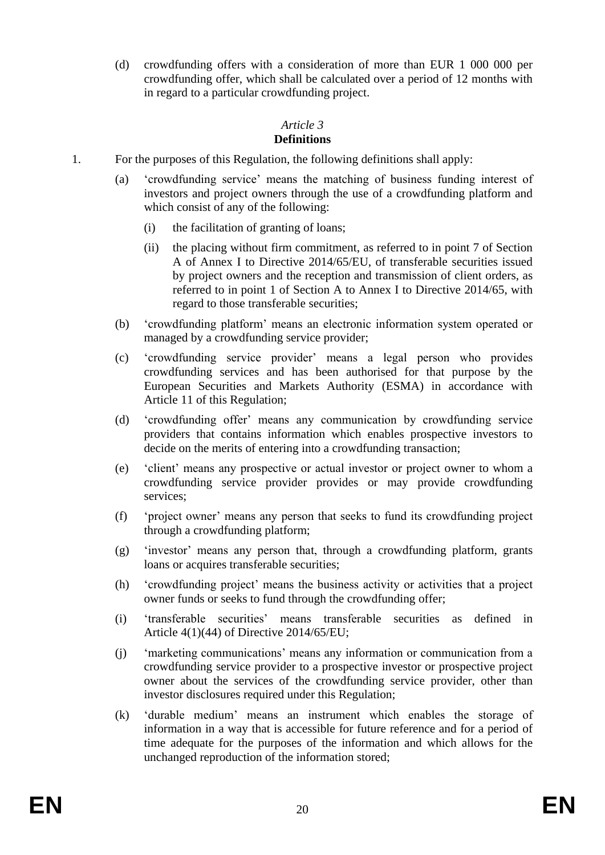(d) crowdfunding offers with a consideration of more than EUR 1 000 000 per crowdfunding offer, which shall be calculated over a period of 12 months with in regard to a particular crowdfunding project.

# *Article 3*

# **Definitions**

- 1. For the purposes of this Regulation, the following definitions shall apply:
	- (a) 'crowdfunding service' means the matching of business funding interest of investors and project owners through the use of a crowdfunding platform and which consist of any of the following:
		- (i) the facilitation of granting of loans;
		- (ii) the placing without firm commitment, as referred to in point 7 of Section A of Annex I to Directive 2014/65/EU, of transferable securities issued by project owners and the reception and transmission of client orders, as referred to in point 1 of Section A to Annex I to Directive 2014/65, with regard to those transferable securities;
	- (b) 'crowdfunding platform' means an electronic information system operated or managed by a crowdfunding service provider;
	- (c) 'crowdfunding service provider' means a legal person who provides crowdfunding services and has been authorised for that purpose by the European Securities and Markets Authority (ESMA) in accordance with Article 11 of this Regulation;
	- (d) 'crowdfunding offer' means any communication by crowdfunding service providers that contains information which enables prospective investors to decide on the merits of entering into a crowdfunding transaction;
	- (e) 'client' means any prospective or actual investor or project owner to whom a crowdfunding service provider provides or may provide crowdfunding services;
	- (f) 'project owner' means any person that seeks to fund its crowdfunding project through a crowdfunding platform;
	- (g) 'investor' means any person that, through a crowdfunding platform, grants loans or acquires transferable securities;
	- (h) 'crowdfunding project' means the business activity or activities that a project owner funds or seeks to fund through the crowdfunding offer;
	- (i) 'transferable securities' means transferable securities as defined in Article 4(1)(44) of Directive 2014/65/EU;
	- (j) 'marketing communications' means any information or communication from a crowdfunding service provider to a prospective investor or prospective project owner about the services of the crowdfunding service provider, other than investor disclosures required under this Regulation;
	- (k) 'durable medium' means an instrument which enables the storage of information in a way that is accessible for future reference and for a period of time adequate for the purposes of the information and which allows for the unchanged reproduction of the information stored;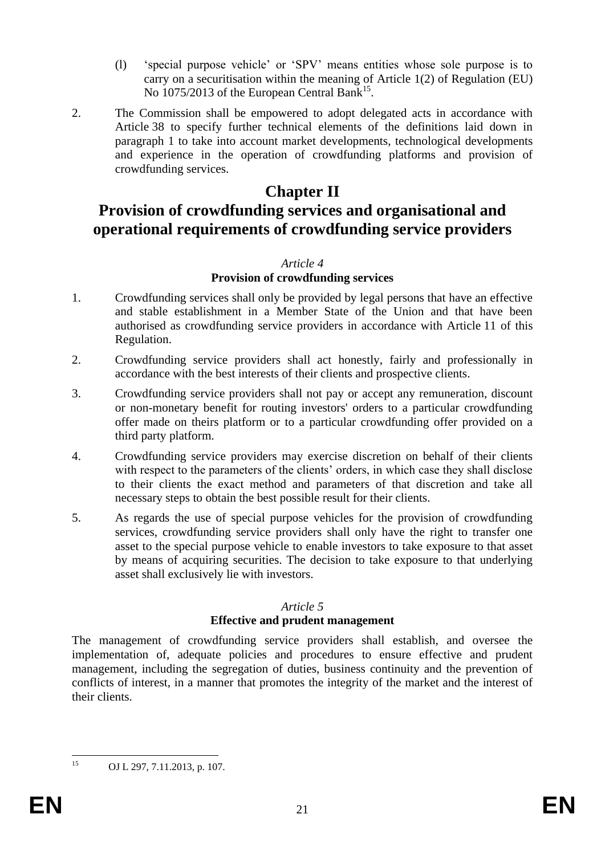- (l) 'special purpose vehicle' or 'SPV' means entities whose sole purpose is to carry on a securitisation within the meaning of Article 1(2) of Regulation (EU) No 1075/2013 of the European Central Bank<sup>15</sup>.
- 2. The Commission shall be empowered to adopt delegated acts in accordance with Article 38 to specify further technical elements of the definitions laid down in paragraph 1 to take into account market developments, technological developments and experience in the operation of crowdfunding platforms and provision of crowdfunding services.

# **Chapter II**

# **Provision of crowdfunding services and organisational and operational requirements of crowdfunding service providers**

## *Article 4*

# **Provision of crowdfunding services**

- 1. Crowdfunding services shall only be provided by legal persons that have an effective and stable establishment in a Member State of the Union and that have been authorised as crowdfunding service providers in accordance with Article 11 of this Regulation.
- 2. Crowdfunding service providers shall act honestly, fairly and professionally in accordance with the best interests of their clients and prospective clients.
- 3. Crowdfunding service providers shall not pay or accept any remuneration, discount or non-monetary benefit for routing investors' orders to a particular crowdfunding offer made on theirs platform or to a particular crowdfunding offer provided on a third party platform.
- 4. Crowdfunding service providers may exercise discretion on behalf of their clients with respect to the parameters of the clients' orders, in which case they shall disclose to their clients the exact method and parameters of that discretion and take all necessary steps to obtain the best possible result for their clients.
- 5. As regards the use of special purpose vehicles for the provision of crowdfunding services, crowdfunding service providers shall only have the right to transfer one asset to the special purpose vehicle to enable investors to take exposure to that asset by means of acquiring securities. The decision to take exposure to that underlying asset shall exclusively lie with investors.

# *Article 5*

# **Effective and prudent management**

The management of crowdfunding service providers shall establish, and oversee the implementation of, adequate policies and procedures to ensure effective and prudent management, including the segregation of duties, business continuity and the prevention of conflicts of interest, in a manner that promotes the integrity of the market and the interest of their clients.

 $15<sup>15</sup>$ 

OJ L 297, 7.11.2013, p. 107.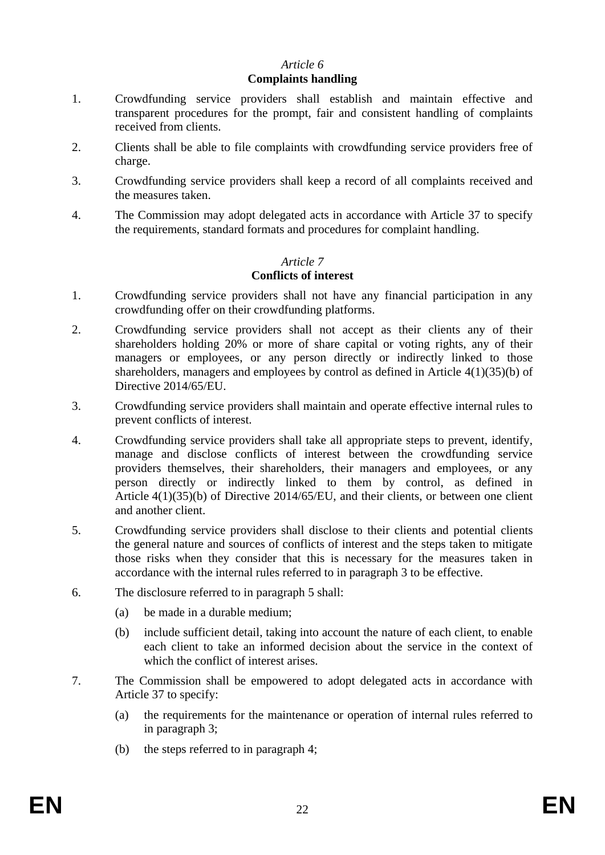## *Article 6*

#### **Complaints handling**

- 1. Crowdfunding service providers shall establish and maintain effective and transparent procedures for the prompt, fair and consistent handling of complaints received from clients.
- 2. Clients shall be able to file complaints with crowdfunding service providers free of charge.
- 3. Crowdfunding service providers shall keep a record of all complaints received and the measures taken.
- 4. The Commission may adopt delegated acts in accordance with Article 37 to specify the requirements, standard formats and procedures for complaint handling.

# *Article 7* **Conflicts of interest**

- 1. Crowdfunding service providers shall not have any financial participation in any crowdfunding offer on their crowdfunding platforms.
- 2. Crowdfunding service providers shall not accept as their clients any of their shareholders holding 20% or more of share capital or voting rights, any of their managers or employees, or any person directly or indirectly linked to those shareholders, managers and employees by control as defined in Article 4(1)(35)(b) of Directive 2014/65/EU.
- 3. Crowdfunding service providers shall maintain and operate effective internal rules to prevent conflicts of interest.
- 4. Crowdfunding service providers shall take all appropriate steps to prevent, identify, manage and disclose conflicts of interest between the crowdfunding service providers themselves, their shareholders, their managers and employees, or any person directly or indirectly linked to them by control, as defined in Article 4(1)(35)(b) of Directive 2014/65/EU, and their clients, or between one client and another client.
- 5. Crowdfunding service providers shall disclose to their clients and potential clients the general nature and sources of conflicts of interest and the steps taken to mitigate those risks when they consider that this is necessary for the measures taken in accordance with the internal rules referred to in paragraph 3 to be effective.
- 6. The disclosure referred to in paragraph 5 shall:
	- (a) be made in a durable medium;
	- (b) include sufficient detail, taking into account the nature of each client, to enable each client to take an informed decision about the service in the context of which the conflict of interest arises.
- 7. The Commission shall be empowered to adopt delegated acts in accordance with Article 37 to specify:
	- (a) the requirements for the maintenance or operation of internal rules referred to in paragraph 3;
	- (b) the steps referred to in paragraph 4;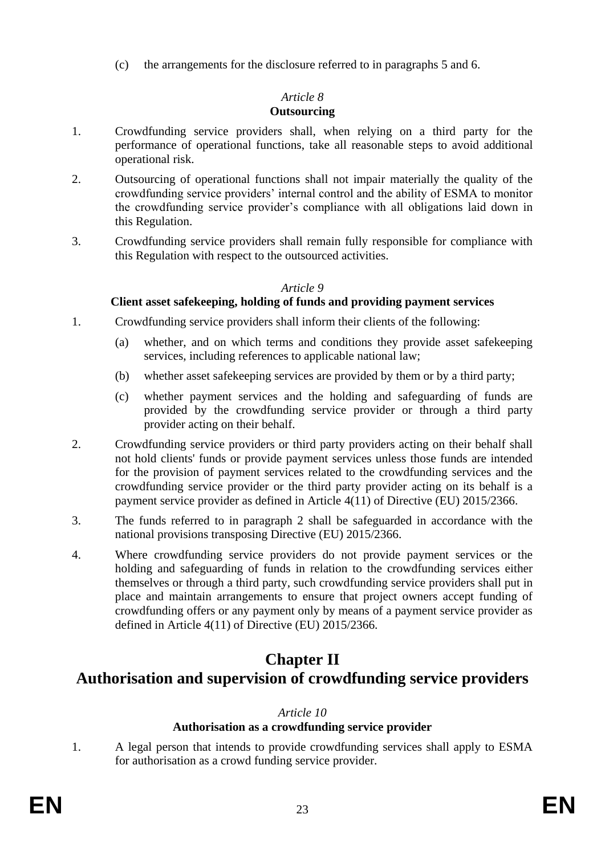(c) the arrangements for the disclosure referred to in paragraphs 5 and 6.

# *Article 8*

# **Outsourcing**

- 1. Crowdfunding service providers shall, when relying on a third party for the performance of operational functions, take all reasonable steps to avoid additional operational risk.
- 2. Outsourcing of operational functions shall not impair materially the quality of the crowdfunding service providers' internal control and the ability of ESMA to monitor the crowdfunding service provider's compliance with all obligations laid down in this Regulation.
- 3. Crowdfunding service providers shall remain fully responsible for compliance with this Regulation with respect to the outsourced activities.

# *Article 9*

# **Client asset safekeeping, holding of funds and providing payment services**

- 1. Crowdfunding service providers shall inform their clients of the following:
	- (a) whether, and on which terms and conditions they provide asset safekeeping services, including references to applicable national law;
	- (b) whether asset safekeeping services are provided by them or by a third party;
	- (c) whether payment services and the holding and safeguarding of funds are provided by the crowdfunding service provider or through a third party provider acting on their behalf.
- 2. Crowdfunding service providers or third party providers acting on their behalf shall not hold clients' funds or provide payment services unless those funds are intended for the provision of payment services related to the crowdfunding services and the crowdfunding service provider or the third party provider acting on its behalf is a payment service provider as defined in Article 4(11) of Directive (EU) 2015/2366.
- 3. The funds referred to in paragraph 2 shall be safeguarded in accordance with the national provisions transposing Directive (EU) 2015/2366.
- 4. Where crowdfunding service providers do not provide payment services or the holding and safeguarding of funds in relation to the crowdfunding services either themselves or through a third party, such crowdfunding service providers shall put in place and maintain arrangements to ensure that project owners accept funding of crowdfunding offers or any payment only by means of a payment service provider as defined in Article 4(11) of Directive (EU) 2015/2366.

# **Chapter II**

# **Authorisation and supervision of crowdfunding service providers**

# *Article 10*

# **Authorisation as a crowdfunding service provider**

1. A legal person that intends to provide crowdfunding services shall apply to ESMA for authorisation as a crowd funding service provider.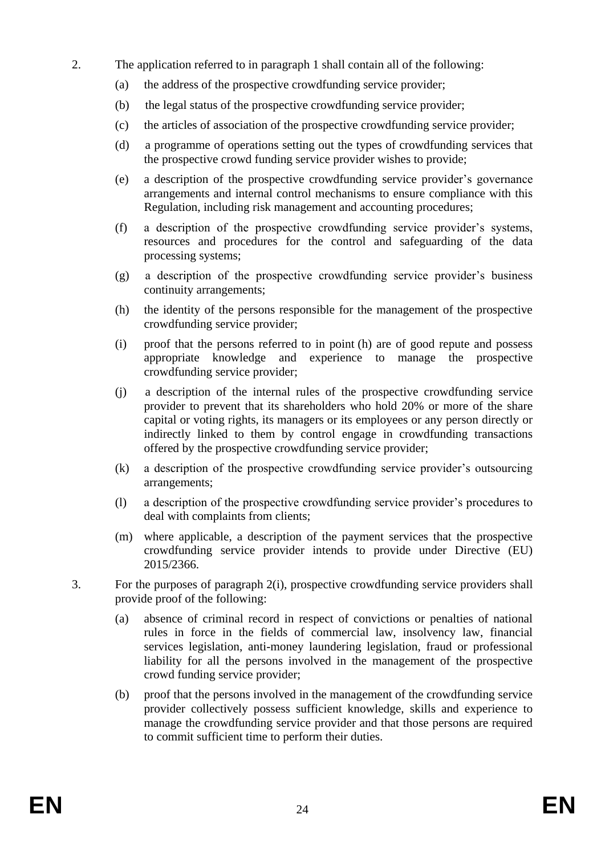- 2. The application referred to in paragraph 1 shall contain all of the following:
	- (a) the address of the prospective crowdfunding service provider;
	- (b) the legal status of the prospective crowdfunding service provider;
	- (c) the articles of association of the prospective crowdfunding service provider;
	- (d) a programme of operations setting out the types of crowdfunding services that the prospective crowd funding service provider wishes to provide;
	- (e) a description of the prospective crowdfunding service provider's governance arrangements and internal control mechanisms to ensure compliance with this Regulation, including risk management and accounting procedures;
	- (f) a description of the prospective crowdfunding service provider's systems, resources and procedures for the control and safeguarding of the data processing systems;
	- (g) a description of the prospective crowdfunding service provider's business continuity arrangements;
	- (h) the identity of the persons responsible for the management of the prospective crowdfunding service provider;
	- (i) proof that the persons referred to in point (h) are of good repute and possess appropriate knowledge and experience to manage the prospective crowdfunding service provider;
	- (j) a description of the internal rules of the prospective crowdfunding service provider to prevent that its shareholders who hold 20% or more of the share capital or voting rights, its managers or its employees or any person directly or indirectly linked to them by control engage in crowdfunding transactions offered by the prospective crowdfunding service provider;
	- (k) a description of the prospective crowdfunding service provider's outsourcing arrangements;
	- (l) a description of the prospective crowdfunding service provider's procedures to deal with complaints from clients;
	- (m) where applicable, a description of the payment services that the prospective crowdfunding service provider intends to provide under Directive (EU) 2015/2366.
- 3. For the purposes of paragraph 2(i), prospective crowdfunding service providers shall provide proof of the following:
	- (a) absence of criminal record in respect of convictions or penalties of national rules in force in the fields of commercial law, insolvency law, financial services legislation, anti-money laundering legislation, fraud or professional liability for all the persons involved in the management of the prospective crowd funding service provider;
	- (b) proof that the persons involved in the management of the crowdfunding service provider collectively possess sufficient knowledge, skills and experience to manage the crowdfunding service provider and that those persons are required to commit sufficient time to perform their duties.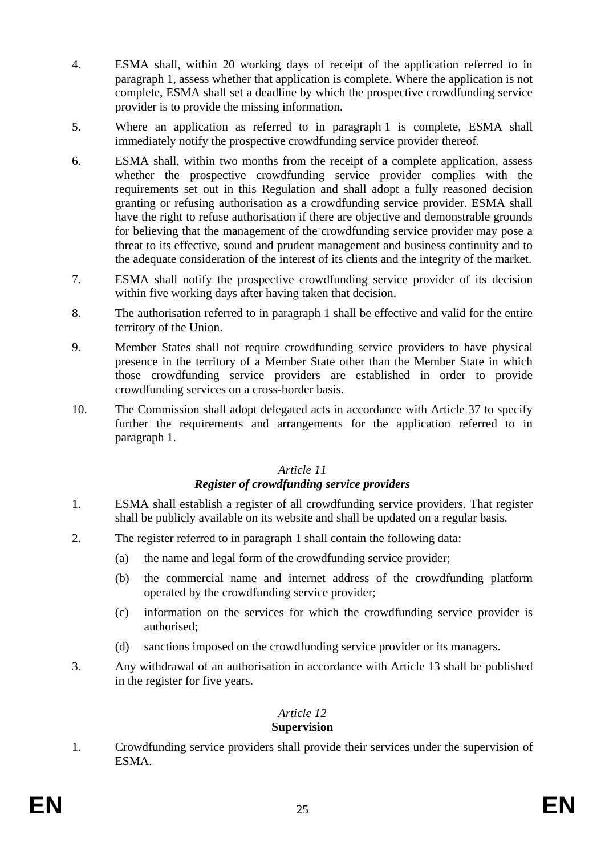- 4. ESMA shall, within 20 working days of receipt of the application referred to in paragraph 1, assess whether that application is complete. Where the application is not complete, ESMA shall set a deadline by which the prospective crowdfunding service provider is to provide the missing information.
- 5. Where an application as referred to in paragraph 1 is complete, ESMA shall immediately notify the prospective crowdfunding service provider thereof.
- 6. ESMA shall, within two months from the receipt of a complete application, assess whether the prospective crowdfunding service provider complies with the requirements set out in this Regulation and shall adopt a fully reasoned decision granting or refusing authorisation as a crowdfunding service provider. ESMA shall have the right to refuse authorisation if there are objective and demonstrable grounds for believing that the management of the crowdfunding service provider may pose a threat to its effective, sound and prudent management and business continuity and to the adequate consideration of the interest of its clients and the integrity of the market.
- 7. ESMA shall notify the prospective crowdfunding service provider of its decision within five working days after having taken that decision.
- 8. The authorisation referred to in paragraph 1 shall be effective and valid for the entire territory of the Union.
- 9. Member States shall not require crowdfunding service providers to have physical presence in the territory of a Member State other than the Member State in which those crowdfunding service providers are established in order to provide crowdfunding services on a cross-border basis.
- 10. The Commission shall adopt delegated acts in accordance with Article 37 to specify further the requirements and arrangements for the application referred to in paragraph 1.

# *Article 11 Register of crowdfunding service providers*

- 1. ESMA shall establish a register of all crowdfunding service providers. That register shall be publicly available on its website and shall be updated on a regular basis.
- 2. The register referred to in paragraph 1 shall contain the following data:
	- (a) the name and legal form of the crowdfunding service provider;
	- (b) the commercial name and internet address of the crowdfunding platform operated by the crowdfunding service provider;
	- (c) information on the services for which the crowdfunding service provider is authorised;
	- (d) sanctions imposed on the crowdfunding service provider or its managers.
- 3. Any withdrawal of an authorisation in accordance with Article 13 shall be published in the register for five years.

# *Article 12*

# **Supervision**

1. Crowdfunding service providers shall provide their services under the supervision of ESMA.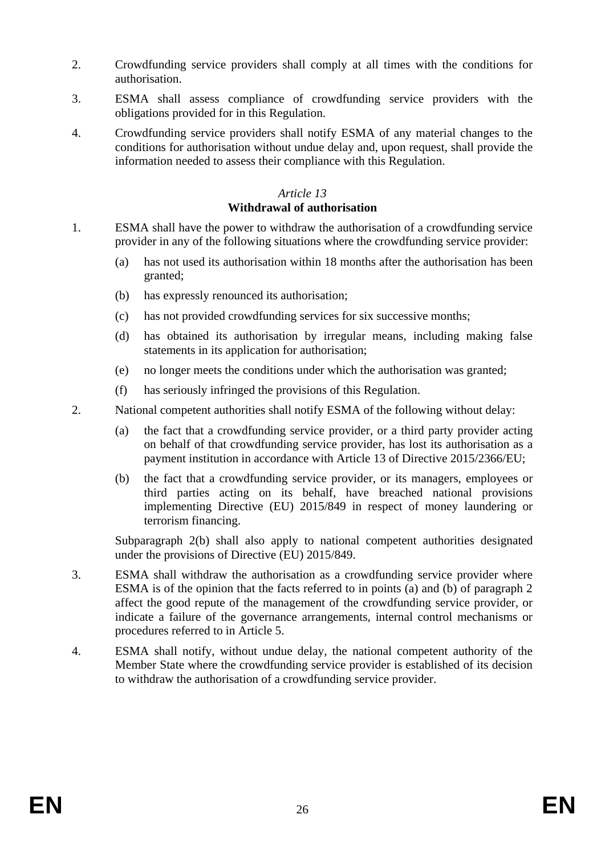- 2. Crowdfunding service providers shall comply at all times with the conditions for authorisation.
- 3. ESMA shall assess compliance of crowdfunding service providers with the obligations provided for in this Regulation.
- 4. Crowdfunding service providers shall notify ESMA of any material changes to the conditions for authorisation without undue delay and, upon request, shall provide the information needed to assess their compliance with this Regulation.

# *Article 13*

## **Withdrawal of authorisation**

- 1. ESMA shall have the power to withdraw the authorisation of a crowdfunding service provider in any of the following situations where the crowdfunding service provider:
	- (a) has not used its authorisation within 18 months after the authorisation has been granted;
	- (b) has expressly renounced its authorisation;
	- (c) has not provided crowdfunding services for six successive months;
	- (d) has obtained its authorisation by irregular means, including making false statements in its application for authorisation;
	- (e) no longer meets the conditions under which the authorisation was granted;
	- (f) has seriously infringed the provisions of this Regulation.
- 2. National competent authorities shall notify ESMA of the following without delay:
	- (a) the fact that a crowdfunding service provider, or a third party provider acting on behalf of that crowdfunding service provider, has lost its authorisation as a payment institution in accordance with Article 13 of Directive 2015/2366/EU;
	- (b) the fact that a crowdfunding service provider, or its managers, employees or third parties acting on its behalf, have breached national provisions implementing Directive (EU) 2015/849 in respect of money laundering or terrorism financing.

Subparagraph 2(b) shall also apply to national competent authorities designated under the provisions of Directive (EU) 2015/849.

- 3. ESMA shall withdraw the authorisation as a crowdfunding service provider where ESMA is of the opinion that the facts referred to in points (a) and (b) of paragraph 2 affect the good repute of the management of the crowdfunding service provider, or indicate a failure of the governance arrangements, internal control mechanisms or procedures referred to in Article 5.
- 4. ESMA shall notify, without undue delay, the national competent authority of the Member State where the crowdfunding service provider is established of its decision to withdraw the authorisation of a crowdfunding service provider.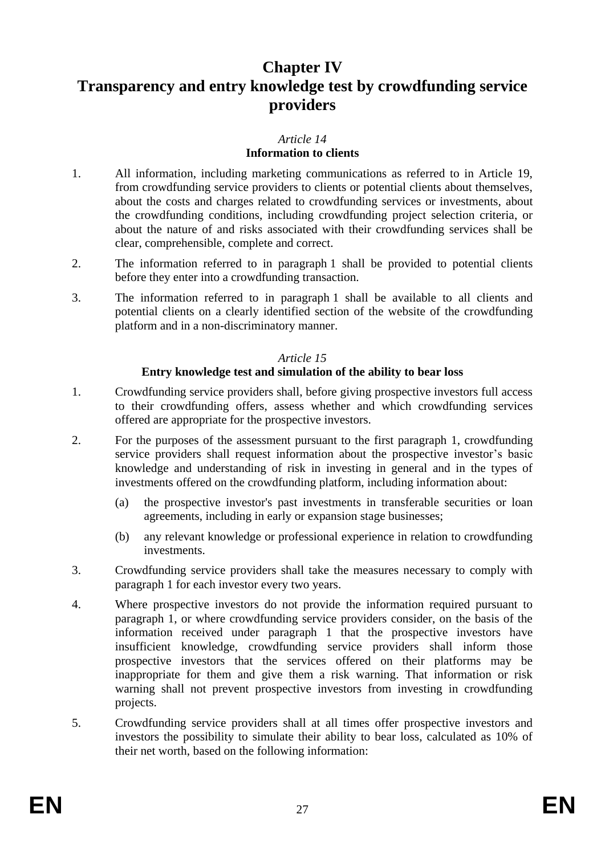# **Chapter IV**

# **Transparency and entry knowledge test by crowdfunding service providers**

# *Article 14*

# **Information to clients**

- 1. All information, including marketing communications as referred to in Article 19, from crowdfunding service providers to clients or potential clients about themselves, about the costs and charges related to crowdfunding services or investments, about the crowdfunding conditions, including crowdfunding project selection criteria, or about the nature of and risks associated with their crowdfunding services shall be clear, comprehensible, complete and correct.
- 2. The information referred to in paragraph 1 shall be provided to potential clients before they enter into a crowdfunding transaction.
- 3. The information referred to in paragraph 1 shall be available to all clients and potential clients on a clearly identified section of the website of the crowdfunding platform and in a non-discriminatory manner.

## *Article 15*

# **Entry knowledge test and simulation of the ability to bear loss**

- 1. Crowdfunding service providers shall, before giving prospective investors full access to their crowdfunding offers, assess whether and which crowdfunding services offered are appropriate for the prospective investors.
- 2. For the purposes of the assessment pursuant to the first paragraph 1, crowdfunding service providers shall request information about the prospective investor's basic knowledge and understanding of risk in investing in general and in the types of investments offered on the crowdfunding platform, including information about:
	- (a) the prospective investor's past investments in transferable securities or loan agreements, including in early or expansion stage businesses;
	- (b) any relevant knowledge or professional experience in relation to crowdfunding investments.
- 3. Crowdfunding service providers shall take the measures necessary to comply with paragraph 1 for each investor every two years.
- 4. Where prospective investors do not provide the information required pursuant to paragraph 1, or where crowdfunding service providers consider, on the basis of the information received under paragraph 1 that the prospective investors have insufficient knowledge, crowdfunding service providers shall inform those prospective investors that the services offered on their platforms may be inappropriate for them and give them a risk warning. That information or risk warning shall not prevent prospective investors from investing in crowdfunding projects.
- 5. Crowdfunding service providers shall at all times offer prospective investors and investors the possibility to simulate their ability to bear loss, calculated as 10% of their net worth, based on the following information: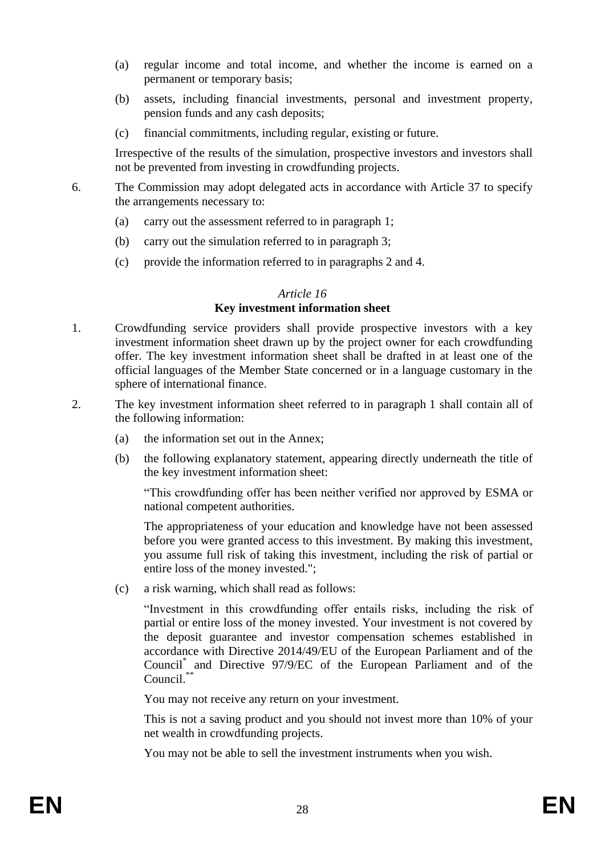- (a) regular income and total income, and whether the income is earned on a permanent or temporary basis;
- (b) assets, including financial investments, personal and investment property, pension funds and any cash deposits;
- (c) financial commitments, including regular, existing or future.

Irrespective of the results of the simulation, prospective investors and investors shall not be prevented from investing in crowdfunding projects.

- 6. The Commission may adopt delegated acts in accordance with Article 37 to specify the arrangements necessary to:
	- (a) carry out the assessment referred to in paragraph 1;
	- (b) carry out the simulation referred to in paragraph 3;
	- (c) provide the information referred to in paragraphs 2 and 4.

#### *Article 16*

# **Key investment information sheet**

- 1. Crowdfunding service providers shall provide prospective investors with a key investment information sheet drawn up by the project owner for each crowdfunding offer. The key investment information sheet shall be drafted in at least one of the official languages of the Member State concerned or in a language customary in the sphere of international finance.
- 2. The key investment information sheet referred to in paragraph 1 shall contain all of the following information:
	- (a) the information set out in the Annex;
	- (b) the following explanatory statement, appearing directly underneath the title of the key investment information sheet:

"This crowdfunding offer has been neither verified nor approved by ESMA or national competent authorities.

The appropriateness of your education and knowledge have not been assessed before you were granted access to this investment. By making this investment, you assume full risk of taking this investment, including the risk of partial or entire loss of the money invested.";

(c) a risk warning, which shall read as follows:

"Investment in this crowdfunding offer entails risks, including the risk of partial or entire loss of the money invested. Your investment is not covered by the deposit guarantee and investor compensation schemes established in accordance with Directive 2014/49/EU of the European Parliament and of the Council\* and Directive 97/9/EC of the European Parliament and of the Council.\*\*

You may not receive any return on your investment.

This is not a saving product and you should not invest more than 10% of your net wealth in crowdfunding projects.

You may not be able to sell the investment instruments when you wish.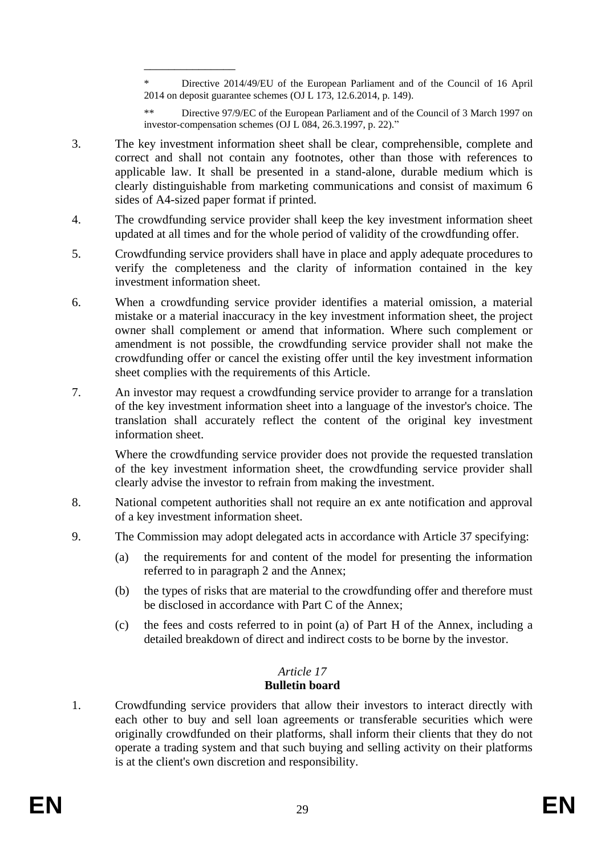\* Directive 2014/49/EU of the European Parliament and of the Council of 16 April 2014 on deposit guarantee schemes (OJ L 173, 12.6.2014, p. 149).

Directive 97/9/EC of the European Parliament and of the Council of 3 March 1997 on investor-compensation schemes (OJ L 084, 26.3.1997, p. 22)."

3. The key investment information sheet shall be clear, comprehensible, complete and correct and shall not contain any footnotes, other than those with references to applicable law. It shall be presented in a stand-alone, durable medium which is clearly distinguishable from marketing communications and consist of maximum 6 sides of A4-sized paper format if printed.

\_\_\_\_\_\_\_\_\_\_\_\_\_\_\_

- 4. The crowdfunding service provider shall keep the key investment information sheet updated at all times and for the whole period of validity of the crowdfunding offer.
- 5. Crowdfunding service providers shall have in place and apply adequate procedures to verify the completeness and the clarity of information contained in the key investment information sheet.
- 6. When a crowdfunding service provider identifies a material omission, a material mistake or a material inaccuracy in the key investment information sheet, the project owner shall complement or amend that information. Where such complement or amendment is not possible, the crowdfunding service provider shall not make the crowdfunding offer or cancel the existing offer until the key investment information sheet complies with the requirements of this Article.
- 7. An investor may request a crowdfunding service provider to arrange for a translation of the key investment information sheet into a language of the investor's choice. The translation shall accurately reflect the content of the original key investment information sheet.

Where the crowdfunding service provider does not provide the requested translation of the key investment information sheet, the crowdfunding service provider shall clearly advise the investor to refrain from making the investment.

- 8. National competent authorities shall not require an ex ante notification and approval of a key investment information sheet.
- 9. The Commission may adopt delegated acts in accordance with Article 37 specifying:
	- (a) the requirements for and content of the model for presenting the information referred to in paragraph 2 and the Annex;
	- (b) the types of risks that are material to the crowdfunding offer and therefore must be disclosed in accordance with Part C of the Annex;
	- (c) the fees and costs referred to in point (a) of Part H of the Annex, including a detailed breakdown of direct and indirect costs to be borne by the investor.

# *Article 17*

# **Bulletin board**

1. Crowdfunding service providers that allow their investors to interact directly with each other to buy and sell loan agreements or transferable securities which were originally crowdfunded on their platforms, shall inform their clients that they do not operate a trading system and that such buying and selling activity on their platforms is at the client's own discretion and responsibility.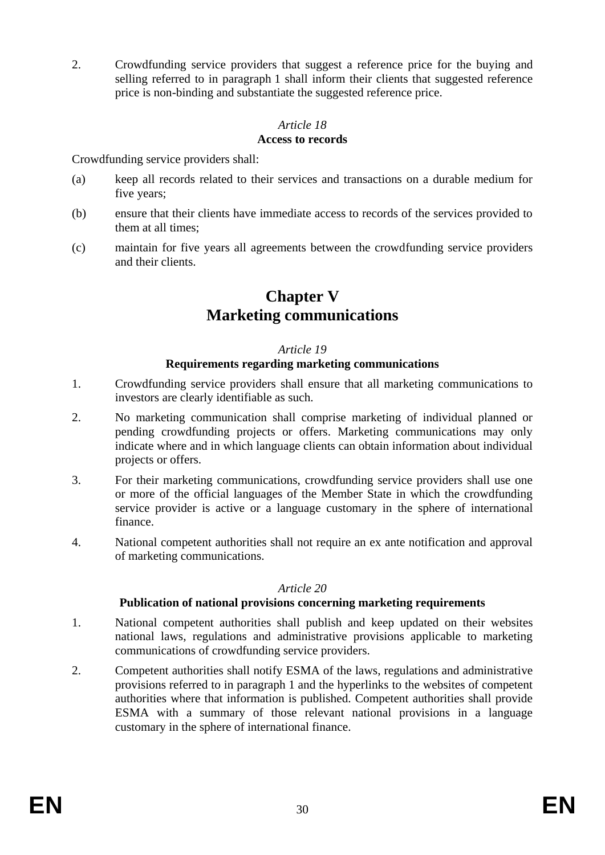2. Crowdfunding service providers that suggest a reference price for the buying and selling referred to in paragraph 1 shall inform their clients that suggested reference price is non-binding and substantiate the suggested reference price.

#### *Article 18* **Access to records**

Crowdfunding service providers shall:

- (a) keep all records related to their services and transactions on a durable medium for five years;
- (b) ensure that their clients have immediate access to records of the services provided to them at all times;
- (c) maintain for five years all agreements between the crowdfunding service providers and their clients.

# **Chapter V Marketing communications**

#### *Article 19*

## **Requirements regarding marketing communications**

- 1. Crowdfunding service providers shall ensure that all marketing communications to investors are clearly identifiable as such.
- 2. No marketing communication shall comprise marketing of individual planned or pending crowdfunding projects or offers. Marketing communications may only indicate where and in which language clients can obtain information about individual projects or offers.
- 3. For their marketing communications, crowdfunding service providers shall use one or more of the official languages of the Member State in which the crowdfunding service provider is active or a language customary in the sphere of international finance.
- 4. National competent authorities shall not require an ex ante notification and approval of marketing communications.

#### *Article 20*

#### **Publication of national provisions concerning marketing requirements**

- 1. National competent authorities shall publish and keep updated on their websites national laws, regulations and administrative provisions applicable to marketing communications of crowdfunding service providers.
- 2. Competent authorities shall notify ESMA of the laws, regulations and administrative provisions referred to in paragraph 1 and the hyperlinks to the websites of competent authorities where that information is published. Competent authorities shall provide ESMA with a summary of those relevant national provisions in a language customary in the sphere of international finance.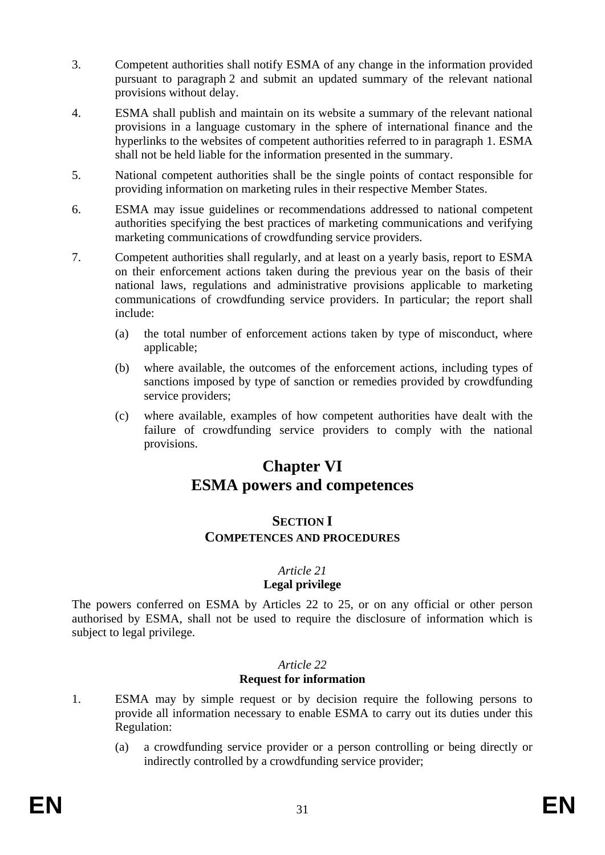- 3. Competent authorities shall notify ESMA of any change in the information provided pursuant to paragraph 2 and submit an updated summary of the relevant national provisions without delay.
- 4. ESMA shall publish and maintain on its website a summary of the relevant national provisions in a language customary in the sphere of international finance and the hyperlinks to the websites of competent authorities referred to in paragraph 1. ESMA shall not be held liable for the information presented in the summary.
- 5. National competent authorities shall be the single points of contact responsible for providing information on marketing rules in their respective Member States.
- 6. ESMA may issue guidelines or recommendations addressed to national competent authorities specifying the best practices of marketing communications and verifying marketing communications of crowdfunding service providers.
- 7. Competent authorities shall regularly, and at least on a yearly basis, report to ESMA on their enforcement actions taken during the previous year on the basis of their national laws, regulations and administrative provisions applicable to marketing communications of crowdfunding service providers. In particular; the report shall include:
	- (a) the total number of enforcement actions taken by type of misconduct, where applicable;
	- (b) where available, the outcomes of the enforcement actions, including types of sanctions imposed by type of sanction or remedies provided by crowdfunding service providers;
	- (c) where available, examples of how competent authorities have dealt with the failure of crowdfunding service providers to comply with the national provisions.

# **Chapter VI ESMA powers and competences**

# **SECTION I COMPETENCES AND PROCEDURES**

# *Article 21*

# **Legal privilege**

The powers conferred on ESMA by Articles 22 to 25, or on any official or other person authorised by ESMA, shall not be used to require the disclosure of information which is subject to legal privilege.

# *Article 22* **Request for information**

- 1. ESMA may by simple request or by decision require the following persons to provide all information necessary to enable ESMA to carry out its duties under this Regulation:
	- (a) a crowdfunding service provider or a person controlling or being directly or indirectly controlled by a crowdfunding service provider;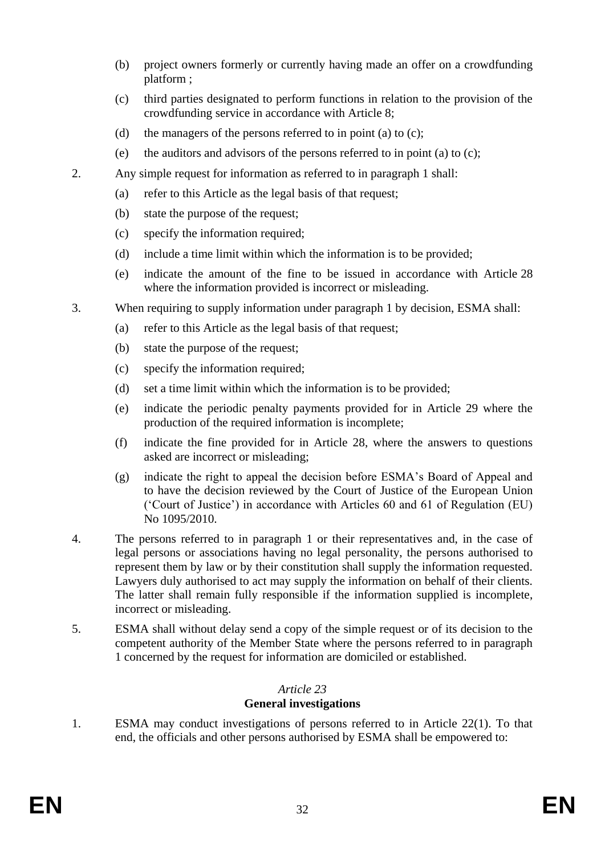- (b) project owners formerly or currently having made an offer on a crowdfunding platform ;
- (c) third parties designated to perform functions in relation to the provision of the crowdfunding service in accordance with Article 8;
- (d) the managers of the persons referred to in point (a) to  $(c)$ ;
- (e) the auditors and advisors of the persons referred to in point (a) to (c);
- 2. Any simple request for information as referred to in paragraph 1 shall:
	- (a) refer to this Article as the legal basis of that request;
	- (b) state the purpose of the request;
	- (c) specify the information required;
	- (d) include a time limit within which the information is to be provided;
	- (e) indicate the amount of the fine to be issued in accordance with Article 28 where the information provided is incorrect or misleading.
- 3. When requiring to supply information under paragraph 1 by decision, ESMA shall:
	- (a) refer to this Article as the legal basis of that request;
	- (b) state the purpose of the request;
	- (c) specify the information required;
	- (d) set a time limit within which the information is to be provided;
	- (e) indicate the periodic penalty payments provided for in Article 29 where the production of the required information is incomplete;
	- (f) indicate the fine provided for in Article 28, where the answers to questions asked are incorrect or misleading;
	- (g) indicate the right to appeal the decision before ESMA's Board of Appeal and to have the decision reviewed by the Court of Justice of the European Union ('Court of Justice') in accordance with Articles 60 and 61 of Regulation (EU) No 1095/2010.
- 4. The persons referred to in paragraph 1 or their representatives and, in the case of legal persons or associations having no legal personality, the persons authorised to represent them by law or by their constitution shall supply the information requested. Lawyers duly authorised to act may supply the information on behalf of their clients. The latter shall remain fully responsible if the information supplied is incomplete, incorrect or misleading.
- 5. ESMA shall without delay send a copy of the simple request or of its decision to the competent authority of the Member State where the persons referred to in paragraph 1 concerned by the request for information are domiciled or established.

# *Article 23* **General investigations**

1. ESMA may conduct investigations of persons referred to in Article 22(1). To that end, the officials and other persons authorised by ESMA shall be empowered to: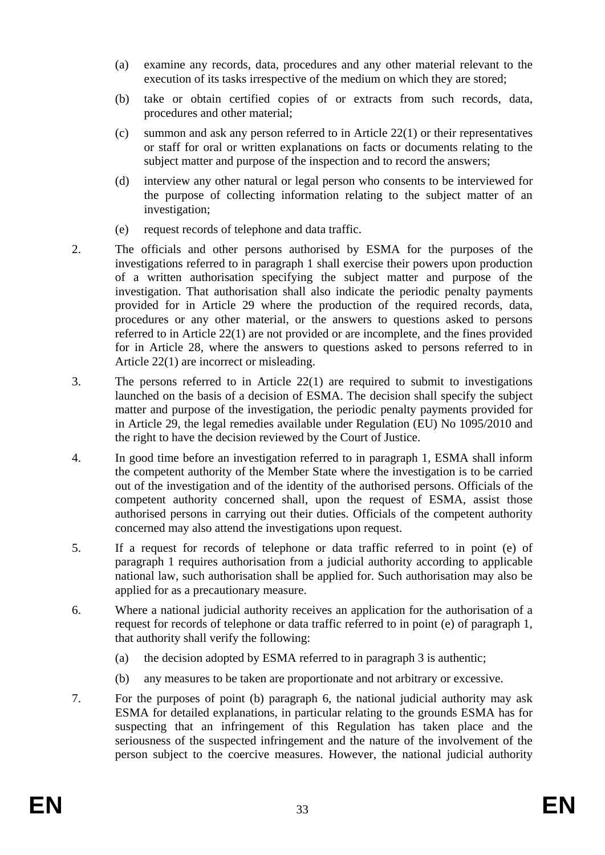- (a) examine any records, data, procedures and any other material relevant to the execution of its tasks irrespective of the medium on which they are stored;
- (b) take or obtain certified copies of or extracts from such records, data, procedures and other material;
- (c) summon and ask any person referred to in Article 22(1) or their representatives or staff for oral or written explanations on facts or documents relating to the subject matter and purpose of the inspection and to record the answers;
- (d) interview any other natural or legal person who consents to be interviewed for the purpose of collecting information relating to the subject matter of an investigation;
- (e) request records of telephone and data traffic.
- 2. The officials and other persons authorised by ESMA for the purposes of the investigations referred to in paragraph 1 shall exercise their powers upon production of a written authorisation specifying the subject matter and purpose of the investigation. That authorisation shall also indicate the periodic penalty payments provided for in Article 29 where the production of the required records, data, procedures or any other material, or the answers to questions asked to persons referred to in Article 22(1) are not provided or are incomplete, and the fines provided for in Article 28, where the answers to questions asked to persons referred to in Article 22(1) are incorrect or misleading.
- 3. The persons referred to in Article 22(1) are required to submit to investigations launched on the basis of a decision of ESMA. The decision shall specify the subject matter and purpose of the investigation, the periodic penalty payments provided for in Article 29, the legal remedies available under Regulation (EU) No 1095/2010 and the right to have the decision reviewed by the Court of Justice.
- 4. In good time before an investigation referred to in paragraph 1, ESMA shall inform the competent authority of the Member State where the investigation is to be carried out of the investigation and of the identity of the authorised persons. Officials of the competent authority concerned shall, upon the request of ESMA, assist those authorised persons in carrying out their duties. Officials of the competent authority concerned may also attend the investigations upon request.
- 5. If a request for records of telephone or data traffic referred to in point (e) of paragraph 1 requires authorisation from a judicial authority according to applicable national law, such authorisation shall be applied for. Such authorisation may also be applied for as a precautionary measure.
- 6. Where a national judicial authority receives an application for the authorisation of a request for records of telephone or data traffic referred to in point (e) of paragraph 1, that authority shall verify the following:
	- (a) the decision adopted by ESMA referred to in paragraph 3 is authentic;
	- (b) any measures to be taken are proportionate and not arbitrary or excessive.
- 7. For the purposes of point (b) paragraph 6, the national judicial authority may ask ESMA for detailed explanations, in particular relating to the grounds ESMA has for suspecting that an infringement of this Regulation has taken place and the seriousness of the suspected infringement and the nature of the involvement of the person subject to the coercive measures. However, the national judicial authority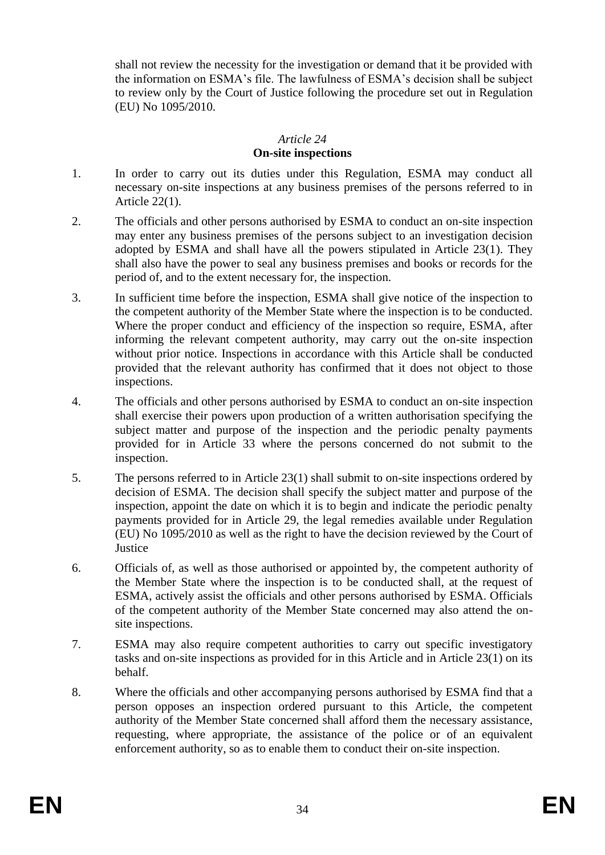shall not review the necessity for the investigation or demand that it be provided with the information on ESMA's file. The lawfulness of ESMA's decision shall be subject to review only by the Court of Justice following the procedure set out in Regulation (EU) No 1095/2010.

#### *Article 24*

#### **On-site inspections**

- 1. In order to carry out its duties under this Regulation, ESMA may conduct all necessary on-site inspections at any business premises of the persons referred to in Article 22(1).
- 2. The officials and other persons authorised by ESMA to conduct an on-site inspection may enter any business premises of the persons subject to an investigation decision adopted by ESMA and shall have all the powers stipulated in Article 23(1). They shall also have the power to seal any business premises and books or records for the period of, and to the extent necessary for, the inspection.
- 3. In sufficient time before the inspection, ESMA shall give notice of the inspection to the competent authority of the Member State where the inspection is to be conducted. Where the proper conduct and efficiency of the inspection so require, ESMA, after informing the relevant competent authority, may carry out the on-site inspection without prior notice. Inspections in accordance with this Article shall be conducted provided that the relevant authority has confirmed that it does not object to those inspections.
- 4. The officials and other persons authorised by ESMA to conduct an on-site inspection shall exercise their powers upon production of a written authorisation specifying the subject matter and purpose of the inspection and the periodic penalty payments provided for in Article 33 where the persons concerned do not submit to the inspection.
- 5. The persons referred to in Article 23(1) shall submit to on-site inspections ordered by decision of ESMA. The decision shall specify the subject matter and purpose of the inspection, appoint the date on which it is to begin and indicate the periodic penalty payments provided for in Article 29, the legal remedies available under Regulation (EU) No 1095/2010 as well as the right to have the decision reviewed by the Court of **Justice**
- 6. Officials of, as well as those authorised or appointed by, the competent authority of the Member State where the inspection is to be conducted shall, at the request of ESMA, actively assist the officials and other persons authorised by ESMA. Officials of the competent authority of the Member State concerned may also attend the onsite inspections.
- 7. ESMA may also require competent authorities to carry out specific investigatory tasks and on-site inspections as provided for in this Article and in Article 23(1) on its behalf.
- 8. Where the officials and other accompanying persons authorised by ESMA find that a person opposes an inspection ordered pursuant to this Article, the competent authority of the Member State concerned shall afford them the necessary assistance, requesting, where appropriate, the assistance of the police or of an equivalent enforcement authority, so as to enable them to conduct their on-site inspection.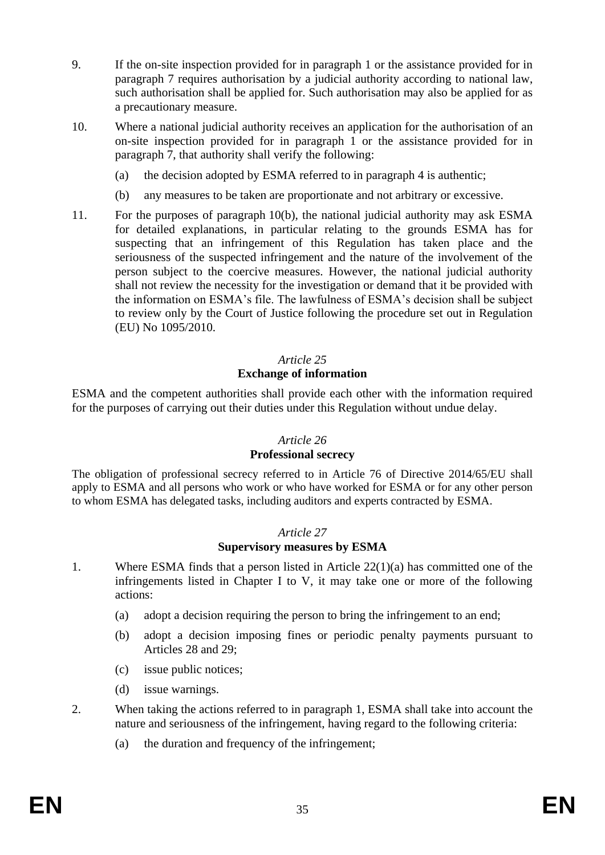- 9. If the on-site inspection provided for in paragraph 1 or the assistance provided for in paragraph 7 requires authorisation by a judicial authority according to national law, such authorisation shall be applied for. Such authorisation may also be applied for as a precautionary measure.
- 10. Where a national judicial authority receives an application for the authorisation of an on-site inspection provided for in paragraph 1 or the assistance provided for in paragraph 7, that authority shall verify the following:
	- (a) the decision adopted by ESMA referred to in paragraph 4 is authentic;
	- (b) any measures to be taken are proportionate and not arbitrary or excessive.
- 11. For the purposes of paragraph 10(b), the national judicial authority may ask ESMA for detailed explanations, in particular relating to the grounds ESMA has for suspecting that an infringement of this Regulation has taken place and the seriousness of the suspected infringement and the nature of the involvement of the person subject to the coercive measures. However, the national judicial authority shall not review the necessity for the investigation or demand that it be provided with the information on ESMA's file. The lawfulness of ESMA's decision shall be subject to review only by the Court of Justice following the procedure set out in Regulation (EU) No 1095/2010.

# *Article 25* **Exchange of information**

ESMA and the competent authorities shall provide each other with the information required for the purposes of carrying out their duties under this Regulation without undue delay.

# *Article 26*

#### **Professional secrecy**

The obligation of professional secrecy referred to in Article 76 of Directive 2014/65/EU shall apply to ESMA and all persons who work or who have worked for ESMA or for any other person to whom ESMA has delegated tasks, including auditors and experts contracted by ESMA.

#### *Article 27*

#### **Supervisory measures by ESMA**

- 1. Where ESMA finds that a person listed in Article 22(1)(a) has committed one of the infringements listed in Chapter I to V, it may take one or more of the following actions:
	- (a) adopt a decision requiring the person to bring the infringement to an end;
	- (b) adopt a decision imposing fines or periodic penalty payments pursuant to Articles 28 and 29;
	- (c) issue public notices;
	- (d) issue warnings.
- 2. When taking the actions referred to in paragraph 1, ESMA shall take into account the nature and seriousness of the infringement, having regard to the following criteria:
	- (a) the duration and frequency of the infringement;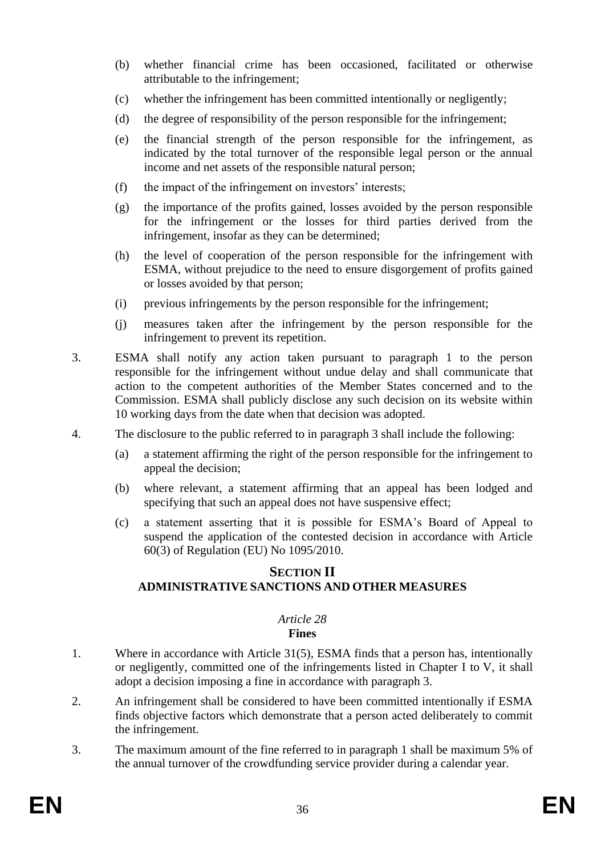- (b) whether financial crime has been occasioned, facilitated or otherwise attributable to the infringement;
- (c) whether the infringement has been committed intentionally or negligently;
- (d) the degree of responsibility of the person responsible for the infringement;
- (e) the financial strength of the person responsible for the infringement, as indicated by the total turnover of the responsible legal person or the annual income and net assets of the responsible natural person;
- (f) the impact of the infringement on investors' interests;
- (g) the importance of the profits gained, losses avoided by the person responsible for the infringement or the losses for third parties derived from the infringement, insofar as they can be determined;
- (h) the level of cooperation of the person responsible for the infringement with ESMA, without prejudice to the need to ensure disgorgement of profits gained or losses avoided by that person;
- (i) previous infringements by the person responsible for the infringement;
- (j) measures taken after the infringement by the person responsible for the infringement to prevent its repetition.
- 3. ESMA shall notify any action taken pursuant to paragraph 1 to the person responsible for the infringement without undue delay and shall communicate that action to the competent authorities of the Member States concerned and to the Commission. ESMA shall publicly disclose any such decision on its website within 10 working days from the date when that decision was adopted.
- 4. The disclosure to the public referred to in paragraph 3 shall include the following:
	- (a) a statement affirming the right of the person responsible for the infringement to appeal the decision;
	- (b) where relevant, a statement affirming that an appeal has been lodged and specifying that such an appeal does not have suspensive effect;
	- (c) a statement asserting that it is possible for ESMA's Board of Appeal to suspend the application of the contested decision in accordance with Article 60(3) of Regulation (EU) No 1095/2010.

## **SECTION II ADMINISTRATIVE SANCTIONS AND OTHER MEASURES**

#### *Article 28* **Fines**

- 1. Where in accordance with Article 31(5), ESMA finds that a person has, intentionally or negligently, committed one of the infringements listed in Chapter I to V, it shall adopt a decision imposing a fine in accordance with paragraph 3.
- 2. An infringement shall be considered to have been committed intentionally if ESMA finds objective factors which demonstrate that a person acted deliberately to commit the infringement.
- 3. The maximum amount of the fine referred to in paragraph 1 shall be maximum 5% of the annual turnover of the crowdfunding service provider during a calendar year.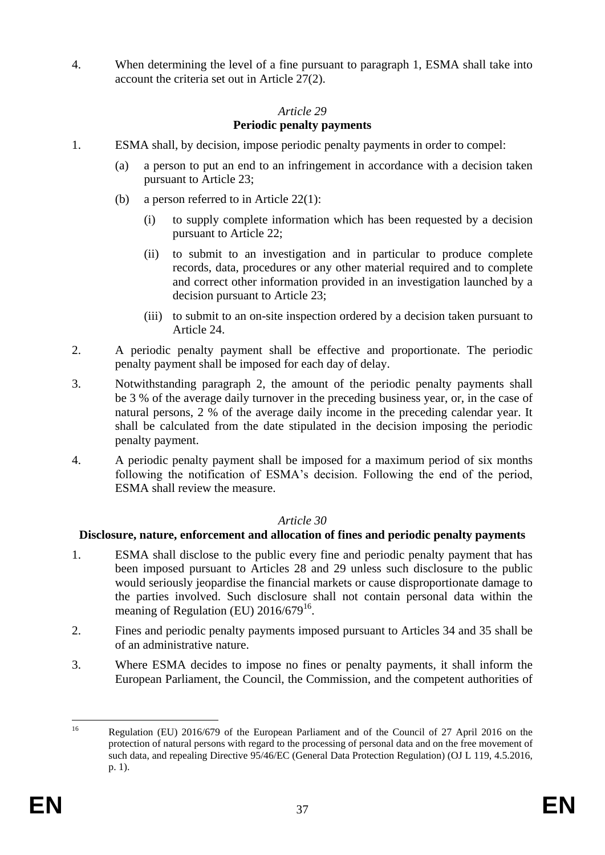4. When determining the level of a fine pursuant to paragraph 1, ESMA shall take into account the criteria set out in Article 27(2).

## *Article 29*

# **Periodic penalty payments**

- 1. ESMA shall, by decision, impose periodic penalty payments in order to compel:
	- (a) a person to put an end to an infringement in accordance with a decision taken pursuant to Article 23;
	- (b) a person referred to in Article 22(1):
		- (i) to supply complete information which has been requested by a decision pursuant to Article 22;
		- (ii) to submit to an investigation and in particular to produce complete records, data, procedures or any other material required and to complete and correct other information provided in an investigation launched by a decision pursuant to Article 23;
		- (iii) to submit to an on-site inspection ordered by a decision taken pursuant to Article 24.
- 2. A periodic penalty payment shall be effective and proportionate. The periodic penalty payment shall be imposed for each day of delay.
- 3. Notwithstanding paragraph 2, the amount of the periodic penalty payments shall be 3 % of the average daily turnover in the preceding business year, or, in the case of natural persons, 2 % of the average daily income in the preceding calendar year. It shall be calculated from the date stipulated in the decision imposing the periodic penalty payment.
- 4. A periodic penalty payment shall be imposed for a maximum period of six months following the notification of ESMA's decision. Following the end of the period, ESMA shall review the measure.

# *Article 30*

# **Disclosure, nature, enforcement and allocation of fines and periodic penalty payments**

- 1. ESMA shall disclose to the public every fine and periodic penalty payment that has been imposed pursuant to Articles 28 and 29 unless such disclosure to the public would seriously jeopardise the financial markets or cause disproportionate damage to the parties involved. Such disclosure shall not contain personal data within the meaning of Regulation (EU)  $2016/679^{16}$ .
- 2. Fines and periodic penalty payments imposed pursuant to Articles 34 and 35 shall be of an administrative nature.
- 3. Where ESMA decides to impose no fines or penalty payments, it shall inform the European Parliament, the Council, the Commission, and the competent authorities of

 $16^{1}$ <sup>16</sup> Regulation (EU) 2016/679 of the European Parliament and of the Council of 27 April 2016 on the protection of natural persons with regard to the processing of personal data and on the free movement of such data, and repealing Directive 95/46/EC (General Data Protection Regulation) (OJ L 119, 4.5.2016, p. 1).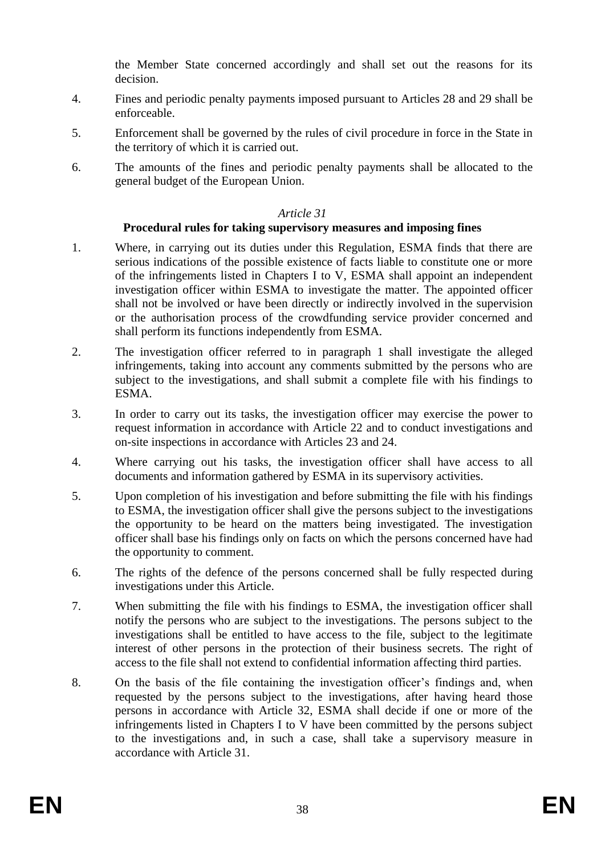the Member State concerned accordingly and shall set out the reasons for its decision.

- 4. Fines and periodic penalty payments imposed pursuant to Articles 28 and 29 shall be enforceable.
- 5. Enforcement shall be governed by the rules of civil procedure in force in the State in the territory of which it is carried out.
- 6. The amounts of the fines and periodic penalty payments shall be allocated to the general budget of the European Union.

#### *Article 31*

#### **Procedural rules for taking supervisory measures and imposing fines**

- 1. Where, in carrying out its duties under this Regulation, ESMA finds that there are serious indications of the possible existence of facts liable to constitute one or more of the infringements listed in Chapters I to V, ESMA shall appoint an independent investigation officer within ESMA to investigate the matter. The appointed officer shall not be involved or have been directly or indirectly involved in the supervision or the authorisation process of the crowdfunding service provider concerned and shall perform its functions independently from ESMA.
- 2. The investigation officer referred to in paragraph 1 shall investigate the alleged infringements, taking into account any comments submitted by the persons who are subject to the investigations, and shall submit a complete file with his findings to ESMA.
- 3. In order to carry out its tasks, the investigation officer may exercise the power to request information in accordance with Article 22 and to conduct investigations and on-site inspections in accordance with Articles 23 and 24.
- 4. Where carrying out his tasks, the investigation officer shall have access to all documents and information gathered by ESMA in its supervisory activities.
- 5. Upon completion of his investigation and before submitting the file with his findings to ESMA, the investigation officer shall give the persons subject to the investigations the opportunity to be heard on the matters being investigated. The investigation officer shall base his findings only on facts on which the persons concerned have had the opportunity to comment.
- 6. The rights of the defence of the persons concerned shall be fully respected during investigations under this Article.
- 7. When submitting the file with his findings to ESMA, the investigation officer shall notify the persons who are subject to the investigations. The persons subject to the investigations shall be entitled to have access to the file, subject to the legitimate interest of other persons in the protection of their business secrets. The right of access to the file shall not extend to confidential information affecting third parties.
- 8. On the basis of the file containing the investigation officer's findings and, when requested by the persons subject to the investigations, after having heard those persons in accordance with Article 32, ESMA shall decide if one or more of the infringements listed in Chapters I to V have been committed by the persons subject to the investigations and, in such a case, shall take a supervisory measure in accordance with Article 31.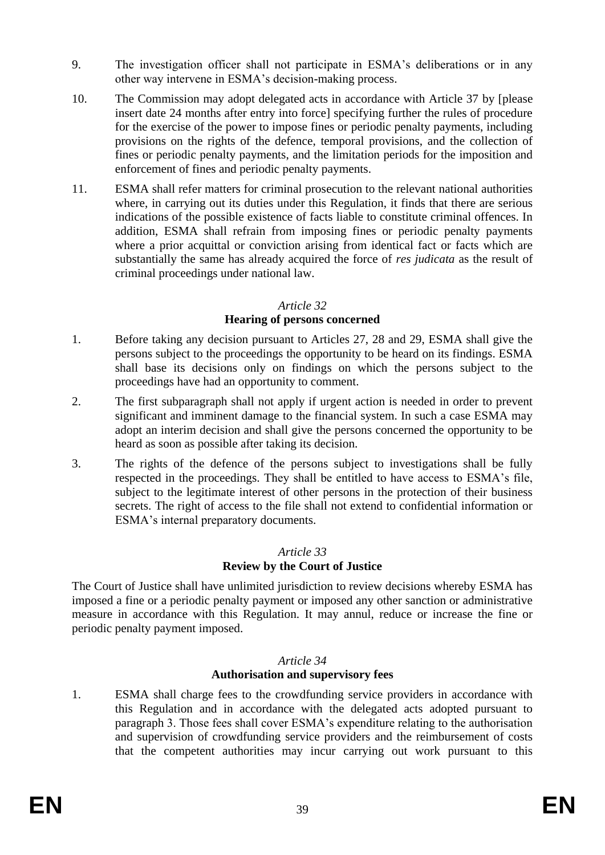- 9. The investigation officer shall not participate in ESMA's deliberations or in any other way intervene in ESMA's decision-making process.
- 10. The Commission may adopt delegated acts in accordance with Article 37 by [please insert date 24 months after entry into force] specifying further the rules of procedure for the exercise of the power to impose fines or periodic penalty payments, including provisions on the rights of the defence, temporal provisions, and the collection of fines or periodic penalty payments, and the limitation periods for the imposition and enforcement of fines and periodic penalty payments.
- 11. ESMA shall refer matters for criminal prosecution to the relevant national authorities where, in carrying out its duties under this Regulation, it finds that there are serious indications of the possible existence of facts liable to constitute criminal offences. In addition, ESMA shall refrain from imposing fines or periodic penalty payments where a prior acquittal or conviction arising from identical fact or facts which are substantially the same has already acquired the force of *res judicata* as the result of criminal proceedings under national law.

#### *Article 32*

# **Hearing of persons concerned**

- 1. Before taking any decision pursuant to Articles 27, 28 and 29, ESMA shall give the persons subject to the proceedings the opportunity to be heard on its findings. ESMA shall base its decisions only on findings on which the persons subject to the proceedings have had an opportunity to comment.
- 2. The first subparagraph shall not apply if urgent action is needed in order to prevent significant and imminent damage to the financial system. In such a case ESMA may adopt an interim decision and shall give the persons concerned the opportunity to be heard as soon as possible after taking its decision.
- 3. The rights of the defence of the persons subject to investigations shall be fully respected in the proceedings. They shall be entitled to have access to ESMA's file, subject to the legitimate interest of other persons in the protection of their business secrets. The right of access to the file shall not extend to confidential information or ESMA's internal preparatory documents.

# *Article 33*

# **Review by the Court of Justice**

The Court of Justice shall have unlimited jurisdiction to review decisions whereby ESMA has imposed a fine or a periodic penalty payment or imposed any other sanction or administrative measure in accordance with this Regulation. It may annul, reduce or increase the fine or periodic penalty payment imposed.

#### *Article 34*

#### **Authorisation and supervisory fees**

1. ESMA shall charge fees to the crowdfunding service providers in accordance with this Regulation and in accordance with the delegated acts adopted pursuant to paragraph 3. Those fees shall cover ESMA's expenditure relating to the authorisation and supervision of crowdfunding service providers and the reimbursement of costs that the competent authorities may incur carrying out work pursuant to this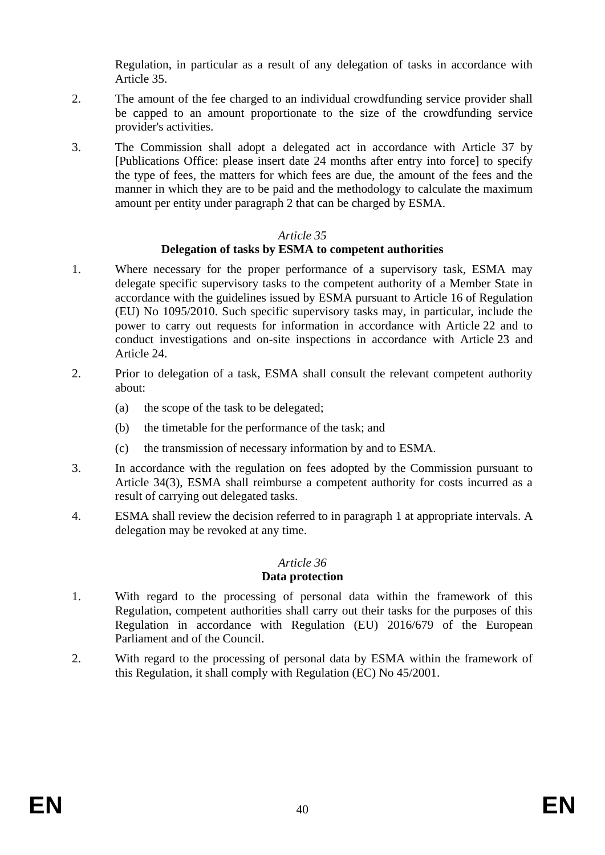Regulation, in particular as a result of any delegation of tasks in accordance with Article 35.

- 2. The amount of the fee charged to an individual crowdfunding service provider shall be capped to an amount proportionate to the size of the crowdfunding service provider's activities.
- 3. The Commission shall adopt a delegated act in accordance with Article 37 by [Publications Office: please insert date 24 months after entry into force] to specify the type of fees, the matters for which fees are due, the amount of the fees and the manner in which they are to be paid and the methodology to calculate the maximum amount per entity under paragraph 2 that can be charged by ESMA.

#### *Article 35*

## **Delegation of tasks by ESMA to competent authorities**

- 1. Where necessary for the proper performance of a supervisory task, ESMA may delegate specific supervisory tasks to the competent authority of a Member State in accordance with the guidelines issued by ESMA pursuant to Article 16 of Regulation (EU) No 1095/2010. Such specific supervisory tasks may, in particular, include the power to carry out requests for information in accordance with Article 22 and to conduct investigations and on-site inspections in accordance with Article 23 and Article 24.
- 2. Prior to delegation of a task, ESMA shall consult the relevant competent authority about:
	- (a) the scope of the task to be delegated;
	- (b) the timetable for the performance of the task; and
	- (c) the transmission of necessary information by and to ESMA.
- 3. In accordance with the regulation on fees adopted by the Commission pursuant to Article 34(3), ESMA shall reimburse a competent authority for costs incurred as a result of carrying out delegated tasks.
- 4. ESMA shall review the decision referred to in paragraph 1 at appropriate intervals. A delegation may be revoked at any time.

# *Article 36*

# **Data protection**

- 1. With regard to the processing of personal data within the framework of this Regulation, competent authorities shall carry out their tasks for the purposes of this Regulation in accordance with Regulation (EU) 2016/679 of the European Parliament and of the Council.
- 2. With regard to the processing of personal data by ESMA within the framework of this Regulation, it shall comply with Regulation (EC) No 45/2001.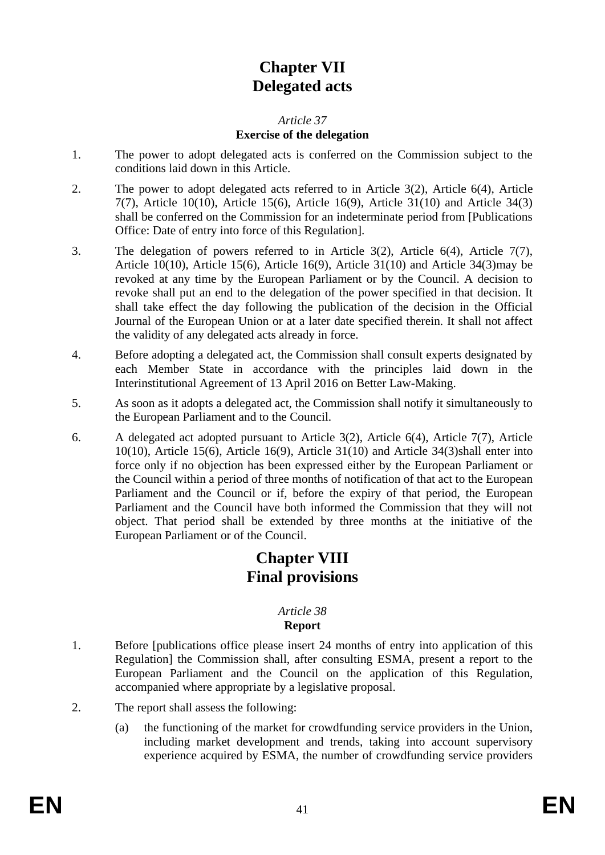# **Chapter VII Delegated acts**

## *Article 37* **Exercise of the delegation**

- 1. The power to adopt delegated acts is conferred on the Commission subject to the conditions laid down in this Article.
- 2. The power to adopt delegated acts referred to in Article 3(2), Article 6(4), Article 7(7), Article 10(10), Article 15(6), Article 16(9), Article 31(10) and Article 34(3) shall be conferred on the Commission for an indeterminate period from [Publications Office: Date of entry into force of this Regulation].
- 3. The delegation of powers referred to in Article 3(2), Article 6(4), Article 7(7), Article 10(10), Article 15(6), Article 16(9), Article 31(10) and Article 34(3)may be revoked at any time by the European Parliament or by the Council. A decision to revoke shall put an end to the delegation of the power specified in that decision. It shall take effect the day following the publication of the decision in the Official Journal of the European Union or at a later date specified therein. It shall not affect the validity of any delegated acts already in force.
- 4. Before adopting a delegated act, the Commission shall consult experts designated by each Member State in accordance with the principles laid down in the Interinstitutional Agreement of 13 April 2016 on Better Law-Making.
- 5. As soon as it adopts a delegated act, the Commission shall notify it simultaneously to the European Parliament and to the Council.
- 6. A delegated act adopted pursuant to Article 3(2), Article 6(4), Article 7(7), Article 10(10), Article 15(6), Article 16(9), Article 31(10) and Article 34(3) shall enter into force only if no objection has been expressed either by the European Parliament or the Council within a period of three months of notification of that act to the European Parliament and the Council or if, before the expiry of that period, the European Parliament and the Council have both informed the Commission that they will not object. That period shall be extended by three months at the initiative of the European Parliament or of the Council.

# **Chapter VIII Final provisions**

#### *Article 38* **Report**

- 1. Before [publications office please insert 24 months of entry into application of this Regulation] the Commission shall, after consulting ESMA, present a report to the European Parliament and the Council on the application of this Regulation, accompanied where appropriate by a legislative proposal.
- 2. The report shall assess the following:
	- (a) the functioning of the market for crowdfunding service providers in the Union, including market development and trends, taking into account supervisory experience acquired by ESMA, the number of crowdfunding service providers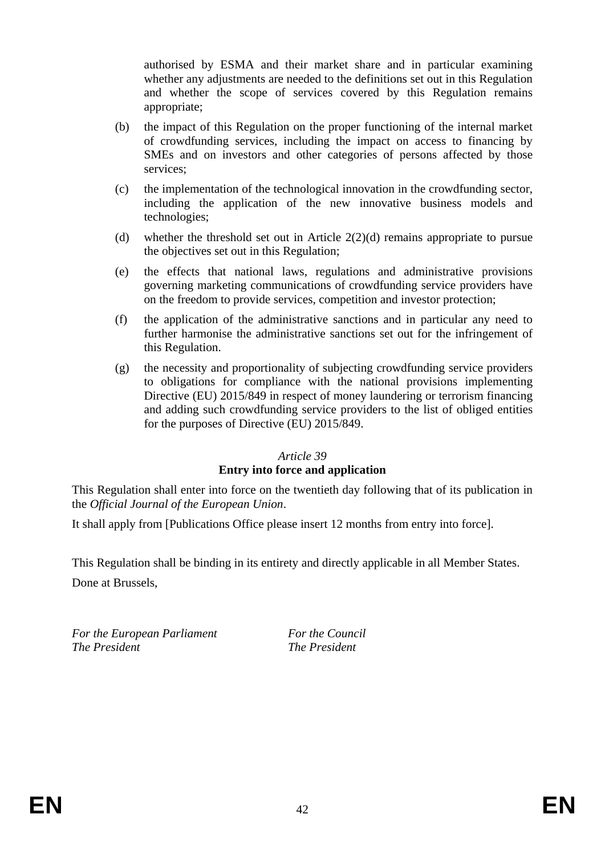authorised by ESMA and their market share and in particular examining whether any adjustments are needed to the definitions set out in this Regulation and whether the scope of services covered by this Regulation remains appropriate;

- (b) the impact of this Regulation on the proper functioning of the internal market of crowdfunding services, including the impact on access to financing by SMEs and on investors and other categories of persons affected by those services;
- (c) the implementation of the technological innovation in the crowdfunding sector, including the application of the new innovative business models and technologies;
- (d) whether the threshold set out in Article 2(2)(d) remains appropriate to pursue the objectives set out in this Regulation;
- (e) the effects that national laws, regulations and administrative provisions governing marketing communications of crowdfunding service providers have on the freedom to provide services, competition and investor protection;
- (f) the application of the administrative sanctions and in particular any need to further harmonise the administrative sanctions set out for the infringement of this Regulation.
- (g) the necessity and proportionality of subjecting crowdfunding service providers to obligations for compliance with the national provisions implementing Directive (EU) 2015/849 in respect of money laundering or terrorism financing and adding such crowdfunding service providers to the list of obliged entities for the purposes of Directive (EU) 2015/849.

#### *Article 39*

#### **Entry into force and application**

This Regulation shall enter into force on the twentieth day following that of its publication in the *Official Journal of the European Union*.

It shall apply from [Publications Office please insert 12 months from entry into force].

This Regulation shall be binding in its entirety and directly applicable in all Member States. Done at Brussels,

*For the European Parliament For the Council The President The President*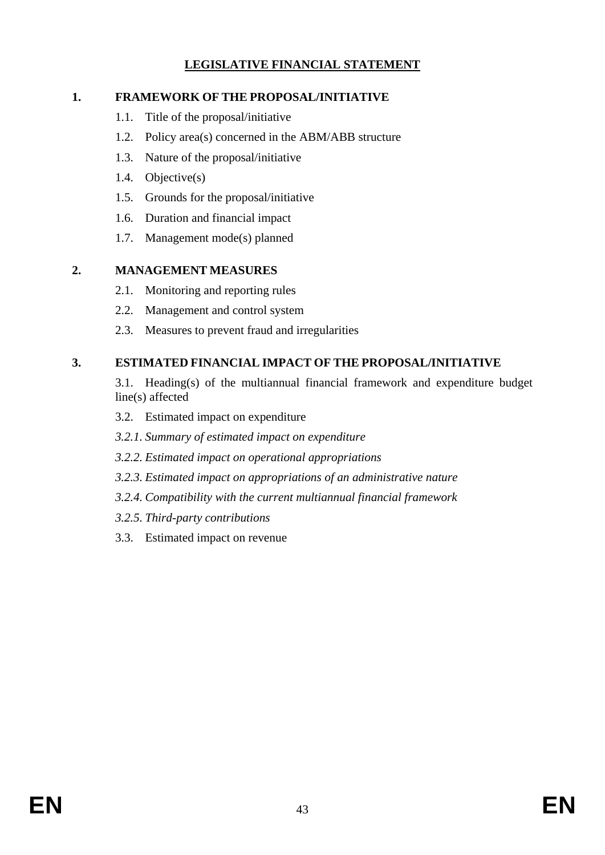# **LEGISLATIVE FINANCIAL STATEMENT**

# **1. FRAMEWORK OF THE PROPOSAL/INITIATIVE**

- 1.1. Title of the proposal/initiative
- 1.2. Policy area(s) concerned in the ABM/ABB structure
- 1.3. Nature of the proposal/initiative
- 1.4. Objective(s)
- 1.5. Grounds for the proposal/initiative
- 1.6. Duration and financial impact
- 1.7. Management mode(s) planned

# **2. MANAGEMENT MEASURES**

- 2.1. Monitoring and reporting rules
- 2.2. Management and control system
- 2.3. Measures to prevent fraud and irregularities

# **3. ESTIMATED FINANCIAL IMPACT OF THE PROPOSAL/INITIATIVE**

- 3.1. Heading(s) of the multiannual financial framework and expenditure budget line(s) affected
- 3.2. Estimated impact on expenditure
- *3.2.1. Summary of estimated impact on expenditure*
- *3.2.2. Estimated impact on operational appropriations*
- *3.2.3. Estimated impact on appropriations of an administrative nature*
- *3.2.4. Compatibility with the current multiannual financial framework*
- *3.2.5. Third-party contributions*
- 3.3. Estimated impact on revenue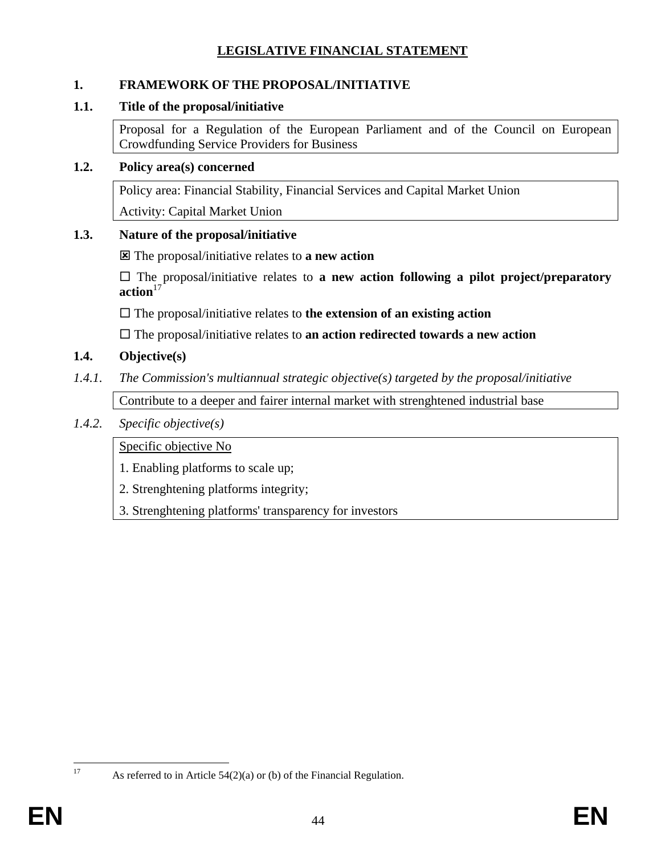# **LEGISLATIVE FINANCIAL STATEMENT**

## **1. FRAMEWORK OF THE PROPOSAL/INITIATIVE**

### **1.1. Title of the proposal/initiative**

Proposal for a Regulation of the European Parliament and of the Council on European Crowdfunding Service Providers for Business

#### **1.2. Policy area(s) concerned**

Policy area: Financial Stability, Financial Services and Capital Market Union

Activity: Capital Market Union

# **1.3. Nature of the proposal/initiative**

The proposal/initiative relates to **a new action** 

 The proposal/initiative relates to **a new action following a pilot project/preparatory**  action<sup>17</sup>

The proposal/initiative relates to **the extension of an existing action**

The proposal/initiative relates to **an action redirected towards a new action**

# **1.4. Objective(s)**

*1.4.1. The Commission's multiannual strategic objective(s) targeted by the proposal/initiative* 

Contribute to a deeper and fairer internal market with strenghtened industrial base

## *1.4.2. Specific objective(s)*

Specific objective No

1. Enabling platforms to scale up;

2. Strenghtening platforms integrity;

3. Strenghtening platforms' transparency for investors

 $17$ 

As referred to in Article  $54(2)(a)$  or (b) of the Financial Regulation.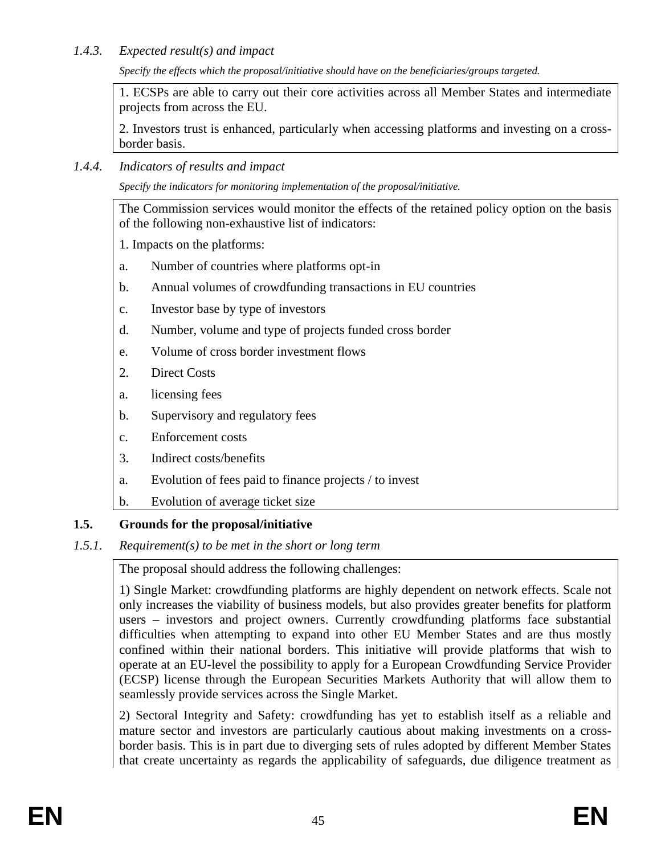## *1.4.3. Expected result(s) and impact*

*Specify the effects which the proposal/initiative should have on the beneficiaries/groups targeted.*

1. ECSPs are able to carry out their core activities across all Member States and intermediate projects from across the EU.

2. Investors trust is enhanced, particularly when accessing platforms and investing on a crossborder basis.

*1.4.4. Indicators of results and impact* 

*Specify the indicators for monitoring implementation of the proposal/initiative.*

The Commission services would monitor the effects of the retained policy option on the basis of the following non-exhaustive list of indicators:

1. Impacts on the platforms:

- a. Number of countries where platforms opt-in
- b. Annual volumes of crowdfunding transactions in EU countries
- c. Investor base by type of investors
- d. Number, volume and type of projects funded cross border
- e. Volume of cross border investment flows
- 2. Direct Costs
- a. licensing fees
- b. Supervisory and regulatory fees
- c. Enforcement costs
- 3. Indirect costs/benefits
- a. Evolution of fees paid to finance projects / to invest
- b. Evolution of average ticket size

# **1.5. Grounds for the proposal/initiative**

*1.5.1. Requirement(s) to be met in the short or long term* 

The proposal should address the following challenges:

1) Single Market: crowdfunding platforms are highly dependent on network effects. Scale not only increases the viability of business models, but also provides greater benefits for platform users – investors and project owners. Currently crowdfunding platforms face substantial difficulties when attempting to expand into other EU Member States and are thus mostly confined within their national borders. This initiative will provide platforms that wish to operate at an EU-level the possibility to apply for a European Crowdfunding Service Provider (ECSP) license through the European Securities Markets Authority that will allow them to seamlessly provide services across the Single Market.

2) Sectoral Integrity and Safety: crowdfunding has yet to establish itself as a reliable and mature sector and investors are particularly cautious about making investments on a crossborder basis. This is in part due to diverging sets of rules adopted by different Member States that create uncertainty as regards the applicability of safeguards, due diligence treatment as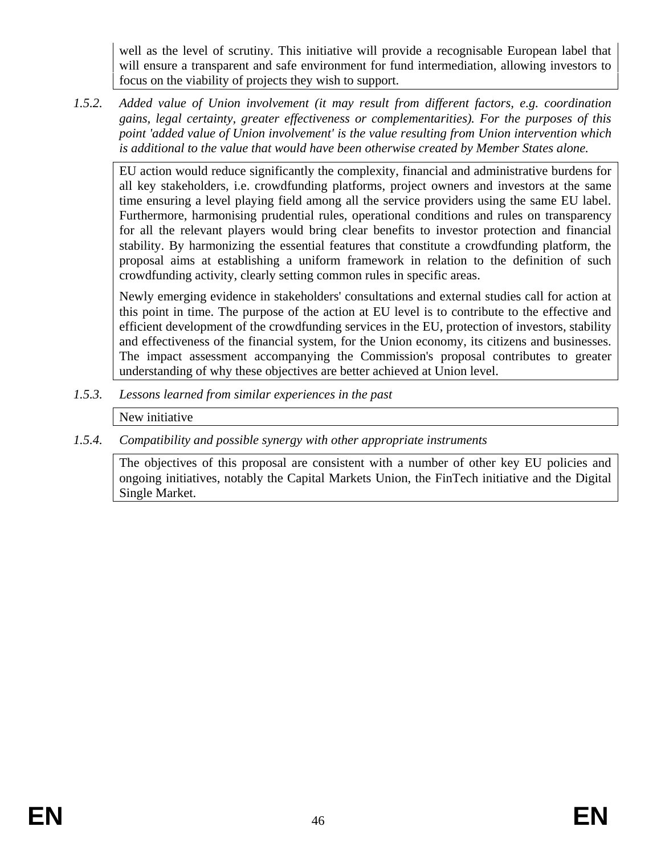well as the level of scrutiny. This initiative will provide a recognisable European label that will ensure a transparent and safe environment for fund intermediation, allowing investors to focus on the viability of projects they wish to support.

*1.5.2. Added value of Union involvement (it may result from different factors, e.g. coordination gains, legal certainty, greater effectiveness or complementarities). For the purposes of this point 'added value of Union involvement' is the value resulting from Union intervention which is additional to the value that would have been otherwise created by Member States alone.*

EU action would reduce significantly the complexity, financial and administrative burdens for all key stakeholders, i.e. crowdfunding platforms, project owners and investors at the same time ensuring a level playing field among all the service providers using the same EU label. Furthermore, harmonising prudential rules, operational conditions and rules on transparency for all the relevant players would bring clear benefits to investor protection and financial stability. By harmonizing the essential features that constitute a crowdfunding platform, the proposal aims at establishing a uniform framework in relation to the definition of such crowdfunding activity, clearly setting common rules in specific areas.

Newly emerging evidence in stakeholders' consultations and external studies call for action at this point in time. The purpose of the action at EU level is to contribute to the effective and efficient development of the crowdfunding services in the EU, protection of investors, stability and effectiveness of the financial system, for the Union economy, its citizens and businesses. The impact assessment accompanying the Commission's proposal contributes to greater understanding of why these objectives are better achieved at Union level.

*1.5.3. Lessons learned from similar experiences in the past*

New initiative

*1.5.4. Compatibility and possible synergy with other appropriate instruments*

The objectives of this proposal are consistent with a number of other key EU policies and ongoing initiatives, notably the Capital Markets Union, the FinTech initiative and the Digital Single Market.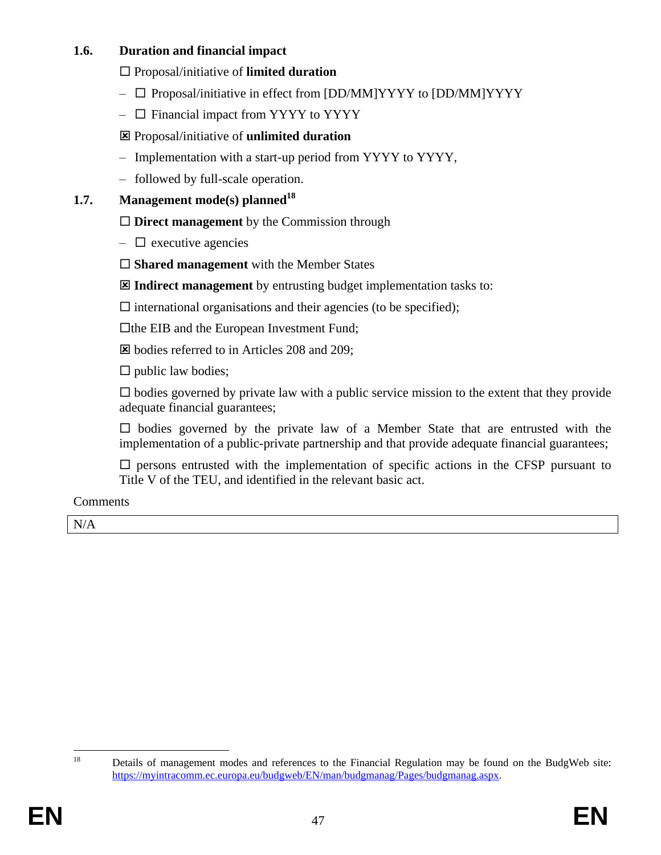# **1.6. Duration and financial impact**

Proposal/initiative of **limited duration** 

- $\Box$  Proposal/initiative in effect from [DD/MM]YYYY to [DD/MM]YYYY
- $\Box$  Financial impact from YYYY to YYYY
- Proposal/initiative of **unlimited duration**
- Implementation with a start-up period from YYYY to YYYY,
- followed by full-scale operation.

# **1.7. Management mode(s) planned<sup>18</sup>**

□ **Direct management** by the Commission through

- $\Box$  executive agencies
- **Shared management** with the Member States

**Indirect management** by entrusting budget implementation tasks to:

 $\square$  international organisations and their agencies (to be specified);

 $\Box$  the EIB and the European Investment Fund;

bodies referred to in Articles 208 and 209;

 $\square$  public law bodies;

 $\square$  bodies governed by private law with a public service mission to the extent that they provide adequate financial guarantees;

 $\square$  bodies governed by the private law of a Member State that are entrusted with the implementation of a public-private partnership and that provide adequate financial guarantees;

 $\square$  persons entrusted with the implementation of specific actions in the CFSP pursuant to Title V of the TEU, and identified in the relevant basic act.

**Comments** 

N/A

18

Details of management modes and references to the Financial Regulation may be found on the BudgWeb site: [https://myintracomm.ec.europa.eu/budgweb/EN/man/budgmanag/Pages/budgmanag.aspx.](https://myintracomm.ec.europa.eu/budgweb/EN/man/budgmanag/Pages/budgmanag.aspx)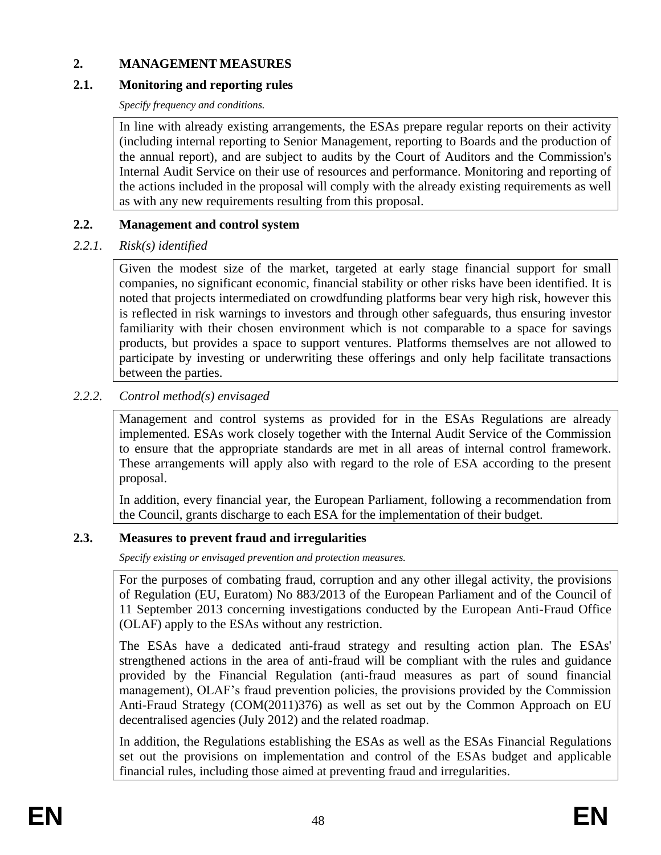# **2. MANAGEMENT MEASURES**

# **2.1. Monitoring and reporting rules**

*Specify frequency and conditions.*

In line with already existing arrangements, the ESAs prepare regular reports on their activity (including internal reporting to Senior Management, reporting to Boards and the production of the annual report), and are subject to audits by the Court of Auditors and the Commission's Internal Audit Service on their use of resources and performance. Monitoring and reporting of the actions included in the proposal will comply with the already existing requirements as well as with any new requirements resulting from this proposal.

# **2.2. Management and control system**

# *2.2.1. Risk(s) identified*

Given the modest size of the market, targeted at early stage financial support for small companies, no significant economic, financial stability or other risks have been identified. It is noted that projects intermediated on crowdfunding platforms bear very high risk, however this is reflected in risk warnings to investors and through other safeguards, thus ensuring investor familiarity with their chosen environment which is not comparable to a space for savings products, but provides a space to support ventures. Platforms themselves are not allowed to participate by investing or underwriting these offerings and only help facilitate transactions between the parties.

# *2.2.2. Control method(s) envisaged*

Management and control systems as provided for in the ESAs Regulations are already implemented. ESAs work closely together with the Internal Audit Service of the Commission to ensure that the appropriate standards are met in all areas of internal control framework. These arrangements will apply also with regard to the role of ESA according to the present proposal.

In addition, every financial year, the European Parliament, following a recommendation from the Council, grants discharge to each ESA for the implementation of their budget.

# **2.3. Measures to prevent fraud and irregularities**

*Specify existing or envisaged prevention and protection measures.*

For the purposes of combating fraud, corruption and any other illegal activity, the provisions of Regulation (EU, Euratom) No 883/2013 of the European Parliament and of the Council of 11 September 2013 concerning investigations conducted by the European Anti-Fraud Office (OLAF) apply to the ESAs without any restriction.

The ESAs have a dedicated anti-fraud strategy and resulting action plan. The ESAs' strengthened actions in the area of anti-fraud will be compliant with the rules and guidance provided by the Financial Regulation (anti-fraud measures as part of sound financial management), OLAF's fraud prevention policies, the provisions provided by the Commission Anti-Fraud Strategy (COM(2011)376) as well as set out by the Common Approach on EU decentralised agencies (July 2012) and the related roadmap.

In addition, the Regulations establishing the ESAs as well as the ESAs Financial Regulations set out the provisions on implementation and control of the ESAs budget and applicable financial rules, including those aimed at preventing fraud and irregularities.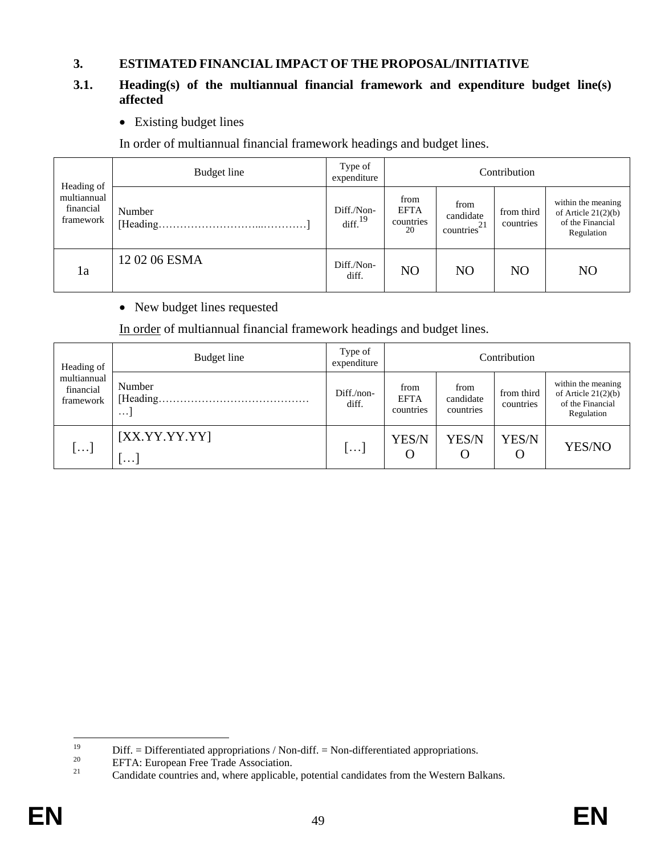#### **3. ESTIMATED FINANCIAL IMPACT OF THE PROPOSAL/INITIATIVE**

# **3.1. Heading(s) of the multiannual financial framework and expenditure budget line(s) affected**

• Existing budget lines

In order of multiannual financial framework headings and budget lines.

|                                                     | Budget line        | Type of<br>expenditure            | Contribution                           |                                       |                         |                                                                               |  |  |
|-----------------------------------------------------|--------------------|-----------------------------------|----------------------------------------|---------------------------------------|-------------------------|-------------------------------------------------------------------------------|--|--|
| Heading of<br>multiannual<br>financial<br>framework | Number<br>[Heading | Diff./Non-<br>diff. <sup>19</sup> | from<br><b>EFTA</b><br>countries<br>20 | from<br>candidate<br>-21<br>countries | from third<br>countries | within the meaning<br>of Article $21(2)(b)$<br>of the Financial<br>Regulation |  |  |
| 1a                                                  | 12 02 06 ESMA      | Diff./Non-<br>diff.               | N <sub>O</sub>                         | NO                                    | N <sub>O</sub>          | N <sub>O</sub>                                                                |  |  |

• New budget lines requested

In order of multiannual financial framework headings and budget lines.

| Heading of                            | Budget line                     | Type of<br>expenditure | Contribution                     |                                |                         |                                                                               |  |  |  |
|---------------------------------------|---------------------------------|------------------------|----------------------------------|--------------------------------|-------------------------|-------------------------------------------------------------------------------|--|--|--|
| multiannual<br>financial<br>framework | Number<br>[Heading.<br>$\cdots$ | $Diff./non-$<br>diff.  | from<br><b>EFTA</b><br>countries | from<br>candidate<br>countries | from third<br>countries | within the meaning<br>of Article $21(2)(b)$<br>of the Financial<br>Regulation |  |  |  |
| []                                    | [XX.YY.YY.YY]<br>$\cdots$       | $\cdots$               | YES/N<br>O                       | YES/N<br>O                     | YES/N<br>$\Omega$       | YES/NO                                                                        |  |  |  |

 $19$ <sup>19</sup> Diff. = Differentiated appropriations / Non-diff. = Non-differentiated appropriations.<br><sup>20</sup> EETA: European Free Trede Association

<sup>&</sup>lt;sup>20</sup> EFTA: European Free Trade Association.<br> $\frac{21}{2}$  Condidate countries and where applicable

Candidate countries and, where applicable, potential candidates from the Western Balkans.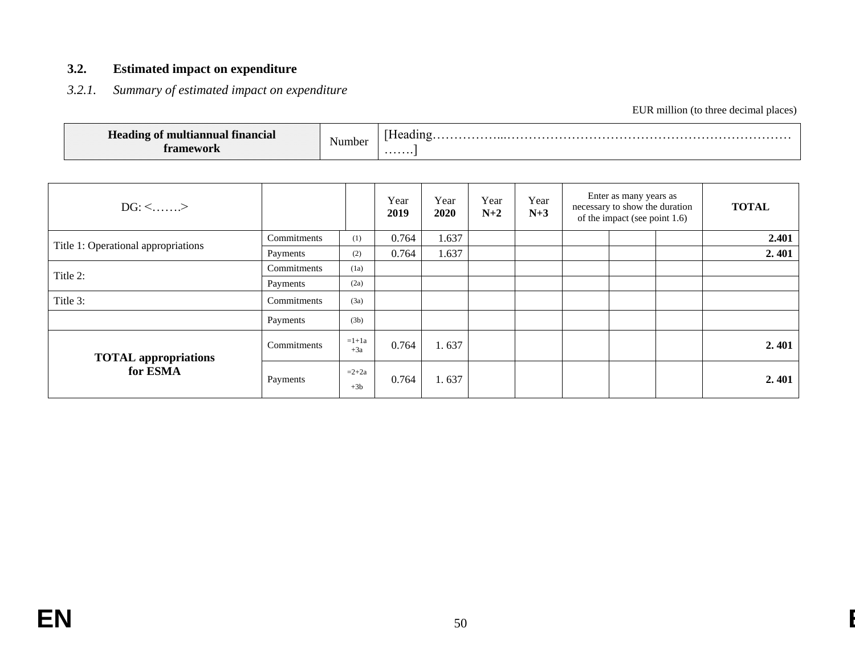# **3.2. Estimated impact on expenditure**

# *3.2.1. Summary of estimated impact on expenditure*

EUR million (to three decimal places)

| t multiannual financial<br><b>Heading of</b><br>framework | Number | Heading<br>. |
|-----------------------------------------------------------|--------|--------------|
|-----------------------------------------------------------|--------|--------------|

| $DG: \leq$ >                        |             |                  | Year<br>2019 | Year<br>2020 | Year<br>$N+2$ | Year<br>$N+3$ | Enter as many years as<br>necessary to show the duration<br>of the impact (see point 1.6) | <b>TOTAL</b> |
|-------------------------------------|-------------|------------------|--------------|--------------|---------------|---------------|-------------------------------------------------------------------------------------------|--------------|
|                                     | Commitments | (1)              | 0.764        | 1.637        |               |               |                                                                                           | 2.401        |
| Title 1: Operational appropriations | Payments    | (2)              | 0.764        | 1.637        |               |               |                                                                                           | 2.401        |
| Title 2:                            | Commitments | (1a)             |              |              |               |               |                                                                                           |              |
|                                     | Payments    | (2a)             |              |              |               |               |                                                                                           |              |
| Title 3:                            | Commitments | (3a)             |              |              |               |               |                                                                                           |              |
|                                     | Payments    | (3b)             |              |              |               |               |                                                                                           |              |
| <b>TOTAL</b> appropriations         | Commitments | $=1+1a$<br>$+3a$ | 0.764        | 1.637        |               |               |                                                                                           | 2.401        |
| for ESMA                            | Payments    | $=2+2a$<br>$+3b$ | 0.764        | 1.637        |               |               |                                                                                           | 2.401        |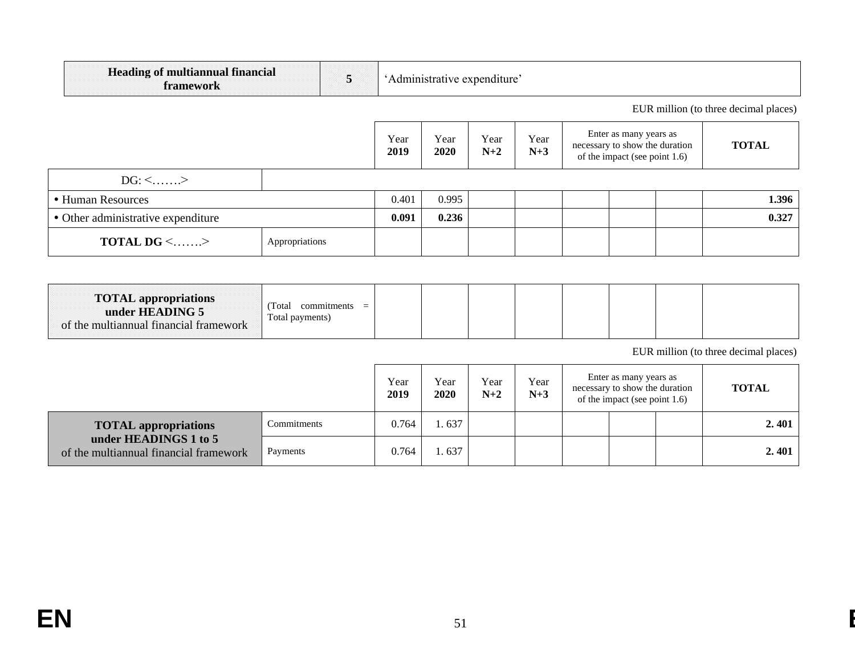| <b>Heading of multiannual financial</b><br>5<br>'Administrative expenditure'<br>framework |                |  |              |              |               |               |                                                                                           |                                       |
|-------------------------------------------------------------------------------------------|----------------|--|--------------|--------------|---------------|---------------|-------------------------------------------------------------------------------------------|---------------------------------------|
|                                                                                           |                |  |              |              |               |               |                                                                                           | EUR million (to three decimal places) |
|                                                                                           |                |  | Year<br>2019 | Year<br>2020 | Year<br>$N+2$ | Year<br>$N+3$ | Enter as many years as<br>necessary to show the duration<br>of the impact (see point 1.6) | <b>TOTAL</b>                          |
| $DG: \leq$ >                                                                              |                |  |              |              |               |               |                                                                                           |                                       |
| • Human Resources                                                                         |                |  | 0.401        | 0.995        |               |               |                                                                                           | 1.396                                 |
| • Other administrative expenditure                                                        |                |  | 0.091        | 0.236        |               |               |                                                                                           | 0.327                                 |
| <b>TOTAL DG &lt;&gt;</b>                                                                  | Appropriations |  |              |              |               |               |                                                                                           |                                       |

| <b>TOTAL appropriations</b><br>under HEADING 5<br>of the multiannual financial framework | commitments<br>l'otal<br>Total payments) |  |  |  |  |  |  |  |  |
|------------------------------------------------------------------------------------------|------------------------------------------|--|--|--|--|--|--|--|--|
|------------------------------------------------------------------------------------------|------------------------------------------|--|--|--|--|--|--|--|--|

EUR million (to three decimal places)

|                                                                 |             | Year<br>2019 | Year<br>2020 | Year<br>$N+2$ | Year<br>$N+3$ | Enter as many years as<br>necessary to show the duration<br>of the impact (see point $1.6$ ) | <b>TOTAL</b> |
|-----------------------------------------------------------------|-------------|--------------|--------------|---------------|---------------|----------------------------------------------------------------------------------------------|--------------|
| <b>TOTAL</b> appropriations                                     | Commitments | 0.764        | .637         |               |               |                                                                                              | 2.401        |
| under HEADINGS 1 to 5<br>of the multiannual financial framework | Payments    | 0.764        | .637         |               |               |                                                                                              | 2.401        |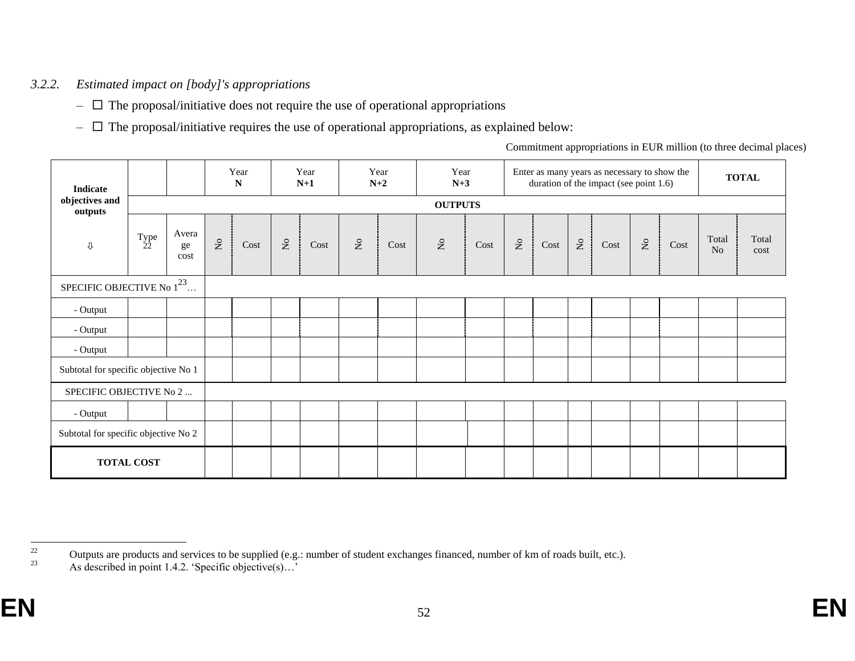# *3.2.2. Estimated impact on [body]'s appropriations*

- $\Box$  The proposal/initiative does not require the use of operational appropriations
- $\Box$  The proposal/initiative requires the use of operational appropriations, as explained below:

Commitment appropriations in EUR million (to three decimal places)

| Indicate                             |                   |                     |                     | Year<br>$\mathbf N$ |                                | Year<br>$N+1$ |                      | Year<br>$N+2$ | Year<br>$N+3$             |      |                           |      |                           | Enter as many years as necessary to show the<br>duration of the impact (see point 1.6) |                           |      |                         | <b>TOTAL</b>  |
|--------------------------------------|-------------------|---------------------|---------------------|---------------------|--------------------------------|---------------|----------------------|---------------|---------------------------|------|---------------------------|------|---------------------------|----------------------------------------------------------------------------------------|---------------------------|------|-------------------------|---------------|
| objectives and<br>outputs            | <b>OUTPUTS</b>    |                     |                     |                     |                                |               |                      |               |                           |      |                           |      |                           |                                                                                        |                           |      |                         |               |
| ⇩                                    | $T_{22}$ pe       | Avera<br>ge<br>cost | $\mathcal{\hat{Z}}$ | $\mathop{\rm Cost}$ | $\stackrel{\circ}{\mathsf{Z}}$ | Cost          | $\mathsf{S}^{\circ}$ | Cost          | $\mathsf{S}^{\mathsf{o}}$ | Cost | $\rm \stackrel{\circ}{Z}$ | Cost | $\mathsf{X}^{\mathsf{o}}$ | Cost                                                                                   | $\mathsf{S}^{\mathsf{o}}$ | Cost | Total<br>N <sub>o</sub> | Total<br>cost |
| SPECIFIC OBJECTIVE No $1^{23}$       |                   |                     |                     |                     |                                |               |                      |               |                           |      |                           |      |                           |                                                                                        |                           |      |                         |               |
| - Output                             |                   |                     |                     |                     |                                |               |                      |               |                           |      |                           |      |                           |                                                                                        |                           |      |                         |               |
| - Output                             |                   |                     |                     |                     |                                |               |                      |               |                           |      |                           |      |                           |                                                                                        |                           |      |                         |               |
| - Output                             |                   |                     |                     |                     |                                |               |                      |               |                           |      |                           |      |                           |                                                                                        |                           |      |                         |               |
| Subtotal for specific objective No 1 |                   |                     |                     |                     |                                |               |                      |               |                           |      |                           |      |                           |                                                                                        |                           |      |                         |               |
| SPECIFIC OBJECTIVE No 2              |                   |                     |                     |                     |                                |               |                      |               |                           |      |                           |      |                           |                                                                                        |                           |      |                         |               |
| - Output                             |                   |                     |                     |                     |                                |               |                      |               |                           |      |                           |      |                           |                                                                                        |                           |      |                         |               |
| Subtotal for specific objective No 2 |                   |                     |                     |                     |                                |               |                      |               |                           |      |                           |      |                           |                                                                                        |                           |      |                         |               |
|                                      | <b>TOTAL COST</b> |                     |                     |                     |                                |               |                      |               |                           |      |                           |      |                           |                                                                                        |                           |      |                         |               |

<sup>22</sup>  $^{22}$  Outputs are products and services to be supplied (e.g.: number of student exchanges financed, number of km of roads built, etc.).

 $2<sup>23</sup>$  As described in point 1.4.2. 'Specific objective(s)...'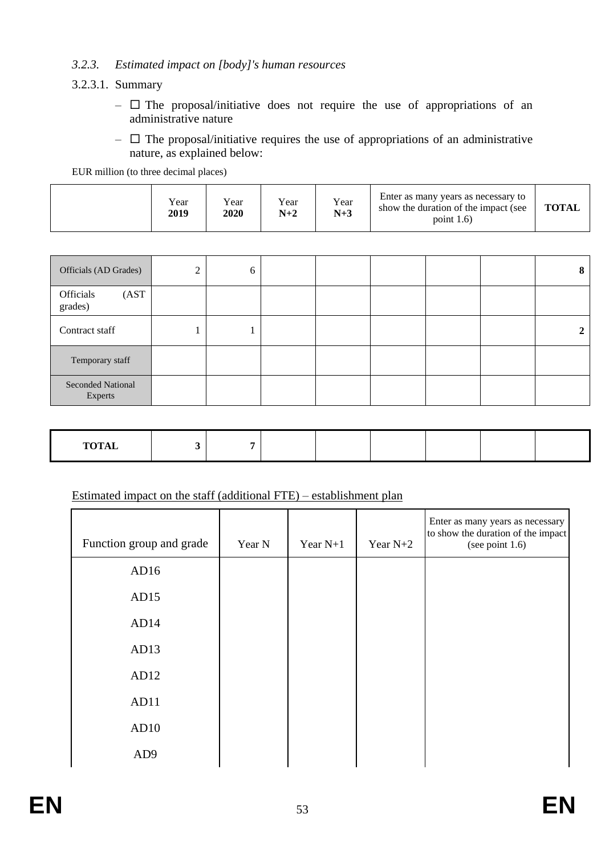# *3.2.3. Estimated impact on [body]'s human resources*

#### 3.2.3.1. Summary

- $\Box$  The proposal/initiative does not require the use of appropriations of an administrative nature
- $\Box$  The proposal/initiative requires the use of appropriations of an administrative nature, as explained below:

EUR million (to three decimal places)

|  | Year<br>2019 | Year<br>2020 | $v_{\text{ear}}$<br>$N+2$ | Year<br>$N+3$ | Enter as many years as necessary to<br>show the duration of the impact (see<br>point $1.6$ ) | <b>TOTAL</b> |
|--|--------------|--------------|---------------------------|---------------|----------------------------------------------------------------------------------------------|--------------|
|--|--------------|--------------|---------------------------|---------------|----------------------------------------------------------------------------------------------|--------------|

| Officials (AD Grades)               | $\overline{2}$ | 6 |  |  | 8 |
|-------------------------------------|----------------|---|--|--|---|
| Officials<br>(AST<br>grades)        |                |   |  |  |   |
| Contract staff                      |                |   |  |  |   |
| Temporary staff                     |                |   |  |  |   |
| <b>Seconded National</b><br>Experts |                |   |  |  |   |

| TOTAT<br>TOTAL |  |  |  |  |
|----------------|--|--|--|--|

# Estimated impact on the staff (additional FTE) – establishment plan

| Function group and grade | Year N | Year $N+1$ | Year $N+2$ | Enter as many years as necessary<br>to show the duration of the impact<br>(see point 1.6) |
|--------------------------|--------|------------|------------|-------------------------------------------------------------------------------------------|
| AD16                     |        |            |            |                                                                                           |
| AD15                     |        |            |            |                                                                                           |
| AD14                     |        |            |            |                                                                                           |
| AD13                     |        |            |            |                                                                                           |
| AD12                     |        |            |            |                                                                                           |
| AD11                     |        |            |            |                                                                                           |
| AD10                     |        |            |            |                                                                                           |
| AD <sub>9</sub>          |        |            |            |                                                                                           |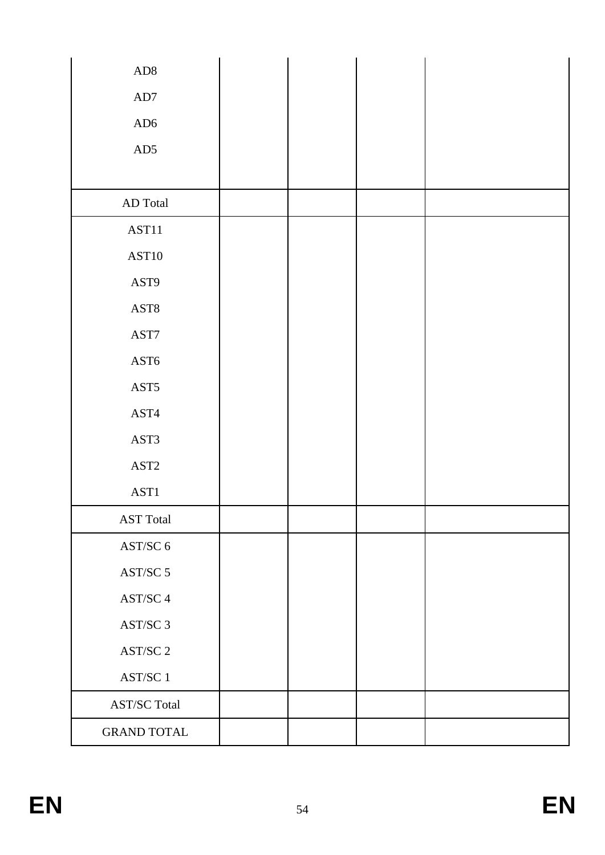| ${\rm AD8}$                                |  |  |
|--------------------------------------------|--|--|
| $\mbox{AD}7$                               |  |  |
| AD6                                        |  |  |
| AD5                                        |  |  |
|                                            |  |  |
| AD Total                                   |  |  |
| AST11                                      |  |  |
| AST10                                      |  |  |
| AST9                                       |  |  |
| $\operatorname{AST8}$                      |  |  |
| AST7                                       |  |  |
| $\operatorname{AST6}$                      |  |  |
| $\operatorname{AST5}$                      |  |  |
| AST4                                       |  |  |
| AST3                                       |  |  |
| $\operatorname{AST2}$                      |  |  |
| AST1                                       |  |  |
| <b>AST Total</b>                           |  |  |
| AST/SC 6                                   |  |  |
| AST/SC 5                                   |  |  |
| $\operatorname{AST}/\!\operatorname{SC}$ 4 |  |  |
| AST/SC 3                                   |  |  |
| $\operatorname{AST}/\!\operatorname{SC}$ 2 |  |  |
| AST/SC 1                                   |  |  |
| <b>AST/SC Total</b>                        |  |  |
| <b>GRAND TOTAL</b>                         |  |  |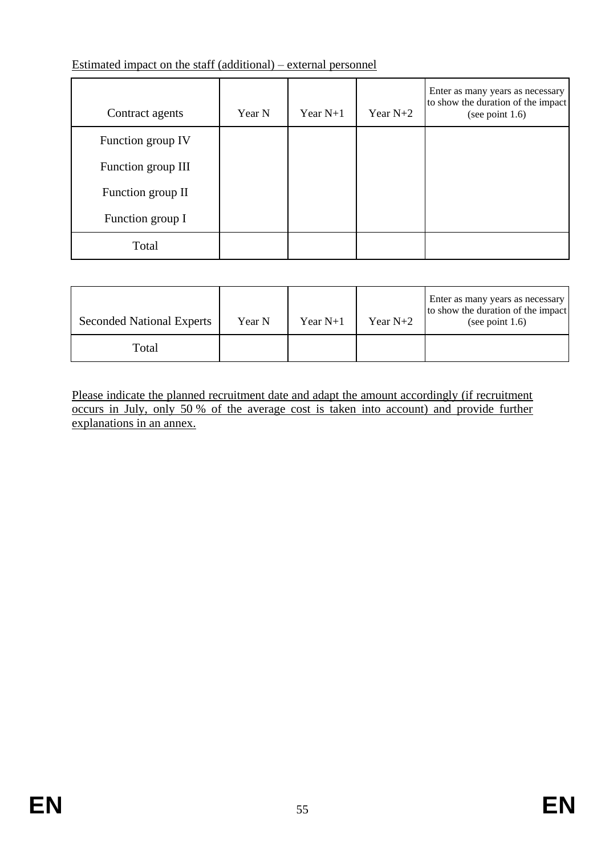# Estimated impact on the staff (additional) – external personnel

| Contract agents    | Year N | Year $N+1$ | Year $N+2$ | Enter as many years as necessary<br>to show the duration of the impact<br>(see point $1.6$ ) |
|--------------------|--------|------------|------------|----------------------------------------------------------------------------------------------|
| Function group IV  |        |            |            |                                                                                              |
| Function group III |        |            |            |                                                                                              |
| Function group II  |        |            |            |                                                                                              |
| Function group I   |        |            |            |                                                                                              |
| Total              |        |            |            |                                                                                              |

| <b>Seconded National Experts</b> | Year N | Year $N+1$ | Year $N+2$ | Enter as many years as necessary<br>to show the duration of the impact<br>(see point $1.6$ ) |
|----------------------------------|--------|------------|------------|----------------------------------------------------------------------------------------------|
| Total                            |        |            |            |                                                                                              |

Please indicate the planned recruitment date and adapt the amount accordingly (if recruitment occurs in July, only 50 % of the average cost is taken into account) and provide further explanations in an annex.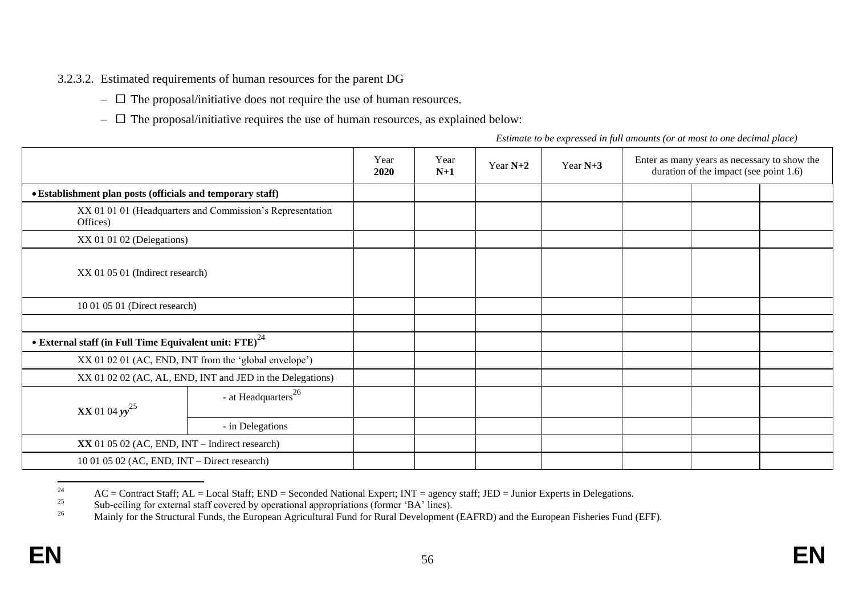3.2.3.2. Estimated requirements of human resources for the parent DG

- $\Box$  The proposal/initiative does not require the use of human resources.
- $\Box$  The proposal/initiative requires the use of human resources, as explained below:

*Estimate to be expressed in full amounts (or at most to one decimal place)*

|                                                                        |                                                           | Year<br>2020 | Year<br>$N+1$ | Year $N+2$ | Year $N+3$ | Enter as many years as necessary to show the<br>duration of the impact (see point 1.6) |  |  |
|------------------------------------------------------------------------|-----------------------------------------------------------|--------------|---------------|------------|------------|----------------------------------------------------------------------------------------|--|--|
| • Establishment plan posts (officials and temporary staff)             |                                                           |              |               |            |            |                                                                                        |  |  |
| Offices)                                                               | XX 01 01 01 (Headquarters and Commission's Representation |              |               |            |            |                                                                                        |  |  |
| XX 01 01 02 (Delegations)                                              |                                                           |              |               |            |            |                                                                                        |  |  |
| XX 01 05 01 (Indirect research)                                        |                                                           |              |               |            |            |                                                                                        |  |  |
| 10 01 05 01 (Direct research)                                          |                                                           |              |               |            |            |                                                                                        |  |  |
|                                                                        |                                                           |              |               |            |            |                                                                                        |  |  |
| • External staff (in Full Time Equivalent unit: $\text{FTE}$ ) $^{24}$ |                                                           |              |               |            |            |                                                                                        |  |  |
|                                                                        | XX 01 02 01 (AC, END, INT from the 'global envelope')     |              |               |            |            |                                                                                        |  |  |
|                                                                        | XX 01 02 02 (AC, AL, END, INT and JED in the Delegations) |              |               |            |            |                                                                                        |  |  |
| <b>XX</b> 01 04 $yy^{25}$                                              | - at Headquarters <sup>26</sup>                           |              |               |            |            |                                                                                        |  |  |
|                                                                        | - in Delegations                                          |              |               |            |            |                                                                                        |  |  |
| $XX$ 01 05 02 (AC, END, INT – Indirect research)                       |                                                           |              |               |            |            |                                                                                        |  |  |
| $10010502$ (AC, END, INT – Direct research)                            |                                                           |              |               |            |            |                                                                                        |  |  |

<sup>24</sup> <sup>24</sup> AC = Contract Staff; AL = Local Staff; END = Seconded National Expert; INT = agency staff; JED = Junior Experts in Delegations.

<sup>&</sup>lt;sup>25</sup> Sub-ceiling for external staff covered by operational appropriations (former 'BA' lines).<br><sup>26</sup> Mainly for the Structural Eure of the Eurenese Aggiuntural Eure for Burgh Development

Mainly for the Structural Funds, the European Agricultural Fund for Rural Development (EAFRD) and the European Fisheries Fund (EFF).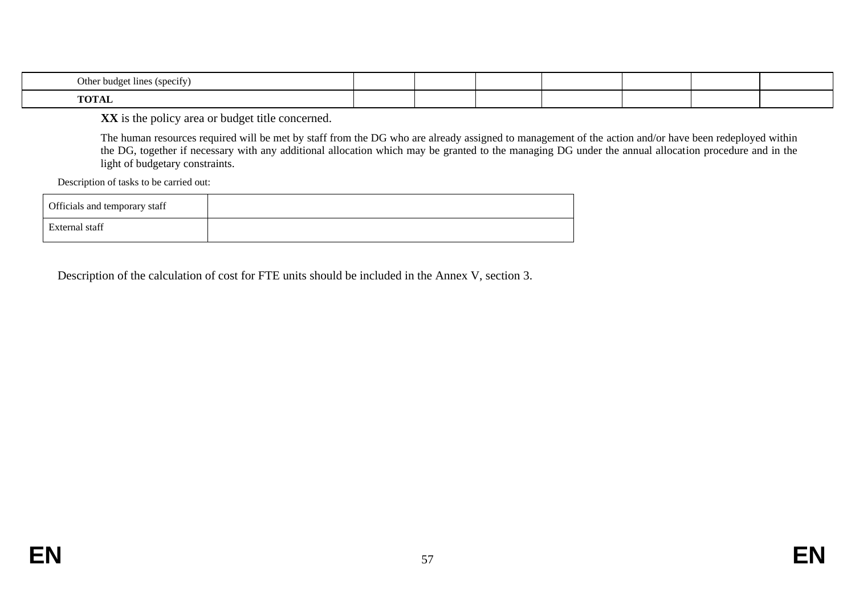| Other budget lines (specify)                      |  |  |  |  |
|---------------------------------------------------|--|--|--|--|
| $T_{\rm I}$ $\Omega$ $T_{\rm I}$ $\Lambda$<br>TUL |  |  |  |  |

**XX** is the policy area or budget title concerned.

The human resources required will be met by staff from the DG who are already assigned to management of the action and/or have been redeployed within the DG, together if necessary with any additional allocation which may be granted to the managing DG under the annual allocation procedure and in the light of budgetary constraints.

Description of tasks to be carried out:

| Officials and temporary staff |  |
|-------------------------------|--|
| External staff                |  |

Description of the calculation of cost for FTE units should be included in the Annex V, section 3.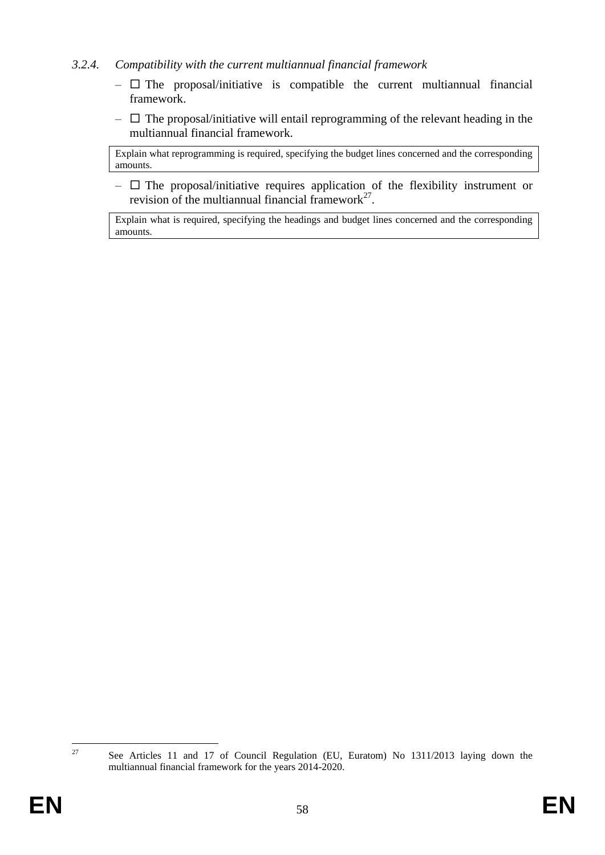## *3.2.4. Compatibility with the current multiannual financial framework*

- $\Box$  The proposal/initiative is compatible the current multiannual financial framework.
- $\Box$  The proposal/initiative will entail reprogramming of the relevant heading in the multiannual financial framework.

Explain what reprogramming is required, specifying the budget lines concerned and the corresponding amounts.

 $\Box$  The proposal/initiative requires application of the flexibility instrument or revision of the multiannual financial framework $2^7$ .

Explain what is required, specifying the headings and budget lines concerned and the corresponding amounts.

27

<sup>27</sup> See Articles 11 and 17 of Council Regulation (EU, Euratom) No 1311/2013 laying down the multiannual financial framework for the years 2014-2020.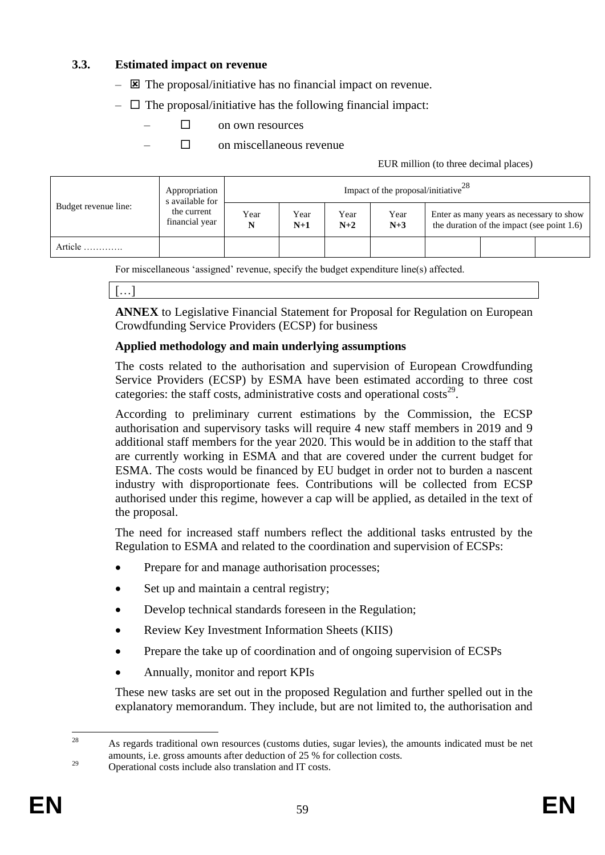## **3.3. Estimated impact on revenue**

- $\boxtimes$  The proposal/initiative has no financial impact on revenue.
- $\Box$  The proposal/initiative has the following financial impact:
	- $\Box$  on own resources
	- $\Box$  on miscellaneous revenue

EUR million (to three decimal places)

|                      | Appropriation<br>s available for |           |               |               | Impact of the proposal/initiative $^{28}$ |                                                                                           |  |
|----------------------|----------------------------------|-----------|---------------|---------------|-------------------------------------------|-------------------------------------------------------------------------------------------|--|
| Budget revenue line: | the current<br>financial year    | Year<br>N | Year<br>$N+1$ | Year<br>$N+2$ | Year<br>$N+3$                             | Enter as many years as necessary to show<br>the duration of the impact (see point $1.6$ ) |  |
| Article              |                                  |           |               |               |                                           |                                                                                           |  |

For miscellaneous 'assigned' revenue, specify the budget expenditure line(s) affected.

[…]

**ANNEX** to Legislative Financial Statement for Proposal for Regulation on European Crowdfunding Service Providers (ECSP) for business

#### **Applied methodology and main underlying assumptions**

The costs related to the authorisation and supervision of European Crowdfunding Service Providers (ECSP) by ESMA have been estimated according to three cost categories: the staff costs, administrative costs and operational costs<sup>29</sup>.

According to preliminary current estimations by the Commission, the ECSP authorisation and supervisory tasks will require 4 new staff members in 2019 and 9 additional staff members for the year 2020. This would be in addition to the staff that are currently working in ESMA and that are covered under the current budget for ESMA. The costs would be financed by EU budget in order not to burden a nascent industry with disproportionate fees. Contributions will be collected from ECSP authorised under this regime, however a cap will be applied, as detailed in the text of the proposal.

The need for increased staff numbers reflect the additional tasks entrusted by the Regulation to ESMA and related to the coordination and supervision of ECSPs:

- Prepare for and manage authorisation processes;
- Set up and maintain a central registry;
- Develop technical standards foreseen in the Regulation;
- Review Key Investment Information Sheets (KIIS)
- Prepare the take up of coordination and of ongoing supervision of ECSPs
- Annually, monitor and report KPIs

These new tasks are set out in the proposed Regulation and further spelled out in the explanatory memorandum. They include, but are not limited to, the authorisation and

 $28$ <sup>28</sup> As regards traditional own resources (customs duties, sugar levies), the amounts indicated must be net amounts, i.e. gross amounts after deduction of 25 % for collection costs.

<sup>&</sup>lt;sup>29</sup> Operational costs include also translation and IT costs.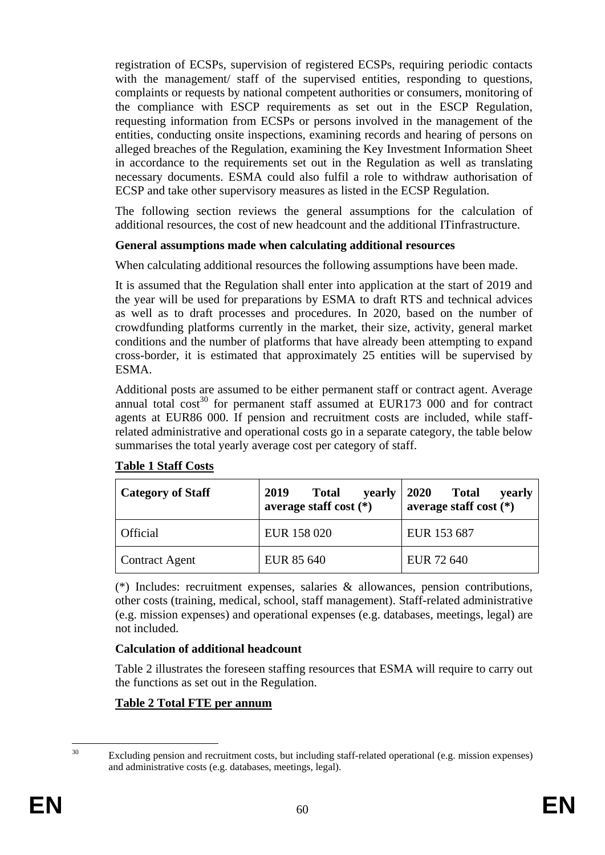registration of ECSPs, supervision of registered ECSPs, requiring periodic contacts with the management/ staff of the supervised entities, responding to questions, complaints or requests by national competent authorities or consumers, monitoring of the compliance with ESCP requirements as set out in the ESCP Regulation, requesting information from ECSPs or persons involved in the management of the entities, conducting onsite inspections, examining records and hearing of persons on alleged breaches of the Regulation, examining the Key Investment Information Sheet in accordance to the requirements set out in the Regulation as well as translating necessary documents. ESMA could also fulfil a role to withdraw authorisation of ECSP and take other supervisory measures as listed in the ECSP Regulation.

The following section reviews the general assumptions for the calculation of additional resources, the cost of new headcount and the additional ITinfrastructure.

## **General assumptions made when calculating additional resources**

When calculating additional resources the following assumptions have been made.

It is assumed that the Regulation shall enter into application at the start of 2019 and the year will be used for preparations by ESMA to draft RTS and technical advices as well as to draft processes and procedures. In 2020, based on the number of crowdfunding platforms currently in the market, their size, activity, general market conditions and the number of platforms that have already been attempting to expand cross-border, it is estimated that approximately 25 entities will be supervised by ESMA.

Additional posts are assumed to be either permanent staff or contract agent. Average annual total  $\cos^{30}$  for permanent staff assumed at EUR173 000 and for contract agents at EUR86 000. If pension and recruitment costs are included, while staffrelated administrative and operational costs go in a separate category, the table below summarises the total yearly average cost per category of staff.

| <b>Category of Staff</b> | 2019<br><b>Total</b><br>yearly<br>average staff cost $(*)$ | <b>2020</b><br><b>Total</b><br>yearly<br>average staff cost $(*)$ |
|--------------------------|------------------------------------------------------------|-------------------------------------------------------------------|
| <b>Official</b>          | EUR 158 020                                                | EUR 153 687                                                       |
| <b>Contract Agent</b>    | EUR 85 640                                                 | EUR 72 640                                                        |

#### **Table 1 Staff Costs**

(\*) Includes: recruitment expenses, salaries & allowances, pension contributions, other costs (training, medical, school, staff management). Staff-related administrative (e.g. mission expenses) and operational expenses (e.g. databases, meetings, legal) are not included.

# **Calculation of additional headcount**

Table 2 illustrates the foreseen staffing resources that ESMA will require to carry out the functions as set out in the Regulation.

# **Table 2 Total FTE per annum**

 $30$ 

Excluding pension and recruitment costs, but including staff-related operational (e.g. mission expenses) and administrative costs (e.g. databases, meetings, legal).